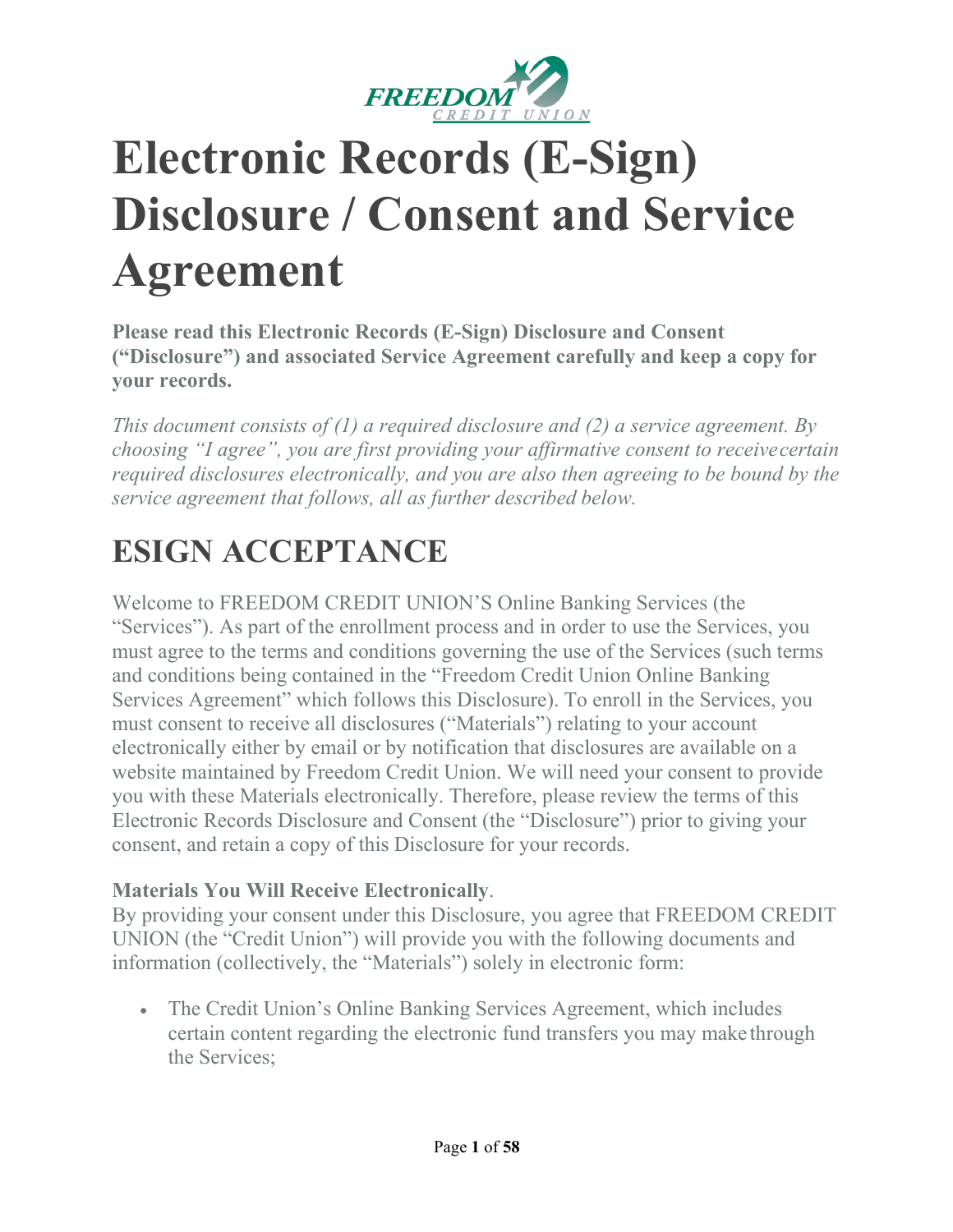

# **Electronic Records (E-Sign) Disclosure / Consent and Service Agreement**

**Please read this Electronic Records (E-Sign) Disclosure and Consent ("Disclosure") and associated Service Agreement carefully and keep a copy for your records.**

*This document consists of (1) a required disclosure and (2) a service agreement. By choosing "I agree", you are first providing your affirmative consent to receivecertain required disclosures electronically, and you are also then agreeing to be bound by the service agreement that follows, all as further described below.*

# **ESIGN ACCEPTANCE**

Welcome to FREEDOM CREDIT UNION'S Online Banking Services (the "Services"). As part of the enrollment process and in order to use the Services, you must agree to the terms and conditions governing the use of the Services (such terms and conditions being contained in the "Freedom Credit Union Online Banking Services Agreement" which follows this Disclosure). To enroll in the Services, you must consent to receive all disclosures ("Materials") relating to your account electronically either by email or by notification that disclosures are available on a website maintained by Freedom Credit Union. We will need your consent to provide you with these Materials electronically. Therefore, please review the terms of this Electronic Records Disclosure and Consent (the "Disclosure") prior to giving your consent, and retain a copy of this Disclosure for your records.

# **Materials You Will Receive Electronically**.

By providing your consent under this Disclosure, you agree that FREEDOM CREDIT UNION (the "Credit Union") will provide you with the following documents and information (collectively, the "Materials") solely in electronic form:

• The Credit Union's Online Banking Services Agreement, which includes certain content regarding the electronic fund transfers you may make through the Services;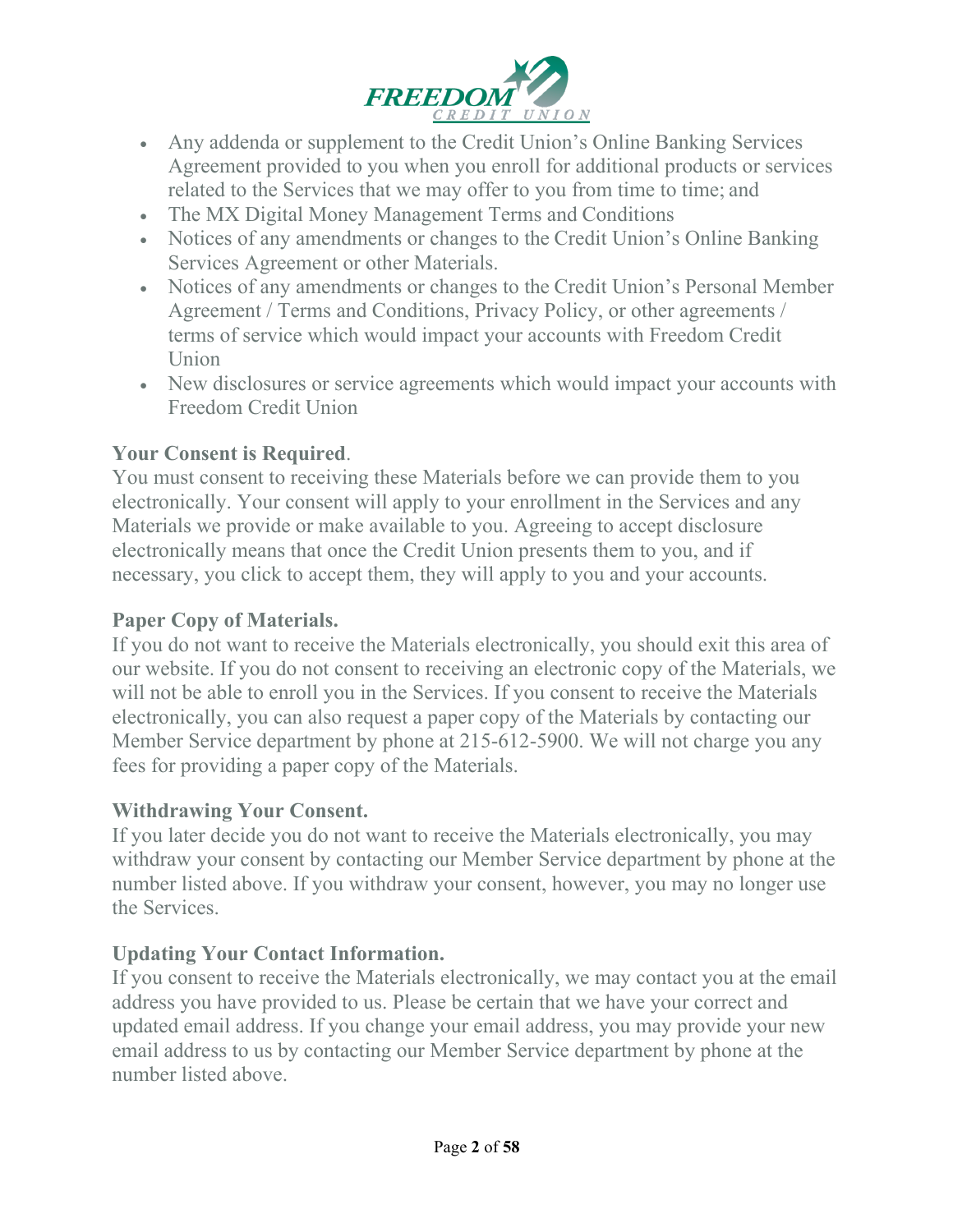

- Any addenda or supplement to the Credit Union's Online Banking Services Agreement provided to you when you enroll for additional products or services related to the Services that we may offer to you from time to time; and
- The MX Digital Money Management Terms and Conditions
- Notices of any amendments or changes to the Credit Union's Online Banking Services Agreement or other Materials.
- Notices of any amendments or changes to the Credit Union's Personal Member Agreement / Terms and Conditions, Privacy Policy, or other agreements / terms of service which would impact your accounts with Freedom Credit Union
- New disclosures or service agreements which would impact your accounts with Freedom Credit Union

#### **Your Consent is Required**.

You must consent to receiving these Materials before we can provide them to you electronically. Your consent will apply to your enrollment in the Services and any Materials we provide or make available to you. Agreeing to accept disclosure electronically means that once the Credit Union presents them to you, and if necessary, you click to accept them, they will apply to you and your accounts.

#### **Paper Copy of Materials.**

If you do not want to receive the Materials electronically, you should exit this area of our website. If you do not consent to receiving an electronic copy of the Materials, we will not be able to enroll you in the Services. If you consent to receive the Materials electronically, you can also request a paper copy of the Materials by contacting our Member Service department by phone at 215-612-5900. We will not charge you any fees for providing a paper copy of the Materials.

#### **Withdrawing Your Consent.**

If you later decide you do not want to receive the Materials electronically, you may withdraw your consent by contacting our Member Service department by phone at the number listed above. If you withdraw your consent, however, you may no longer use the Services.

#### **Updating Your Contact Information.**

If you consent to receive the Materials electronically, we may contact you at the email address you have provided to us. Please be certain that we have your correct and updated email address. If you change your email address, you may provide your new email address to us by contacting our Member Service department by phone at the number listed above.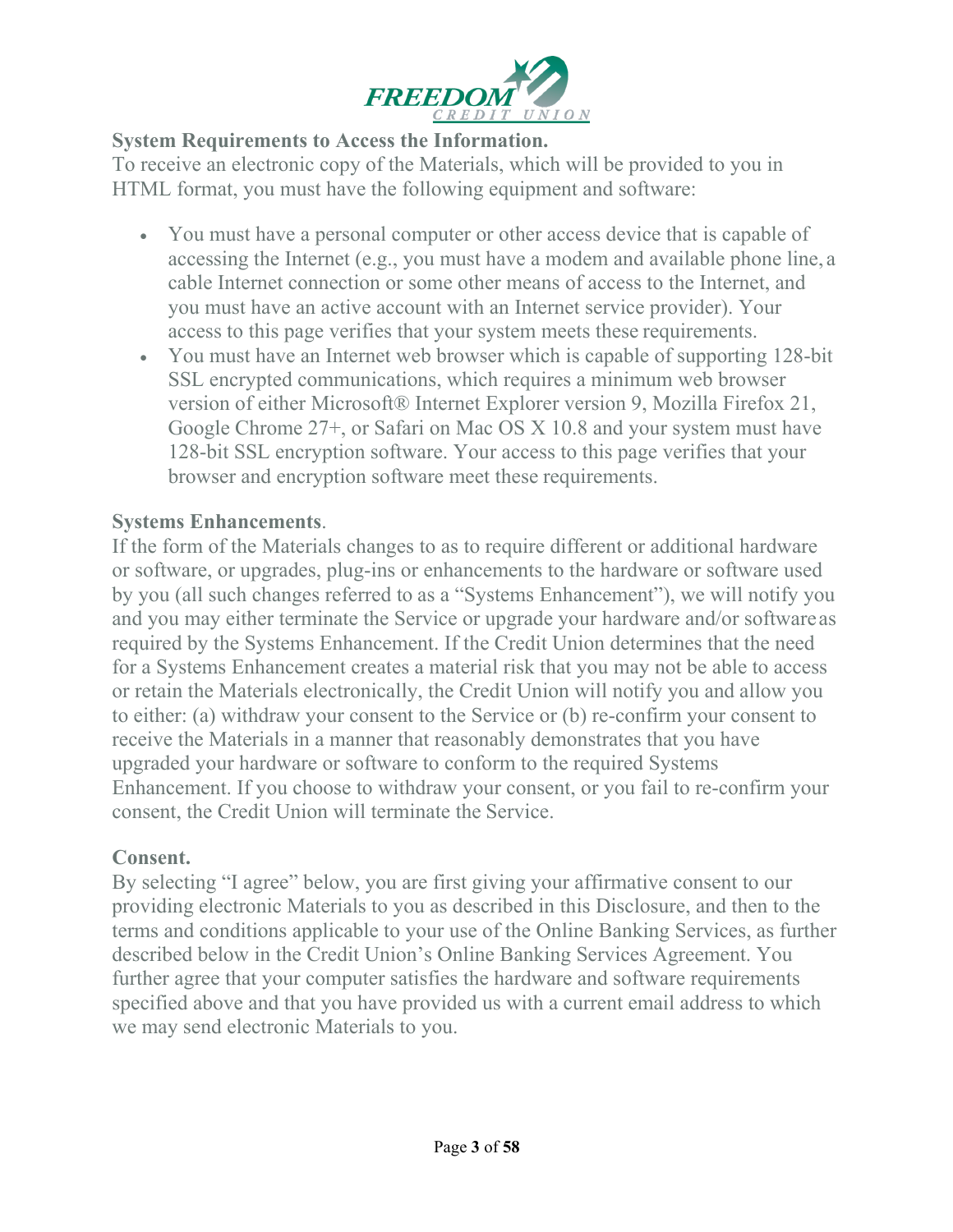

#### **System Requirements to Access the Information.**

To receive an electronic copy of the Materials, which will be provided to you in HTML format, you must have the following equipment and software:

- You must have a personal computer or other access device that is capable of accessing the Internet (e.g., you must have a modem and available phone line, a cable Internet connection or some other means of access to the Internet, and you must have an active account with an Internet service provider). Your access to this page verifies that your system meets these requirements.
- You must have an Internet web browser which is capable of supporting 128-bit SSL encrypted communications, which requires a minimum web browser version of either Microsoft® Internet Explorer version 9, Mozilla Firefox 21, Google Chrome 27+, or Safari on Mac OS X 10.8 and your system must have 128-bit SSL encryption software. Your access to this page verifies that your browser and encryption software meet these requirements.

### **Systems Enhancements**.

If the form of the Materials changes to as to require different or additional hardware or software, or upgrades, plug-ins or enhancements to the hardware or software used by you (all such changes referred to as a "Systems Enhancement"), we will notify you and you may either terminate the Service or upgrade your hardware and/or softwareas required by the Systems Enhancement. If the Credit Union determines that the need for a Systems Enhancement creates a material risk that you may not be able to access or retain the Materials electronically, the Credit Union will notify you and allow you to either: (a) withdraw your consent to the Service or (b) re-confirm your consent to receive the Materials in a manner that reasonably demonstrates that you have upgraded your hardware or software to conform to the required Systems Enhancement. If you choose to withdraw your consent, or you fail to re-confirm your consent, the Credit Union will terminate the Service.

#### **Consent.**

By selecting "I agree" below, you are first giving your affirmative consent to our providing electronic Materials to you as described in this Disclosure, and then to the terms and conditions applicable to your use of the Online Banking Services, as further described below in the Credit Union's Online Banking Services Agreement. You further agree that your computer satisfies the hardware and software requirements specified above and that you have provided us with a current email address to which we may send electronic Materials to you.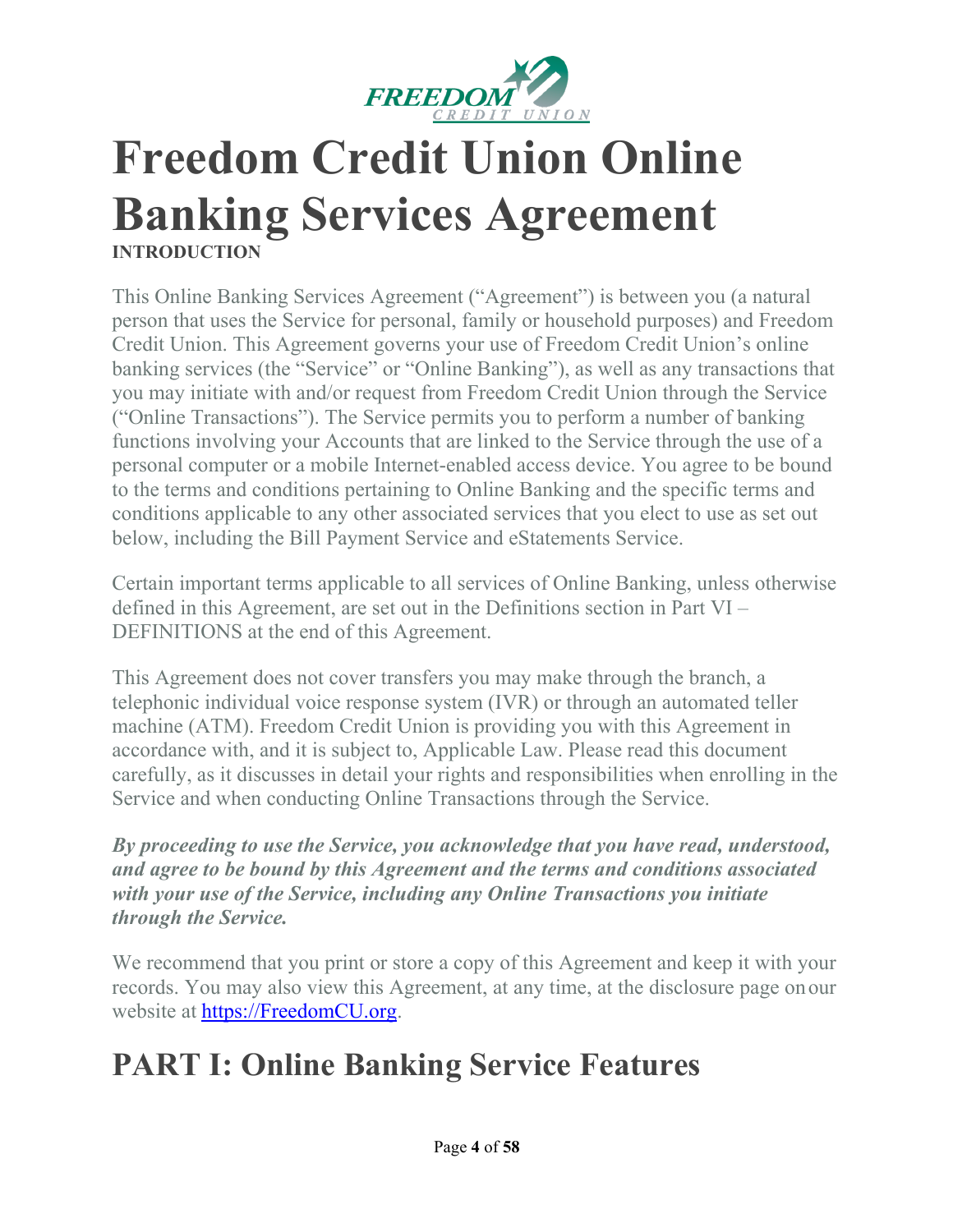

# **Freedom Credit Union Online Banking Services Agreement INTRODUCTION**

This Online Banking Services Agreement ("Agreement") is between you (a natural person that uses the Service for personal, family or household purposes) and Freedom Credit Union. This Agreement governs your use of Freedom Credit Union's online banking services (the "Service" or "Online Banking"), as well as any transactions that you may initiate with and/or request from Freedom Credit Union through the Service ("Online Transactions"). The Service permits you to perform a number of banking functions involving your Accounts that are linked to the Service through the use of a personal computer or a mobile Internet-enabled access device. You agree to be bound to the terms and conditions pertaining to Online Banking and the specific terms and conditions applicable to any other associated services that you elect to use as set out below, including the Bill Payment Service and eStatements Service.

Certain important terms applicable to all services of Online Banking, unless otherwise defined in this Agreement, are set out in the Definitions section in Part VI – DEFINITIONS at the end of this Agreement.

This Agreement does not cover transfers you may make through the branch, a telephonic individual voice response system (IVR) or through an automated teller machine (ATM). Freedom Credit Union is providing you with this Agreement in accordance with, and it is subject to, Applicable Law. Please read this document carefully, as it discusses in detail your rights and responsibilities when enrolling in the Service and when conducting Online Transactions through the Service.

*By proceeding to use the Service, you acknowledge that you have read, understood, and agree to be bound by this Agreement and the terms and conditions associated with your use of the Service, including any Online Transactions you initiate through the Service.*

We recommend that you print or store a copy of this Agreement and keep it with your records. You may also view this Agreement, at any time, at the disclosure page onour website at [https://FreedomCU.org.](https://freedomcu.org/)

# **PART I: Online Banking Service Features**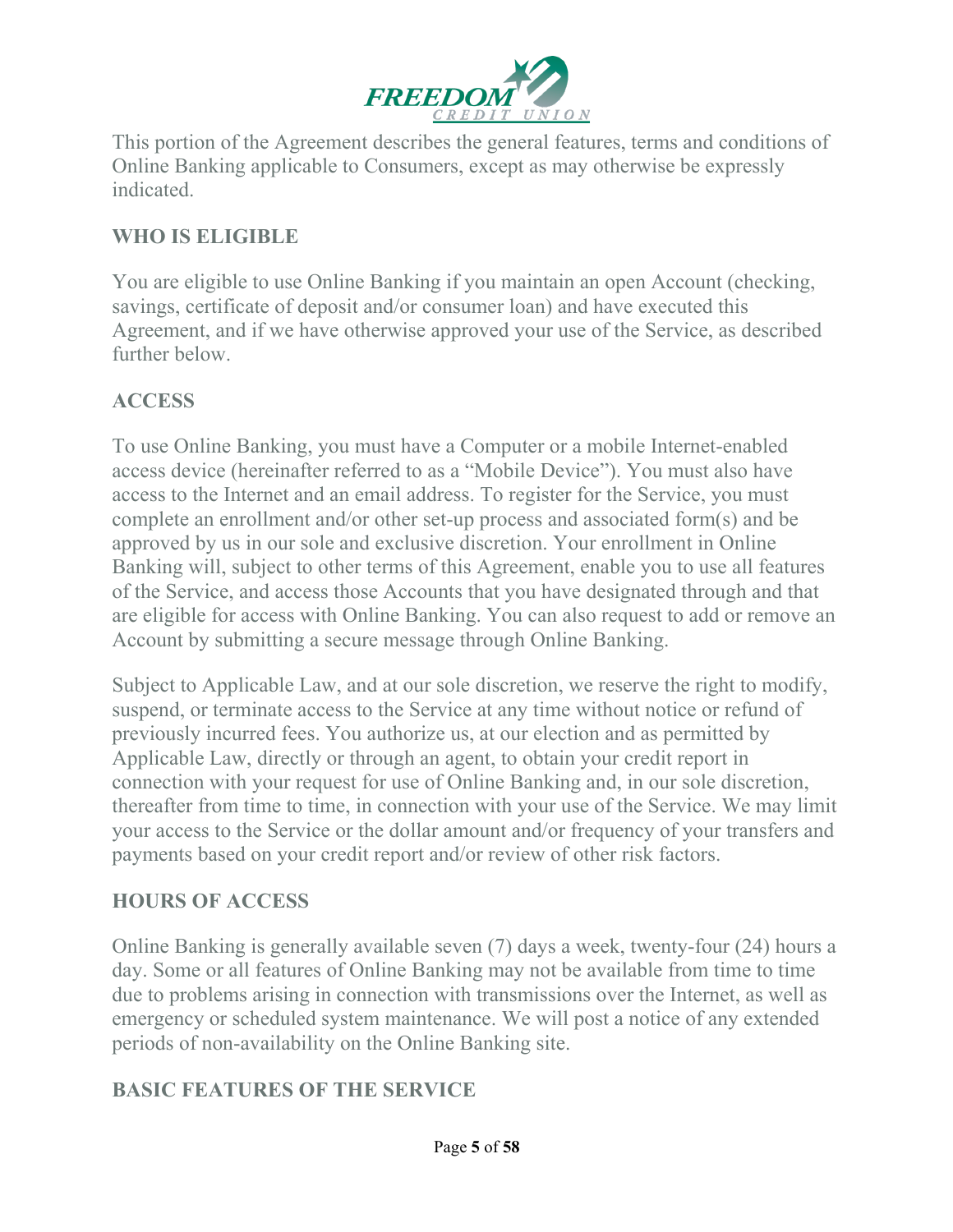

This portion of the Agreement describes the general features, terms and conditions of Online Banking applicable to Consumers, except as may otherwise be expressly indicated.

### **WHO IS ELIGIBLE**

You are eligible to use Online Banking if you maintain an open Account (checking, savings, certificate of deposit and/or consumer loan) and have executed this Agreement, and if we have otherwise approved your use of the Service, as described further below.

### **ACCESS**

To use Online Banking, you must have a Computer or a mobile Internet-enabled access device (hereinafter referred to as a "Mobile Device"). You must also have access to the Internet and an email address. To register for the Service, you must complete an enrollment and/or other set-up process and associated form(s) and be approved by us in our sole and exclusive discretion. Your enrollment in Online Banking will, subject to other terms of this Agreement, enable you to use all features of the Service, and access those Accounts that you have designated through and that are eligible for access with Online Banking. You can also request to add or remove an Account by submitting a secure message through Online Banking.

Subject to Applicable Law, and at our sole discretion, we reserve the right to modify, suspend, or terminate access to the Service at any time without notice or refund of previously incurred fees. You authorize us, at our election and as permitted by Applicable Law, directly or through an agent, to obtain your credit report in connection with your request for use of Online Banking and, in our sole discretion, thereafter from time to time, in connection with your use of the Service. We may limit your access to the Service or the dollar amount and/or frequency of your transfers and payments based on your credit report and/or review of other risk factors.

# **HOURS OF ACCESS**

Online Banking is generally available seven (7) days a week, twenty-four (24) hours a day. Some or all features of Online Banking may not be available from time to time due to problems arising in connection with transmissions over the Internet, as well as emergency or scheduled system maintenance. We will post a notice of any extended periods of non-availability on the Online Banking site.

# **BASIC FEATURES OF THE SERVICE**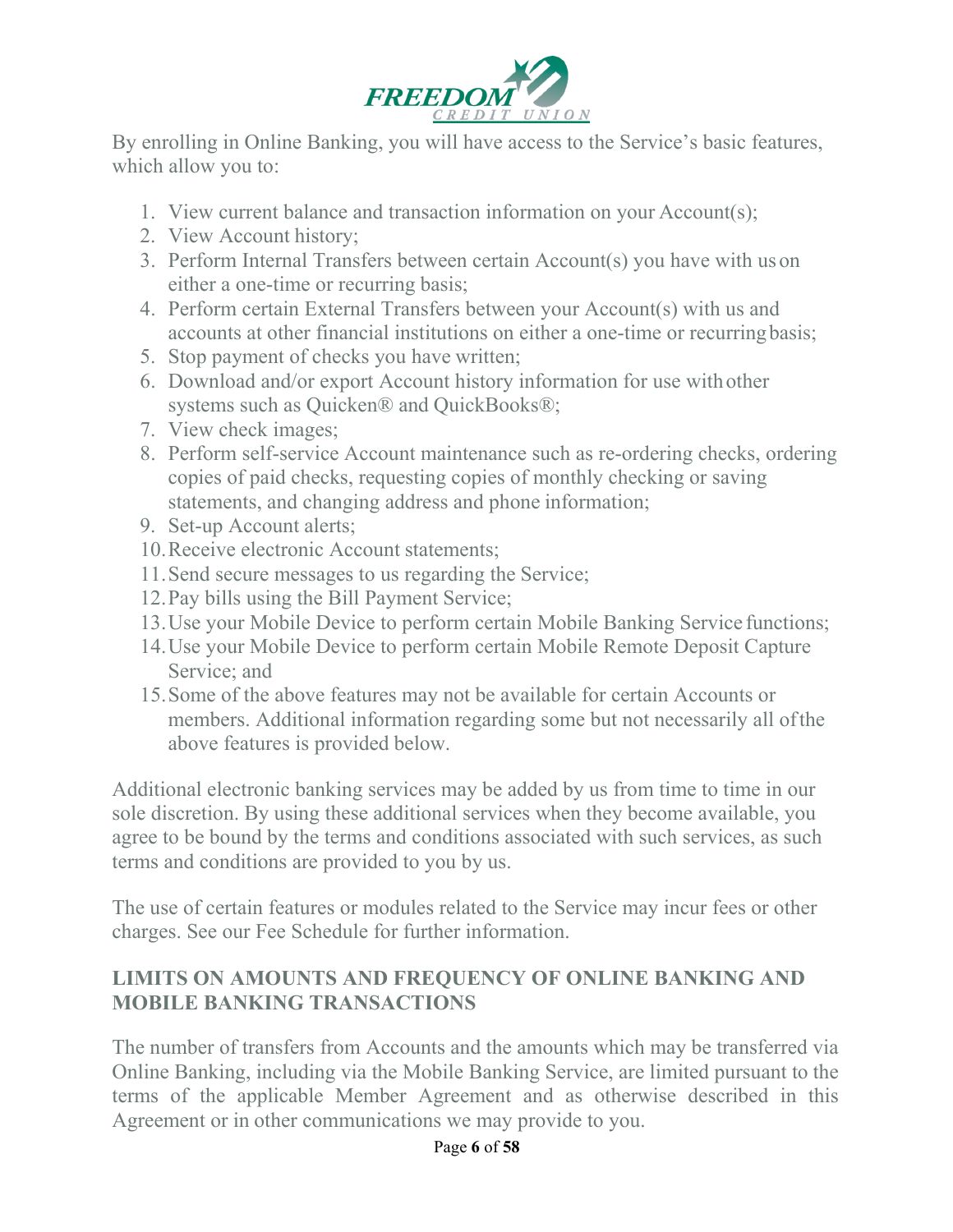

By enrolling in Online Banking, you will have access to the Service's basic features, which allow you to:

- 1. View current balance and transaction information on your Account(s);
- 2. View Account history;
- 3. Perform Internal Transfers between certain Account(s) you have with us on either a one-time or recurring basis;
- 4. Perform certain External Transfers between your Account(s) with us and accounts at other financial institutions on either a one-time or recurringbasis;
- 5. Stop payment of checks you have written;
- 6. Download and/or export Account history information for use withother systems such as Quicken® and QuickBooks®;
- 7. View check images;
- 8. Perform self-service Account maintenance such as re-ordering checks, ordering copies of paid checks, requesting copies of monthly checking or saving statements, and changing address and phone information;
- 9. Set-up Account alerts;
- 10.Receive electronic Account statements;
- 11.Send secure messages to us regarding the Service;
- 12.Pay bills using the Bill Payment Service;
- 13.Use your Mobile Device to perform certain Mobile Banking Service functions;
- 14.Use your Mobile Device to perform certain Mobile Remote Deposit Capture Service; and
- 15.Some of the above features may not be available for certain Accounts or members. Additional information regarding some but not necessarily all ofthe above features is provided below.

Additional electronic banking services may be added by us from time to time in our sole discretion. By using these additional services when they become available, you agree to be bound by the terms and conditions associated with such services, as such terms and conditions are provided to you by us.

The use of certain features or modules related to the Service may incur fees or other charges. See our Fee Schedule for further information.

# **LIMITS ON AMOUNTS AND FREQUENCY OF ONLINE BANKING AND MOBILE BANKING TRANSACTIONS**

The number of transfers from Accounts and the amounts which may be transferred via Online Banking, including via the Mobile Banking Service, are limited pursuant to the terms of the applicable Member Agreement and as otherwise described in this Agreement or in other communications we may provide to you.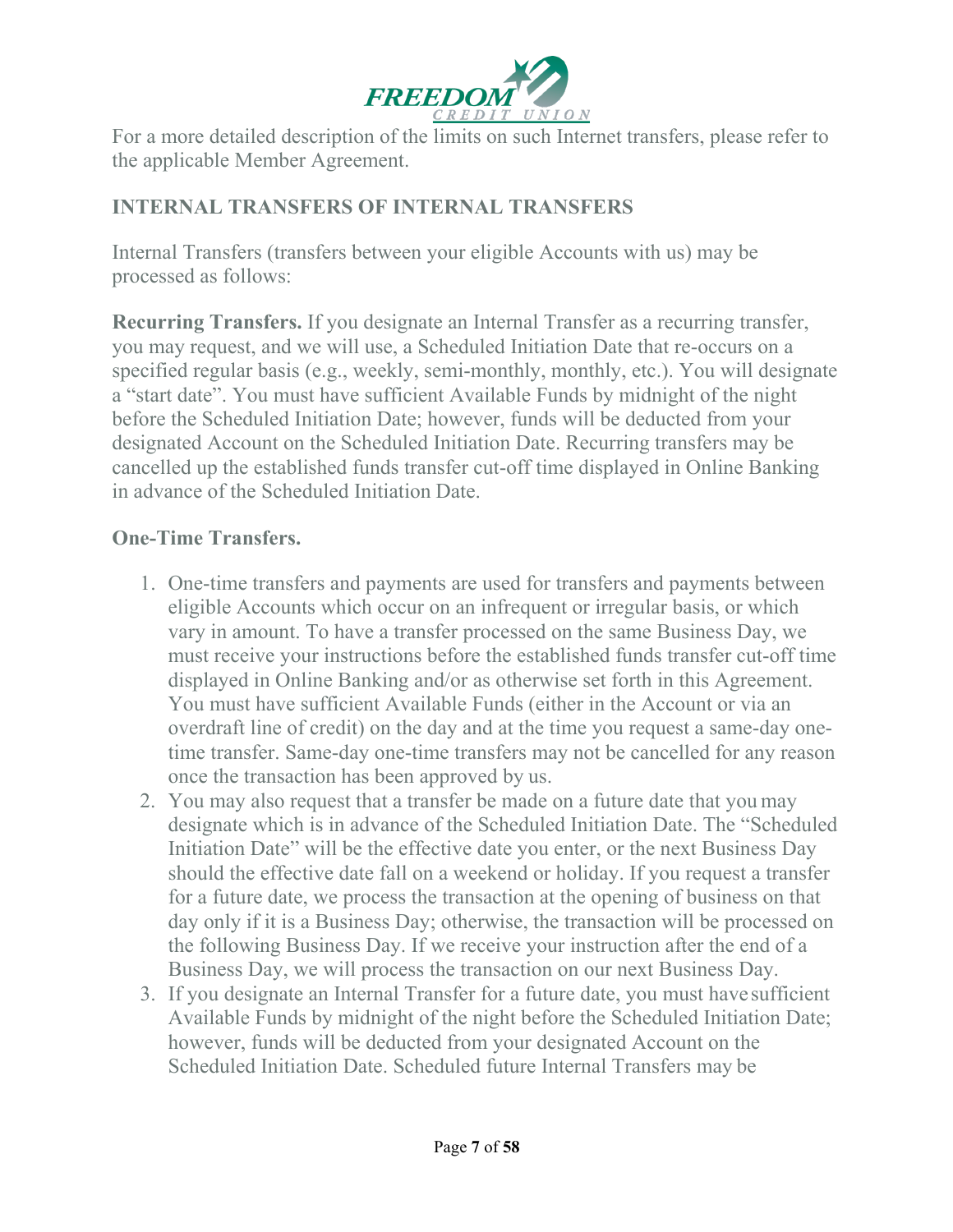

For a more detailed description of the limits on such Internet transfers, please refer to the applicable Member Agreement.

# **INTERNAL TRANSFERS OF INTERNAL TRANSFERS**

Internal Transfers (transfers between your eligible Accounts with us) may be processed as follows:

**Recurring Transfers.** If you designate an Internal Transfer as a recurring transfer, you may request, and we will use, a Scheduled Initiation Date that re-occurs on a specified regular basis (e.g., weekly, semi-monthly, monthly, etc.). You will designate a "start date". You must have sufficient Available Funds by midnight of the night before the Scheduled Initiation Date; however, funds will be deducted from your designated Account on the Scheduled Initiation Date. Recurring transfers may be cancelled up the established funds transfer cut-off time displayed in Online Banking in advance of the Scheduled Initiation Date.

### **One-Time Transfers.**

- 1. One-time transfers and payments are used for transfers and payments between eligible Accounts which occur on an infrequent or irregular basis, or which vary in amount. To have a transfer processed on the same Business Day, we must receive your instructions before the established funds transfer cut-off time displayed in Online Banking and/or as otherwise set forth in this Agreement. You must have sufficient Available Funds (either in the Account or via an overdraft line of credit) on the day and at the time you request a same-day onetime transfer. Same-day one-time transfers may not be cancelled for any reason once the transaction has been approved by us.
- 2. You may also request that a transfer be made on a future date that you may designate which is in advance of the Scheduled Initiation Date. The "Scheduled Initiation Date" will be the effective date you enter, or the next Business Day should the effective date fall on a weekend or holiday. If you request a transfer for a future date, we process the transaction at the opening of business on that day only if it is a Business Day; otherwise, the transaction will be processed on the following Business Day. If we receive your instruction after the end of a Business Day, we will process the transaction on our next Business Day.
- 3. If you designate an Internal Transfer for a future date, you must have sufficient Available Funds by midnight of the night before the Scheduled Initiation Date; however, funds will be deducted from your designated Account on the Scheduled Initiation Date. Scheduled future Internal Transfers may be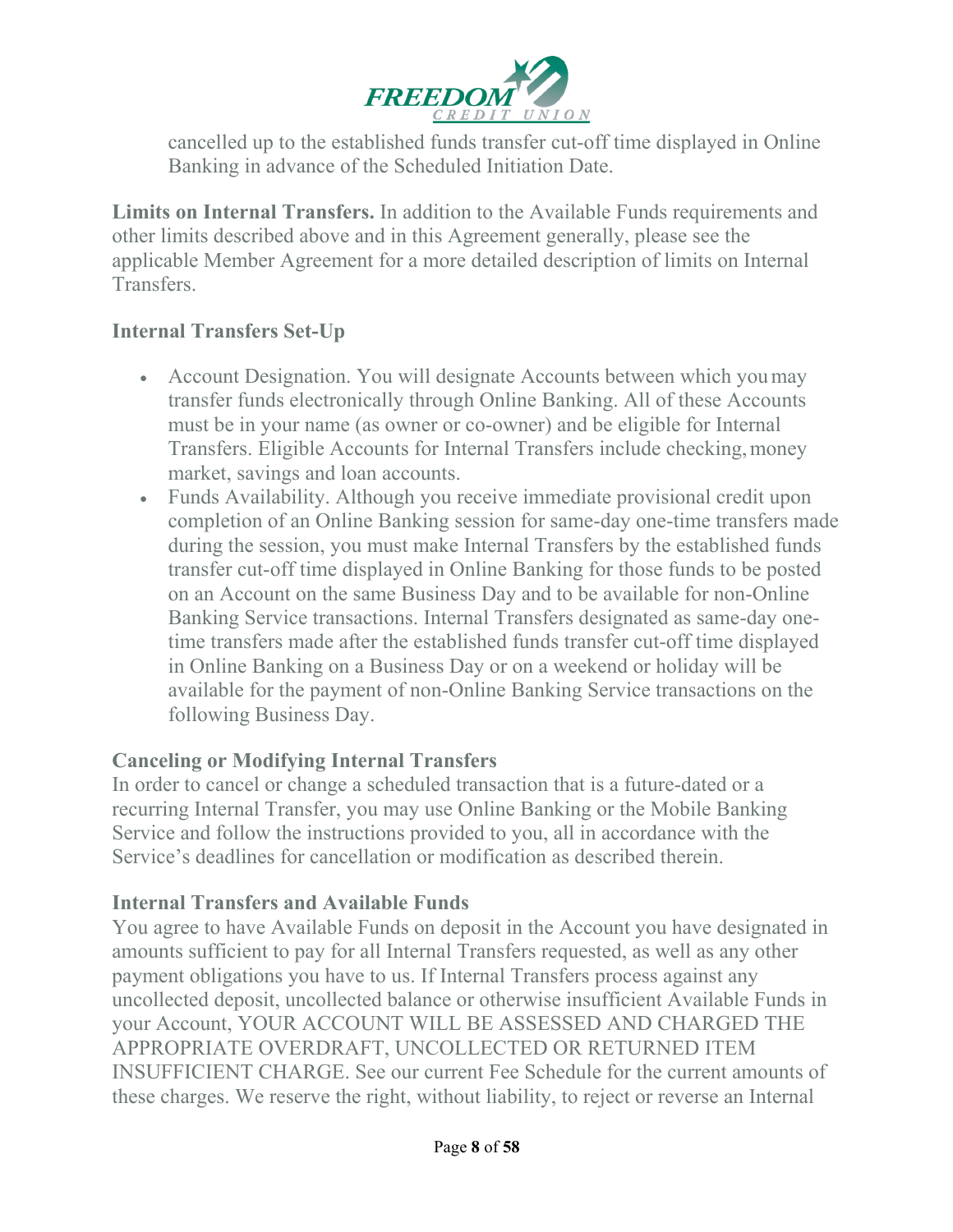

cancelled up to the established funds transfer cut-off time displayed in Online Banking in advance of the Scheduled Initiation Date.

**Limits on Internal Transfers.** In addition to the Available Funds requirements and other limits described above and in this Agreement generally, please see the applicable Member Agreement for a more detailed description of limits on Internal Transfers.

### **Internal Transfers Set-Up**

- Account Designation. You will designate Accounts between which you may transfer funds electronically through Online Banking. All of these Accounts must be in your name (as owner or co-owner) and be eligible for Internal Transfers. Eligible Accounts for Internal Transfers include checking,money market, savings and loan accounts.
- Funds Availability. Although you receive immediate provisional credit upon completion of an Online Banking session for same-day one-time transfers made during the session, you must make Internal Transfers by the established funds transfer cut-off time displayed in Online Banking for those funds to be posted on an Account on the same Business Day and to be available for non-Online Banking Service transactions. Internal Transfers designated as same-day onetime transfers made after the established funds transfer cut-off time displayed in Online Banking on a Business Day or on a weekend or holiday will be available for the payment of non-Online Banking Service transactions on the following Business Day.

#### **Canceling or Modifying Internal Transfers**

In order to cancel or change a scheduled transaction that is a future-dated or a recurring Internal Transfer, you may use Online Banking or the Mobile Banking Service and follow the instructions provided to you, all in accordance with the Service's deadlines for cancellation or modification as described therein.

#### **Internal Transfers and Available Funds**

You agree to have Available Funds on deposit in the Account you have designated in amounts sufficient to pay for all Internal Transfers requested, as well as any other payment obligations you have to us. If Internal Transfers process against any uncollected deposit, uncollected balance or otherwise insufficient Available Funds in your Account, YOUR ACCOUNT WILL BE ASSESSED AND CHARGED THE APPROPRIATE OVERDRAFT, UNCOLLECTED OR RETURNED ITEM INSUFFICIENT CHARGE. See our current Fee Schedule for the current amounts of these charges. We reserve the right, without liability, to reject or reverse an Internal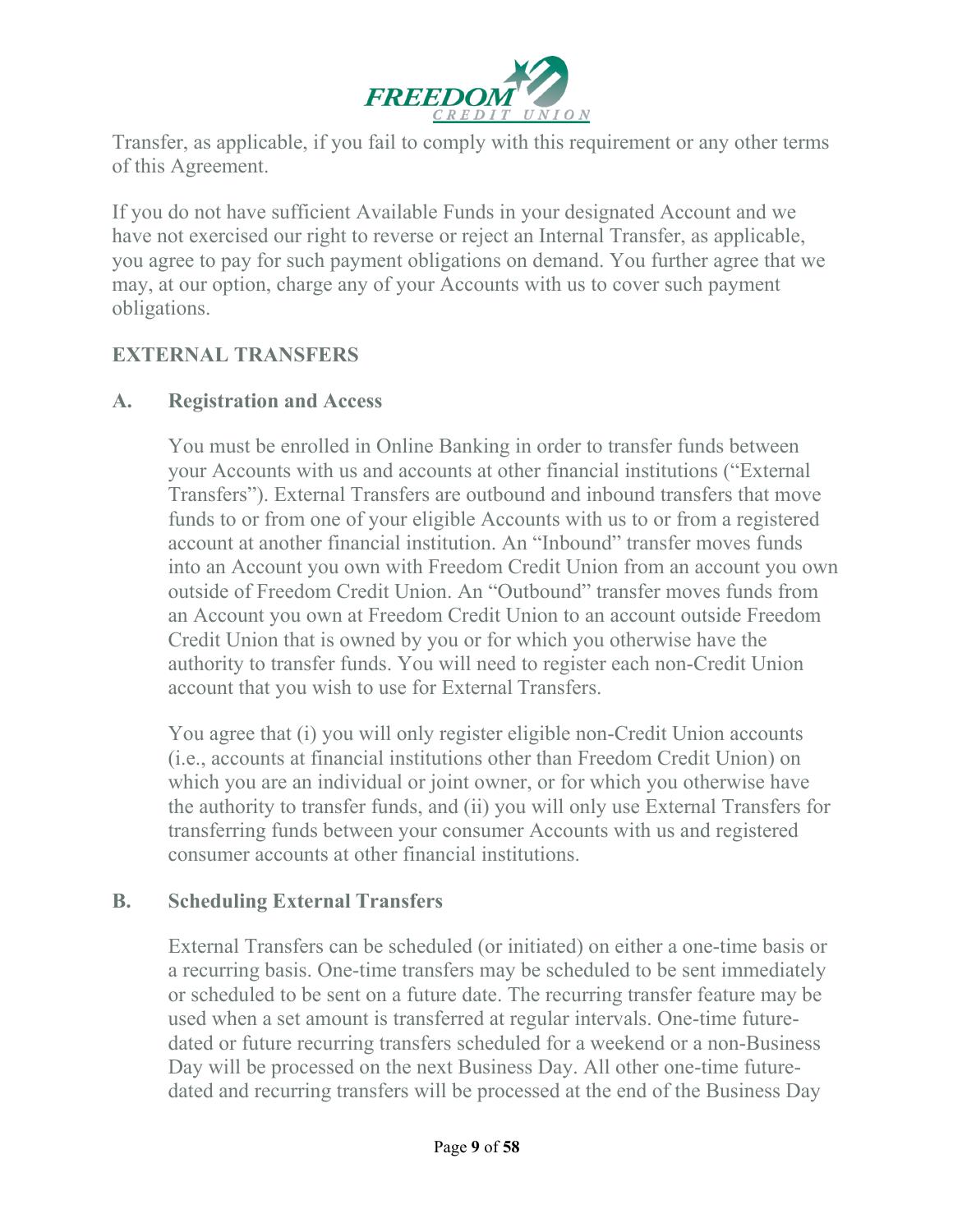

Transfer, as applicable, if you fail to comply with this requirement or any other terms of this Agreement.

If you do not have sufficient Available Funds in your designated Account and we have not exercised our right to reverse or reject an Internal Transfer, as applicable, you agree to pay for such payment obligations on demand. You further agree that we may, at our option, charge any of your Accounts with us to cover such payment obligations.

#### **EXTERNAL TRANSFERS**

#### **A. Registration and Access**

You must be enrolled in Online Banking in order to transfer funds between your Accounts with us and accounts at other financial institutions ("External Transfers"). External Transfers are outbound and inbound transfers that move funds to or from one of your eligible Accounts with us to or from a registered account at another financial institution. An "Inbound" transfer moves funds into an Account you own with Freedom Credit Union from an account you own outside of Freedom Credit Union. An "Outbound" transfer moves funds from an Account you own at Freedom Credit Union to an account outside Freedom Credit Union that is owned by you or for which you otherwise have the authority to transfer funds. You will need to register each non-Credit Union account that you wish to use for External Transfers.

You agree that (i) you will only register eligible non-Credit Union accounts (i.e., accounts at financial institutions other than Freedom Credit Union) on which you are an individual or joint owner, or for which you otherwise have the authority to transfer funds, and (ii) you will only use External Transfers for transferring funds between your consumer Accounts with us and registered consumer accounts at other financial institutions.

#### **B. Scheduling External Transfers**

External Transfers can be scheduled (or initiated) on either a one-time basis or a recurring basis. One-time transfers may be scheduled to be sent immediately or scheduled to be sent on a future date. The recurring transfer feature may be used when a set amount is transferred at regular intervals. One-time futuredated or future recurring transfers scheduled for a weekend or a non-Business Day will be processed on the next Business Day. All other one-time futuredated and recurring transfers will be processed at the end of the Business Day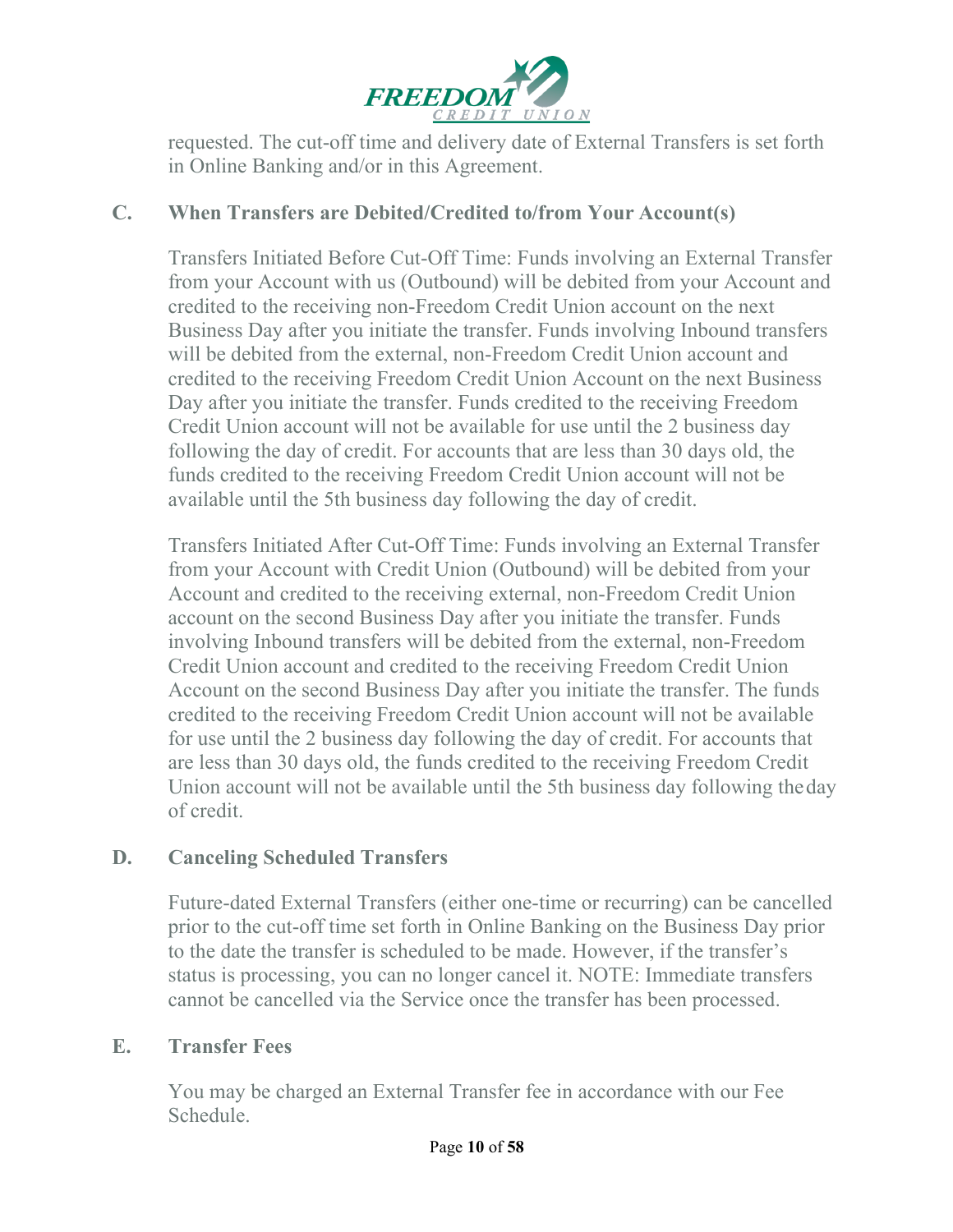

requested. The cut-off time and delivery date of External Transfers is set forth in Online Banking and/or in this Agreement.

#### **C. When Transfers are Debited/Credited to/from Your Account(s)**

Transfers Initiated Before Cut-Off Time: Funds involving an External Transfer from your Account with us (Outbound) will be debited from your Account and credited to the receiving non-Freedom Credit Union account on the next Business Day after you initiate the transfer. Funds involving Inbound transfers will be debited from the external, non-Freedom Credit Union account and credited to the receiving Freedom Credit Union Account on the next Business Day after you initiate the transfer. Funds credited to the receiving Freedom Credit Union account will not be available for use until the 2 business day following the day of credit. For accounts that are less than 30 days old, the funds credited to the receiving Freedom Credit Union account will not be available until the 5th business day following the day of credit.

Transfers Initiated After Cut-Off Time: Funds involving an External Transfer from your Account with Credit Union (Outbound) will be debited from your Account and credited to the receiving external, non-Freedom Credit Union account on the second Business Day after you initiate the transfer. Funds involving Inbound transfers will be debited from the external, non-Freedom Credit Union account and credited to the receiving Freedom Credit Union Account on the second Business Day after you initiate the transfer. The funds credited to the receiving Freedom Credit Union account will not be available for use until the 2 business day following the day of credit. For accounts that are less than 30 days old, the funds credited to the receiving Freedom Credit Union account will not be available until the 5th business day following theday of credit.

#### **D. Canceling Scheduled Transfers**

Future-dated External Transfers (either one-time or recurring) can be cancelled prior to the cut-off time set forth in Online Banking on the Business Day prior to the date the transfer is scheduled to be made. However, if the transfer's status is processing, you can no longer cancel it. NOTE: Immediate transfers cannot be cancelled via the Service once the transfer has been processed.

#### **E. Transfer Fees**

You may be charged an External Transfer fee in accordance with our Fee Schedule.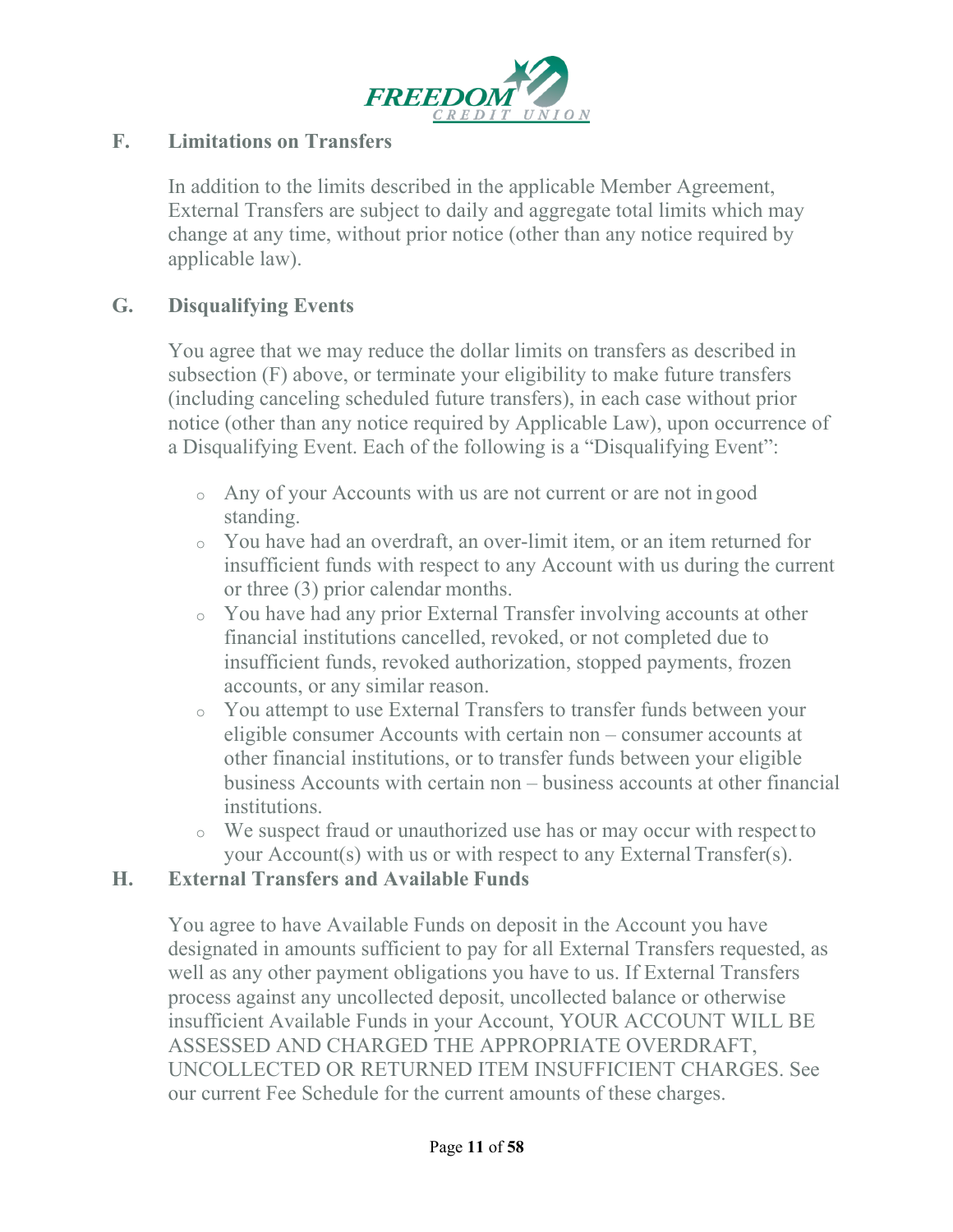

#### **F. Limitations on Transfers**

In addition to the limits described in the applicable Member Agreement, External Transfers are subject to daily and aggregate total limits which may change at any time, without prior notice (other than any notice required by applicable law).

#### **G. Disqualifying Events**

You agree that we may reduce the dollar limits on transfers as described in subsection (F) above, or terminate your eligibility to make future transfers (including canceling scheduled future transfers), in each case without prior notice (other than any notice required by Applicable Law), upon occurrence of a Disqualifying Event. Each of the following is a "Disqualifying Event":

- <sup>o</sup> Any of your Accounts with us are not current or are not in good standing.
- <sup>o</sup> You have had an overdraft, an over-limit item, or an item returned for insufficient funds with respect to any Account with us during the current or three (3) prior calendar months.
- <sup>o</sup> You have had any prior External Transfer involving accounts at other financial institutions cancelled, revoked, or not completed due to insufficient funds, revoked authorization, stopped payments, frozen accounts, or any similar reason.
- <sup>o</sup> You attempt to use External Transfers to transfer funds between your eligible consumer Accounts with certain non – consumer accounts at other financial institutions, or to transfer funds between your eligible business Accounts with certain non – business accounts at other financial institutions.
- <sup>o</sup> We suspect fraud or unauthorized use has or may occur with respectto your Account(s) with us or with respect to any External Transfer(s).

#### **H. External Transfers and Available Funds**

You agree to have Available Funds on deposit in the Account you have designated in amounts sufficient to pay for all External Transfers requested, as well as any other payment obligations you have to us. If External Transfers process against any uncollected deposit, uncollected balance or otherwise insufficient Available Funds in your Account, YOUR ACCOUNT WILL BE ASSESSED AND CHARGED THE APPROPRIATE OVERDRAFT, UNCOLLECTED OR RETURNED ITEM INSUFFICIENT CHARGES. See our current Fee Schedule for the current amounts of these charges.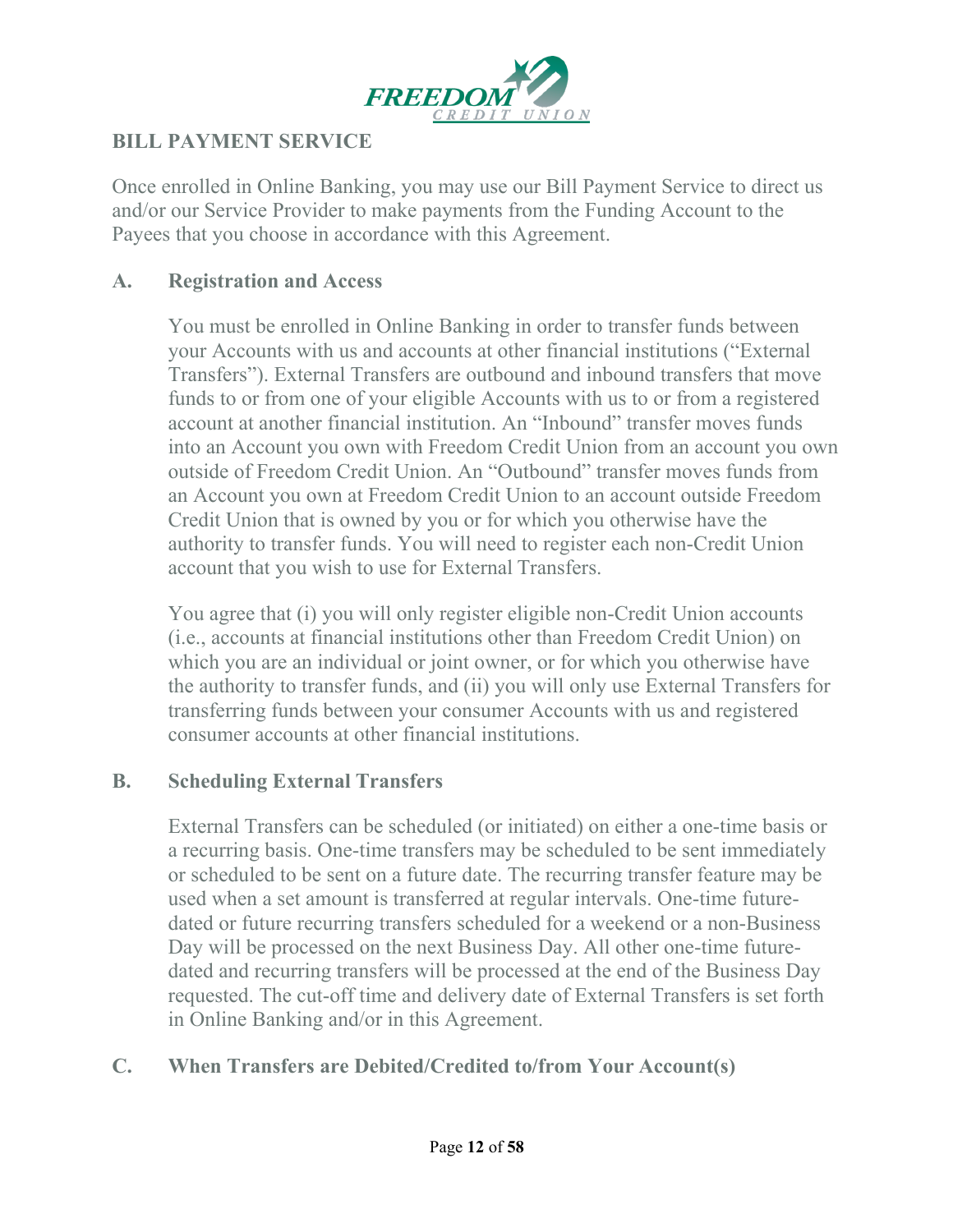

#### **BILL PAYMENT SERVICE**

Once enrolled in Online Banking, you may use our Bill Payment Service to direct us and/or our Service Provider to make payments from the Funding Account to the Payees that you choose in accordance with this Agreement.

#### **A. Registration and Access**

You must be enrolled in Online Banking in order to transfer funds between your Accounts with us and accounts at other financial institutions ("External Transfers"). External Transfers are outbound and inbound transfers that move funds to or from one of your eligible Accounts with us to or from a registered account at another financial institution. An "Inbound" transfer moves funds into an Account you own with Freedom Credit Union from an account you own outside of Freedom Credit Union. An "Outbound" transfer moves funds from an Account you own at Freedom Credit Union to an account outside Freedom Credit Union that is owned by you or for which you otherwise have the authority to transfer funds. You will need to register each non-Credit Union account that you wish to use for External Transfers.

You agree that (i) you will only register eligible non-Credit Union accounts (i.e., accounts at financial institutions other than Freedom Credit Union) on which you are an individual or joint owner, or for which you otherwise have the authority to transfer funds, and (ii) you will only use External Transfers for transferring funds between your consumer Accounts with us and registered consumer accounts at other financial institutions.

#### **B. Scheduling External Transfers**

External Transfers can be scheduled (or initiated) on either a one-time basis or a recurring basis. One-time transfers may be scheduled to be sent immediately or scheduled to be sent on a future date. The recurring transfer feature may be used when a set amount is transferred at regular intervals. One-time futuredated or future recurring transfers scheduled for a weekend or a non-Business Day will be processed on the next Business Day. All other one-time futuredated and recurring transfers will be processed at the end of the Business Day requested. The cut-off time and delivery date of External Transfers is set forth in Online Banking and/or in this Agreement.

#### **C. When Transfers are Debited/Credited to/from Your Account(s)**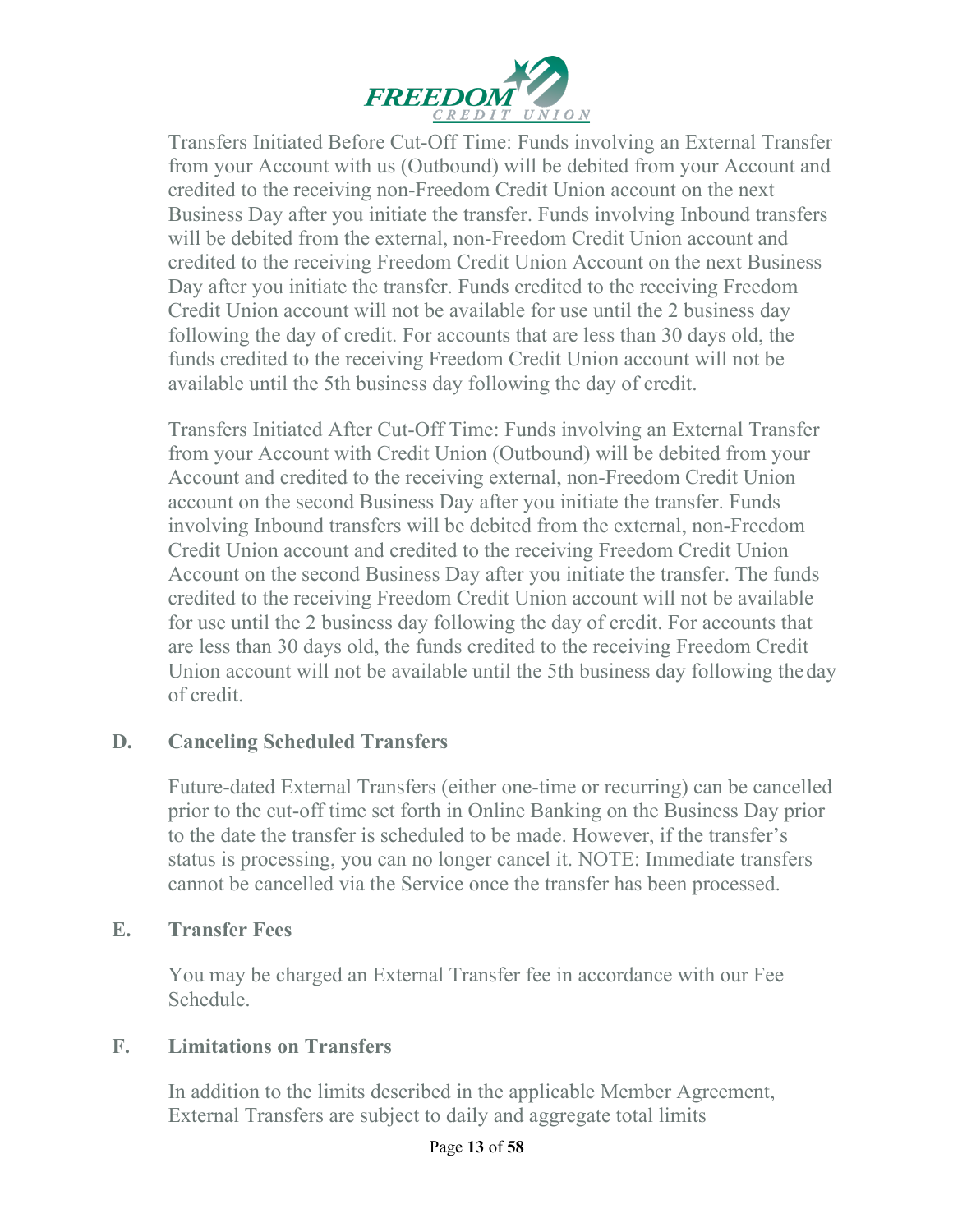

Transfers Initiated Before Cut-Off Time: Funds involving an External Transfer from your Account with us (Outbound) will be debited from your Account and credited to the receiving non-Freedom Credit Union account on the next Business Day after you initiate the transfer. Funds involving Inbound transfers will be debited from the external, non-Freedom Credit Union account and credited to the receiving Freedom Credit Union Account on the next Business Day after you initiate the transfer. Funds credited to the receiving Freedom Credit Union account will not be available for use until the 2 business day following the day of credit. For accounts that are less than 30 days old, the funds credited to the receiving Freedom Credit Union account will not be available until the 5th business day following the day of credit.

Transfers Initiated After Cut-Off Time: Funds involving an External Transfer from your Account with Credit Union (Outbound) will be debited from your Account and credited to the receiving external, non-Freedom Credit Union account on the second Business Day after you initiate the transfer. Funds involving Inbound transfers will be debited from the external, non-Freedom Credit Union account and credited to the receiving Freedom Credit Union Account on the second Business Day after you initiate the transfer. The funds credited to the receiving Freedom Credit Union account will not be available for use until the 2 business day following the day of credit. For accounts that are less than 30 days old, the funds credited to the receiving Freedom Credit Union account will not be available until the 5th business day following theday of credit.

#### **D. Canceling Scheduled Transfers**

Future-dated External Transfers (either one-time or recurring) can be cancelled prior to the cut-off time set forth in Online Banking on the Business Day prior to the date the transfer is scheduled to be made. However, if the transfer's status is processing, you can no longer cancel it. NOTE: Immediate transfers cannot be cancelled via the Service once the transfer has been processed.

#### **E. Transfer Fees**

You may be charged an External Transfer fee in accordance with our Fee Schedule.

#### **F. Limitations on Transfers**

In addition to the limits described in the applicable Member Agreement, External Transfers are subject to daily and aggregate total limits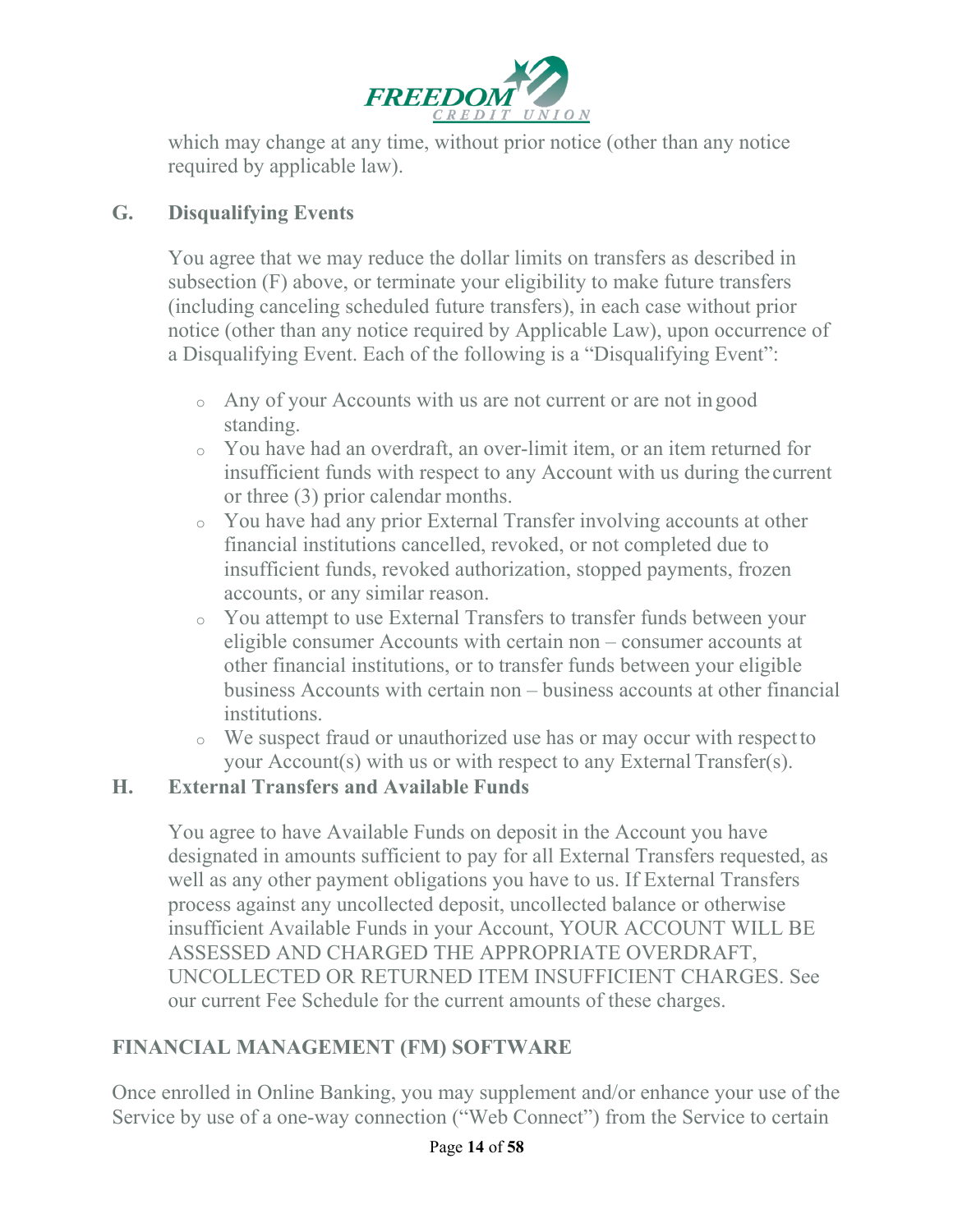

which may change at any time, without prior notice (other than any notice required by applicable law).

# **G. Disqualifying Events**

You agree that we may reduce the dollar limits on transfers as described in subsection (F) above, or terminate your eligibility to make future transfers (including canceling scheduled future transfers), in each case without prior notice (other than any notice required by Applicable Law), upon occurrence of a Disqualifying Event. Each of the following is a "Disqualifying Event":

- <sup>o</sup> Any of your Accounts with us are not current or are not in good standing.
- <sup>o</sup> You have had an overdraft, an over-limit item, or an item returned for insufficient funds with respect to any Account with us during the current or three (3) prior calendar months.
- <sup>o</sup> You have had any prior External Transfer involving accounts at other financial institutions cancelled, revoked, or not completed due to insufficient funds, revoked authorization, stopped payments, frozen accounts, or any similar reason.
- <sup>o</sup> You attempt to use External Transfers to transfer funds between your eligible consumer Accounts with certain non – consumer accounts at other financial institutions, or to transfer funds between your eligible business Accounts with certain non – business accounts at other financial institutions.
- <sup>o</sup> We suspect fraud or unauthorized use has or may occur with respectto your Account(s) with us or with respect to any External Transfer(s).

#### **H. External Transfers and Available Funds**

You agree to have Available Funds on deposit in the Account you have designated in amounts sufficient to pay for all External Transfers requested, as well as any other payment obligations you have to us. If External Transfers process against any uncollected deposit, uncollected balance or otherwise insufficient Available Funds in your Account, YOUR ACCOUNT WILL BE ASSESSED AND CHARGED THE APPROPRIATE OVERDRAFT, UNCOLLECTED OR RETURNED ITEM INSUFFICIENT CHARGES. See our current Fee Schedule for the current amounts of these charges.

# **FINANCIAL MANAGEMENT (FM) SOFTWARE**

Once enrolled in Online Banking, you may supplement and/or enhance your use of the Service by use of a one-way connection ("Web Connect") from the Service to certain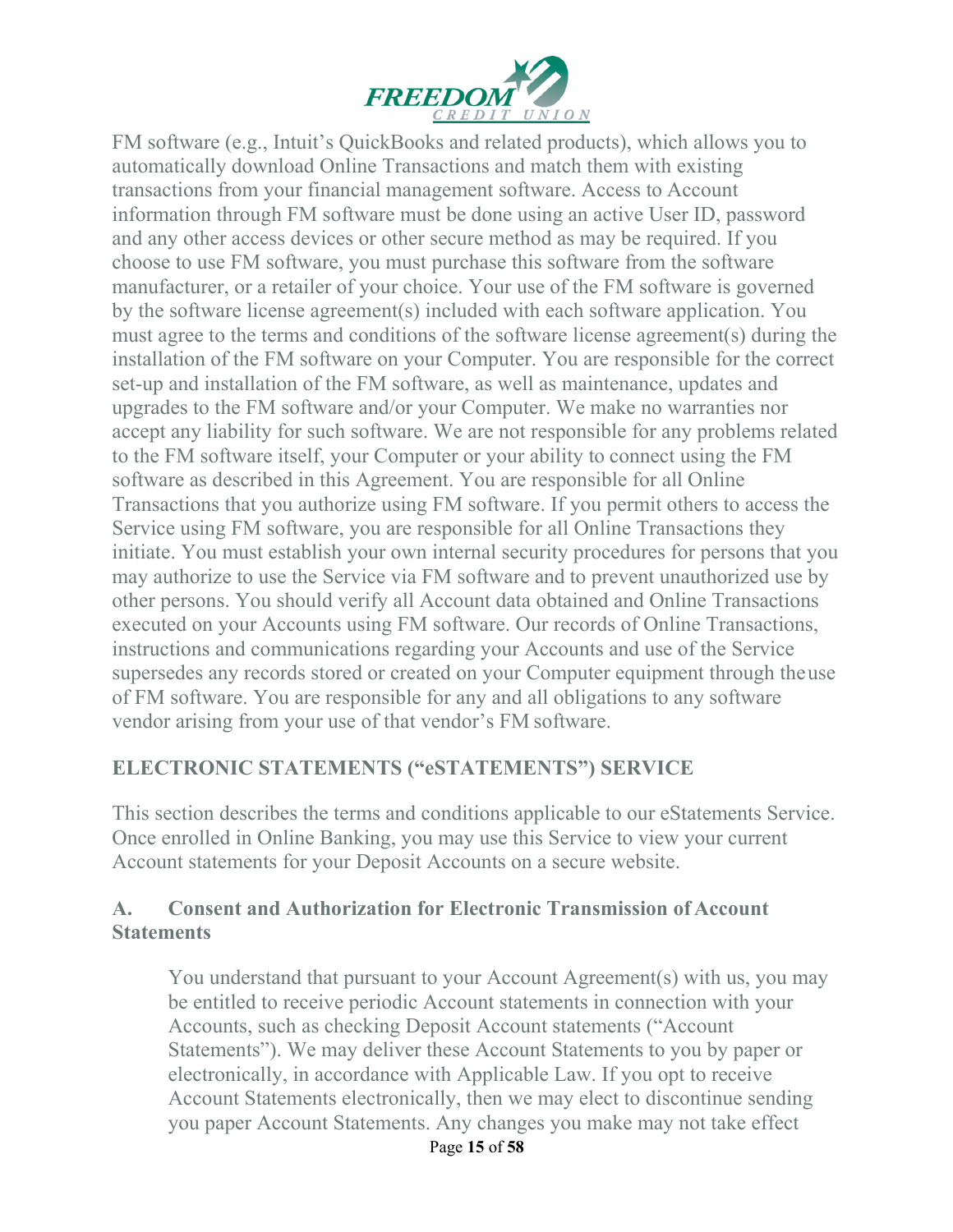

FM software (e.g., Intuit's QuickBooks and related products), which allows you to automatically download Online Transactions and match them with existing transactions from your financial management software. Access to Account information through FM software must be done using an active User ID, password and any other access devices or other secure method as may be required. If you choose to use FM software, you must purchase this software from the software manufacturer, or a retailer of your choice. Your use of the FM software is governed by the software license agreement(s) included with each software application. You must agree to the terms and conditions of the software license agreement(s) during the installation of the FM software on your Computer. You are responsible for the correct set-up and installation of the FM software, as well as maintenance, updates and upgrades to the FM software and/or your Computer. We make no warranties nor accept any liability for such software. We are not responsible for any problems related to the FM software itself, your Computer or your ability to connect using the FM software as described in this Agreement. You are responsible for all Online Transactions that you authorize using FM software. If you permit others to access the Service using FM software, you are responsible for all Online Transactions they initiate. You must establish your own internal security procedures for persons that you may authorize to use the Service via FM software and to prevent unauthorized use by other persons. You should verify all Account data obtained and Online Transactions executed on your Accounts using FM software. Our records of Online Transactions, instructions and communications regarding your Accounts and use of the Service supersedes any records stored or created on your Computer equipment through theuse of FM software. You are responsible for any and all obligations to any software vendor arising from your use of that vendor's FM software.

#### **ELECTRONIC STATEMENTS ("eSTATEMENTS") SERVICE**

This section describes the terms and conditions applicable to our eStatements Service. Once enrolled in Online Banking, you may use this Service to view your current Account statements for your Deposit Accounts on a secure website.

#### **A. Consent and Authorization for Electronic Transmission of Account Statements**

You understand that pursuant to your Account Agreement(s) with us, you may be entitled to receive periodic Account statements in connection with your Accounts, such as checking Deposit Account statements ("Account Statements"). We may deliver these Account Statements to you by paper or electronically, in accordance with Applicable Law. If you opt to receive Account Statements electronically, then we may elect to discontinue sending you paper Account Statements. Any changes you make may not take effect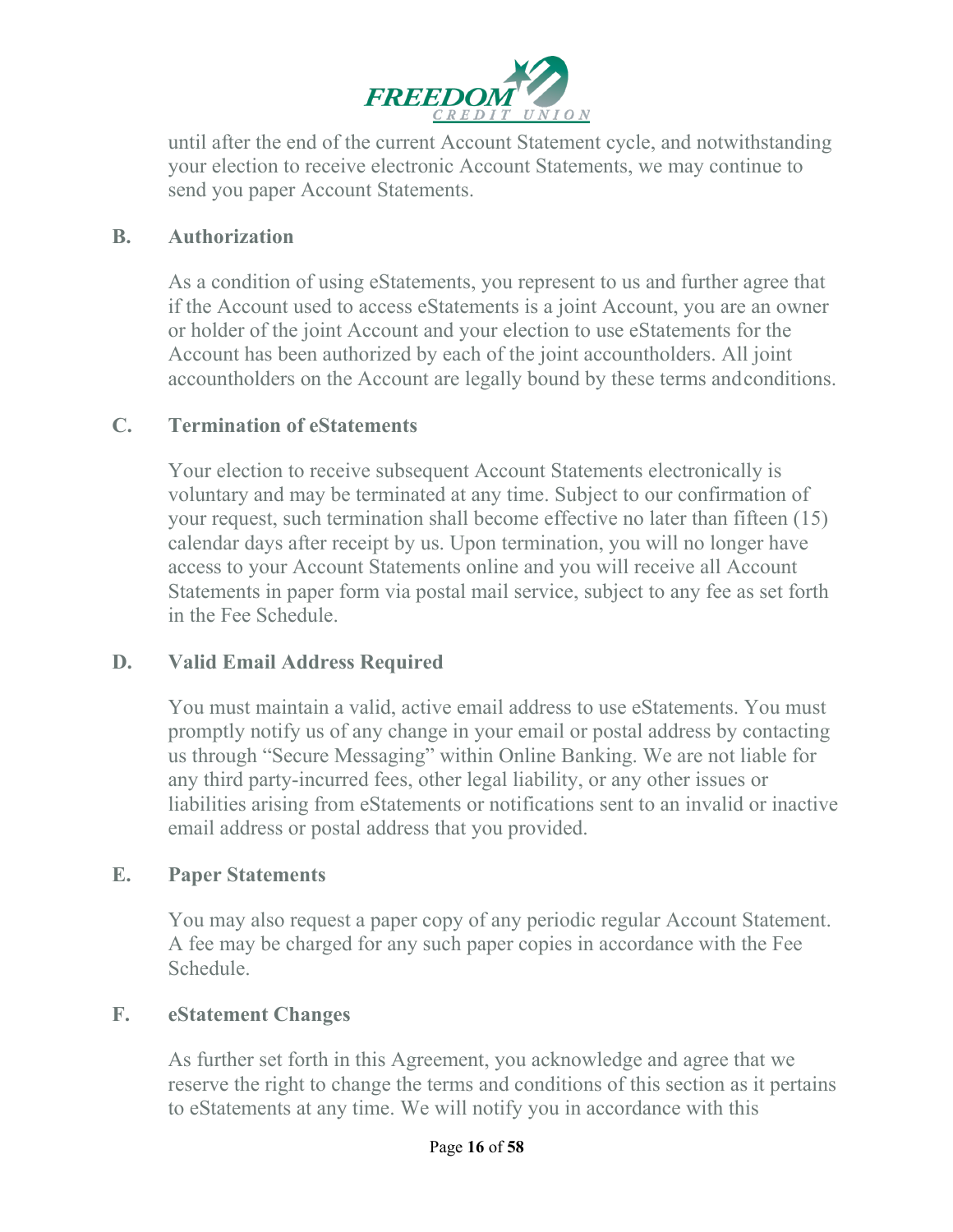

until after the end of the current Account Statement cycle, and notwithstanding your election to receive electronic Account Statements, we may continue to send you paper Account Statements.

#### **B. Authorization**

As a condition of using eStatements, you represent to us and further agree that if the Account used to access eStatements is a joint Account, you are an owner or holder of the joint Account and your election to use eStatements for the Account has been authorized by each of the joint accountholders. All joint accountholders on the Account are legally bound by these terms andconditions.

#### **C. Termination of eStatements**

Your election to receive subsequent Account Statements electronically is voluntary and may be terminated at any time. Subject to our confirmation of your request, such termination shall become effective no later than fifteen (15) calendar days after receipt by us. Upon termination, you will no longer have access to your Account Statements online and you will receive all Account Statements in paper form via postal mail service, subject to any fee as set forth in the Fee Schedule.

#### **D. Valid Email Address Required**

You must maintain a valid, active email address to use eStatements. You must promptly notify us of any change in your email or postal address by contacting us through "Secure Messaging" within Online Banking. We are not liable for any third party-incurred fees, other legal liability, or any other issues or liabilities arising from eStatements or notifications sent to an invalid or inactive email address or postal address that you provided.

#### **E. Paper Statements**

You may also request a paper copy of any periodic regular Account Statement. A fee may be charged for any such paper copies in accordance with the Fee Schedule.

#### **F. eStatement Changes**

As further set forth in this Agreement, you acknowledge and agree that we reserve the right to change the terms and conditions of this section as it pertains to eStatements at any time. We will notify you in accordance with this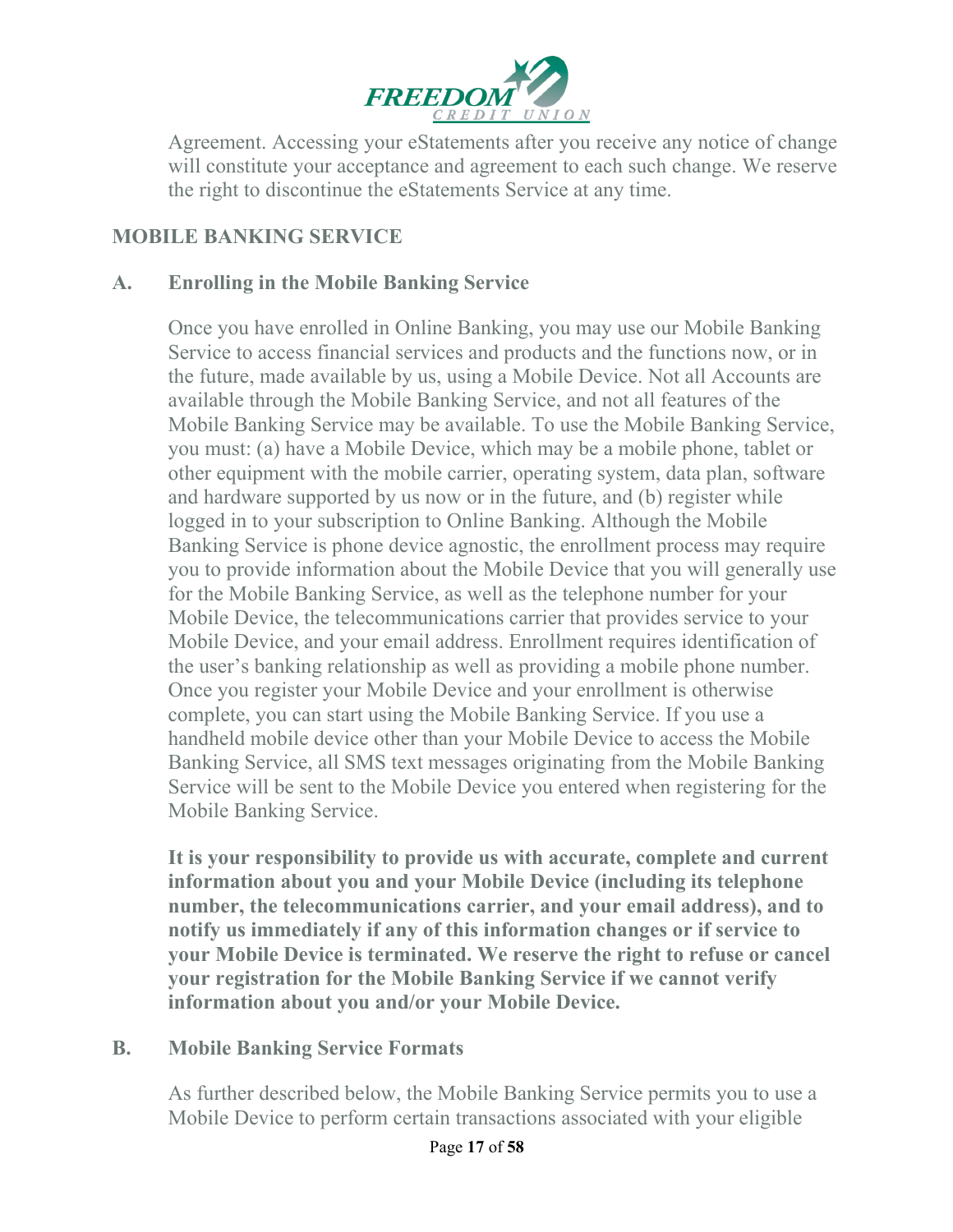

Agreement. Accessing your eStatements after you receive any notice of change will constitute your acceptance and agreement to each such change. We reserve the right to discontinue the eStatements Service at any time.

#### **MOBILE BANKING SERVICE**

#### **A. Enrolling in the Mobile Banking Service**

Once you have enrolled in Online Banking, you may use our Mobile Banking Service to access financial services and products and the functions now, or in the future, made available by us, using a Mobile Device. Not all Accounts are available through the Mobile Banking Service, and not all features of the Mobile Banking Service may be available. To use the Mobile Banking Service, you must: (a) have a Mobile Device, which may be a mobile phone, tablet or other equipment with the mobile carrier, operating system, data plan, software and hardware supported by us now or in the future, and (b) register while logged in to your subscription to Online Banking. Although the Mobile Banking Service is phone device agnostic, the enrollment process may require you to provide information about the Mobile Device that you will generally use for the Mobile Banking Service, as well as the telephone number for your Mobile Device, the telecommunications carrier that provides service to your Mobile Device, and your email address. Enrollment requires identification of the user's banking relationship as well as providing a mobile phone number. Once you register your Mobile Device and your enrollment is otherwise complete, you can start using the Mobile Banking Service. If you use a handheld mobile device other than your Mobile Device to access the Mobile Banking Service, all SMS text messages originating from the Mobile Banking Service will be sent to the Mobile Device you entered when registering for the Mobile Banking Service.

**It is your responsibility to provide us with accurate, complete and current information about you and your Mobile Device (including its telephone number, the telecommunications carrier, and your email address), and to notify us immediately if any of this information changes or if service to your Mobile Device is terminated. We reserve the right to refuse or cancel your registration for the Mobile Banking Service if we cannot verify information about you and/or your Mobile Device.**

#### **B. Mobile Banking Service Formats**

As further described below, the Mobile Banking Service permits you to use a Mobile Device to perform certain transactions associated with your eligible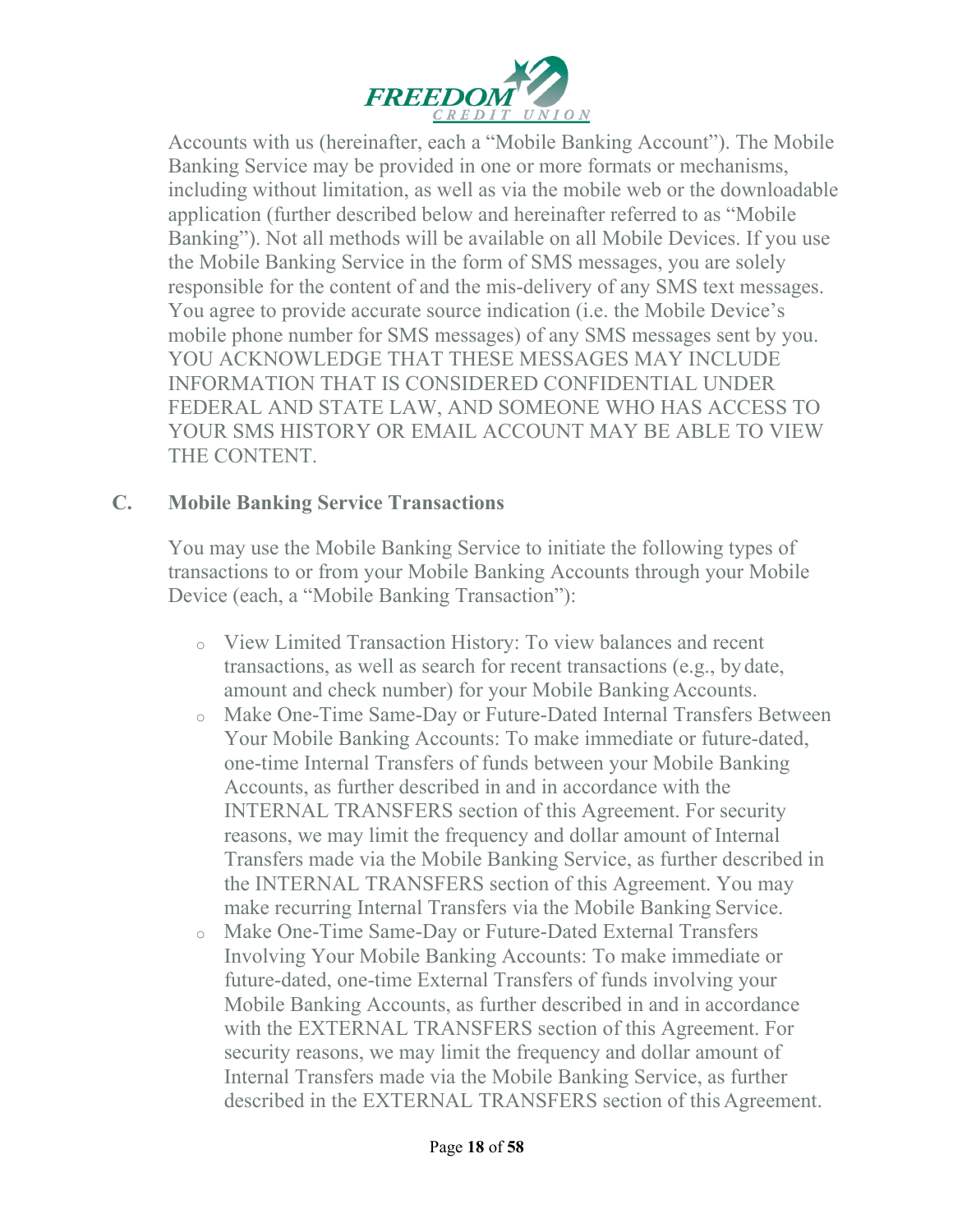

Accounts with us (hereinafter, each a "Mobile Banking Account"). The Mobile Banking Service may be provided in one or more formats or mechanisms, including without limitation, as well as via the mobile web or the downloadable application (further described below and hereinafter referred to as "Mobile Banking"). Not all methods will be available on all Mobile Devices. If you use the Mobile Banking Service in the form of SMS messages, you are solely responsible for the content of and the mis-delivery of any SMS text messages. You agree to provide accurate source indication (i.e. the Mobile Device's mobile phone number for SMS messages) of any SMS messages sent by you. YOU ACKNOWLEDGE THAT THESE MESSAGES MAY INCLUDE INFORMATION THAT IS CONSIDERED CONFIDENTIAL UNDER FEDERAL AND STATE LAW, AND SOMEONE WHO HAS ACCESS TO YOUR SMS HISTORY OR EMAIL ACCOUNT MAY BE ABLE TO VIEW THE CONTENT.

#### **C. Mobile Banking Service Transactions**

You may use the Mobile Banking Service to initiate the following types of transactions to or from your Mobile Banking Accounts through your Mobile Device (each, a "Mobile Banking Transaction"):

- <sup>o</sup> View Limited Transaction History: To view balances and recent transactions, as well as search for recent transactions (e.g., by date, amount and check number) for your Mobile Banking Accounts.
- <sup>o</sup> Make One-Time Same-Day or Future-Dated Internal Transfers Between Your Mobile Banking Accounts: To make immediate or future-dated, one-time Internal Transfers of funds between your Mobile Banking Accounts, as further described in and in accordance with the INTERNAL TRANSFERS section of this Agreement. For security reasons, we may limit the frequency and dollar amount of Internal Transfers made via the Mobile Banking Service, as further described in the INTERNAL TRANSFERS section of this Agreement. You may make recurring Internal Transfers via the Mobile Banking Service.
- <sup>o</sup> Make One-Time Same-Day or Future-Dated External Transfers Involving Your Mobile Banking Accounts: To make immediate or future-dated, one-time External Transfers of funds involving your Mobile Banking Accounts, as further described in and in accordance with the EXTERNAL TRANSFERS section of this Agreement. For security reasons, we may limit the frequency and dollar amount of Internal Transfers made via the Mobile Banking Service, as further described in the EXTERNAL TRANSFERS section of this Agreement.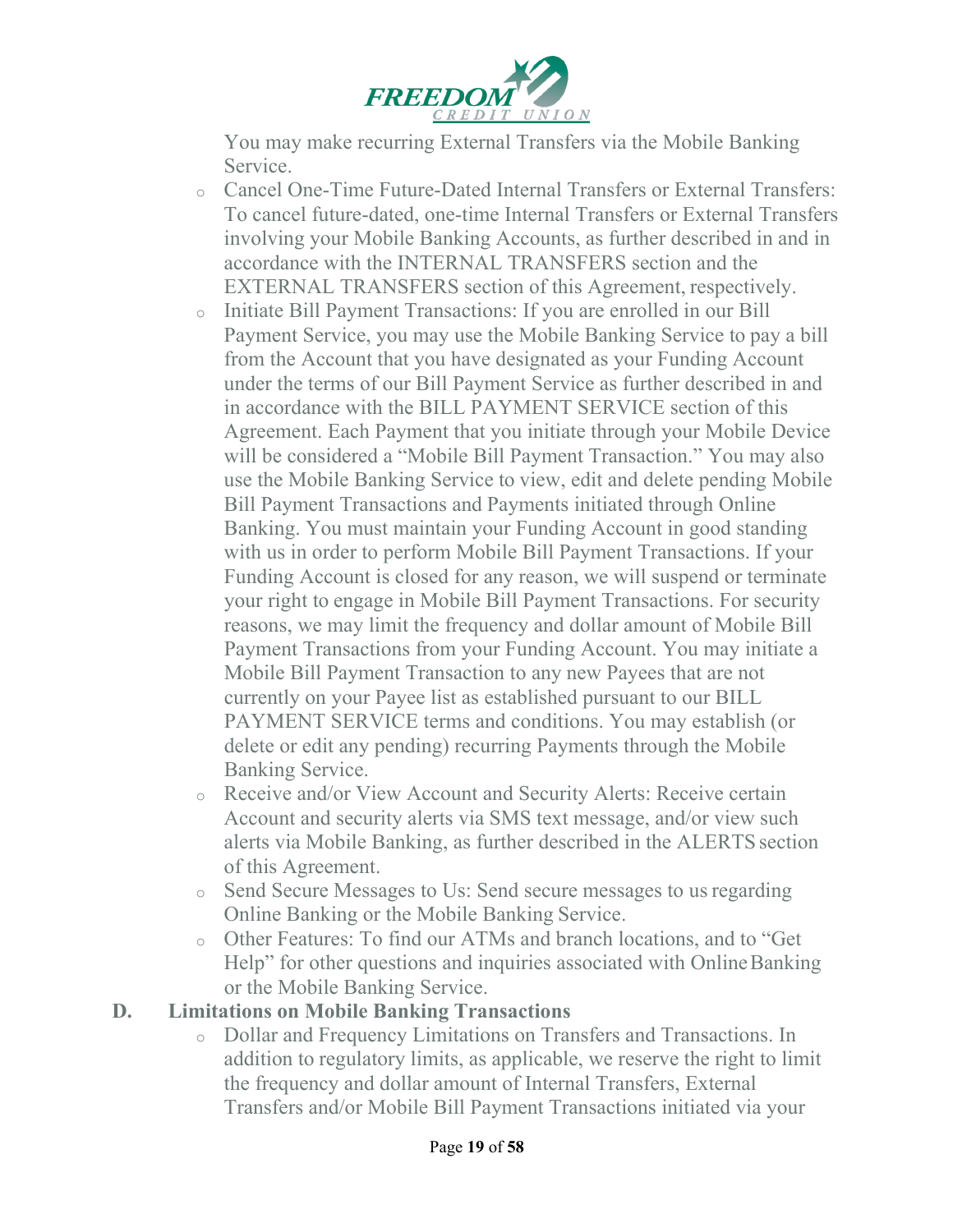

You may make recurring External Transfers via the Mobile Banking Service.

- <sup>o</sup> Cancel One-Time Future-Dated Internal Transfers or External Transfers: To cancel future-dated, one-time Internal Transfers or External Transfers involving your Mobile Banking Accounts, as further described in and in accordance with the INTERNAL TRANSFERS section and the EXTERNAL TRANSFERS section of this Agreement, respectively.
- <sup>o</sup> Initiate Bill Payment Transactions: If you are enrolled in our Bill Payment Service, you may use the Mobile Banking Service to pay a bill from the Account that you have designated as your Funding Account under the terms of our Bill Payment Service as further described in and in accordance with the BILL PAYMENT SERVICE section of this Agreement. Each Payment that you initiate through your Mobile Device will be considered a "Mobile Bill Payment Transaction." You may also use the Mobile Banking Service to view, edit and delete pending Mobile Bill Payment Transactions and Payments initiated through Online Banking. You must maintain your Funding Account in good standing with us in order to perform Mobile Bill Payment Transactions. If your Funding Account is closed for any reason, we will suspend or terminate your right to engage in Mobile Bill Payment Transactions. For security reasons, we may limit the frequency and dollar amount of Mobile Bill Payment Transactions from your Funding Account. You may initiate a Mobile Bill Payment Transaction to any new Payees that are not currently on your Payee list as established pursuant to our BILL PAYMENT SERVICE terms and conditions. You may establish (or delete or edit any pending) recurring Payments through the Mobile Banking Service.
- <sup>o</sup> Receive and/or View Account and Security Alerts: Receive certain Account and security alerts via SMS text message, and/or view such alerts via Mobile Banking, as further described in the ALERTS section of this Agreement.
- <sup>o</sup> Send Secure Messages to Us: Send secure messages to usregarding Online Banking or the Mobile Banking Service.
- <sup>o</sup> Other Features: To find our ATMs and branch locations, and to "Get Help" for other questions and inquiries associated with Online Banking or the Mobile Banking Service.

#### **D. Limitations on Mobile Banking Transactions**

<sup>o</sup> Dollar and Frequency Limitations on Transfers and Transactions. In addition to regulatory limits, as applicable, we reserve the right to limit the frequency and dollar amount of Internal Transfers, External Transfers and/or Mobile Bill Payment Transactions initiated via your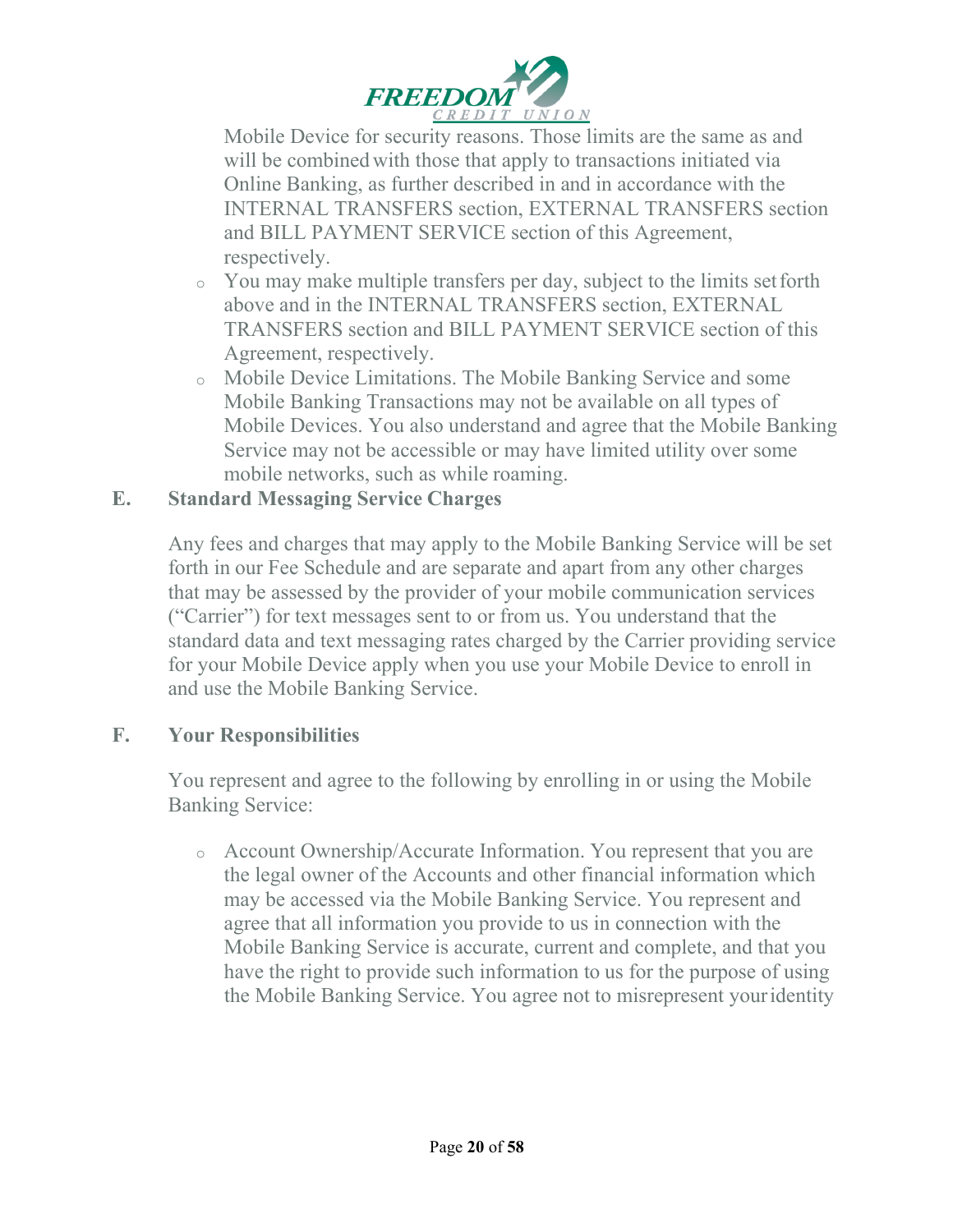

Mobile Device for security reasons. Those limits are the same as and will be combined with those that apply to transactions initiated via Online Banking, as further described in and in accordance with the INTERNAL TRANSFERS section, EXTERNAL TRANSFERS section and BILL PAYMENT SERVICE section of this Agreement, respectively.

- <sup>o</sup> You may make multiple transfers per day, subject to the limits setforth above and in the INTERNAL TRANSFERS section, EXTERNAL TRANSFERS section and BILL PAYMENT SERVICE section of this Agreement, respectively.
- <sup>o</sup> Mobile Device Limitations. The Mobile Banking Service and some Mobile Banking Transactions may not be available on all types of Mobile Devices. You also understand and agree that the Mobile Banking Service may not be accessible or may have limited utility over some mobile networks, such as while roaming.

#### **E. Standard Messaging Service Charges**

Any fees and charges that may apply to the Mobile Banking Service will be set forth in our Fee Schedule and are separate and apart from any other charges that may be assessed by the provider of your mobile communication services ("Carrier") for text messages sent to or from us. You understand that the standard data and text messaging rates charged by the Carrier providing service for your Mobile Device apply when you use your Mobile Device to enroll in and use the Mobile Banking Service.

#### **F. Your Responsibilities**

You represent and agree to the following by enrolling in or using the Mobile Banking Service:

<sup>o</sup> Account Ownership/Accurate Information. You represent that you are the legal owner of the Accounts and other financial information which may be accessed via the Mobile Banking Service. You represent and agree that all information you provide to us in connection with the Mobile Banking Service is accurate, current and complete, and that you have the right to provide such information to us for the purpose of using the Mobile Banking Service. You agree not to misrepresent youridentity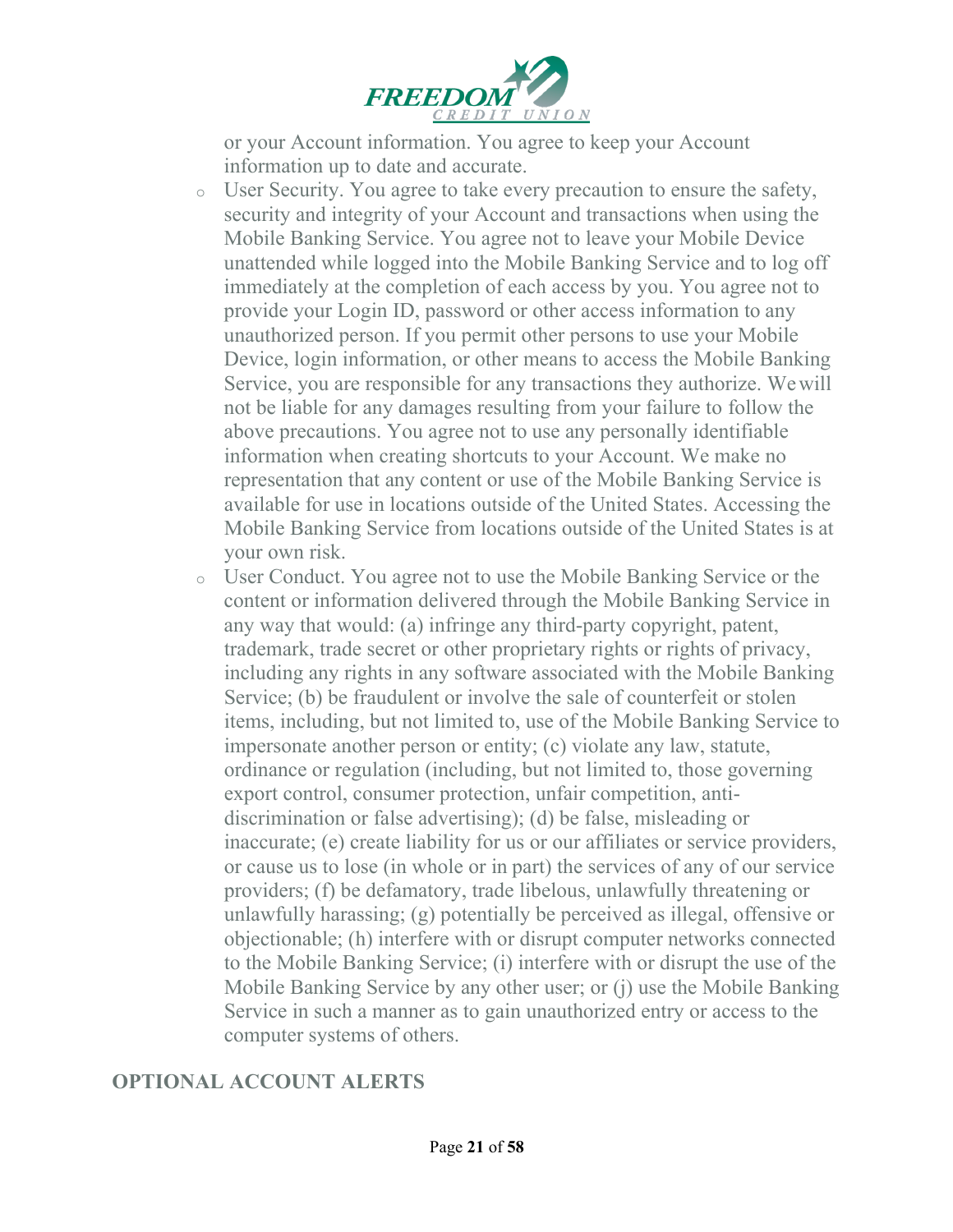

or your Account information. You agree to keep your Account information up to date and accurate.

- <sup>o</sup> User Security. You agree to take every precaution to ensure the safety, security and integrity of your Account and transactions when using the Mobile Banking Service. You agree not to leave your Mobile Device unattended while logged into the Mobile Banking Service and to log off immediately at the completion of each access by you. You agree not to provide your Login ID, password or other access information to any unauthorized person. If you permit other persons to use your Mobile Device, login information, or other means to access the Mobile Banking Service, you are responsible for any transactions they authorize. Wewill not be liable for any damages resulting from your failure to follow the above precautions. You agree not to use any personally identifiable information when creating shortcuts to your Account. We make no representation that any content or use of the Mobile Banking Service is available for use in locations outside of the United States. Accessing the Mobile Banking Service from locations outside of the United States is at your own risk.
- <sup>o</sup> User Conduct. You agree not to use the Mobile Banking Service or the content or information delivered through the Mobile Banking Service in any way that would: (a) infringe any third-party copyright, patent, trademark, trade secret or other proprietary rights or rights of privacy, including any rights in any software associated with the Mobile Banking Service; (b) be fraudulent or involve the sale of counterfeit or stolen items, including, but not limited to, use of the Mobile Banking Service to impersonate another person or entity; (c) violate any law, statute, ordinance or regulation (including, but not limited to, those governing export control, consumer protection, unfair competition, antidiscrimination or false advertising); (d) be false, misleading or inaccurate; (e) create liability for us or our affiliates or service providers, or cause us to lose (in whole or in part) the services of any of our service providers; (f) be defamatory, trade libelous, unlawfully threatening or unlawfully harassing; (g) potentially be perceived as illegal, offensive or objectionable; (h) interfere with or disrupt computer networks connected to the Mobile Banking Service; (i) interfere with or disrupt the use of the Mobile Banking Service by any other user; or (j) use the Mobile Banking Service in such a manner as to gain unauthorized entry or access to the computer systems of others.

#### **OPTIONAL ACCOUNT ALERTS**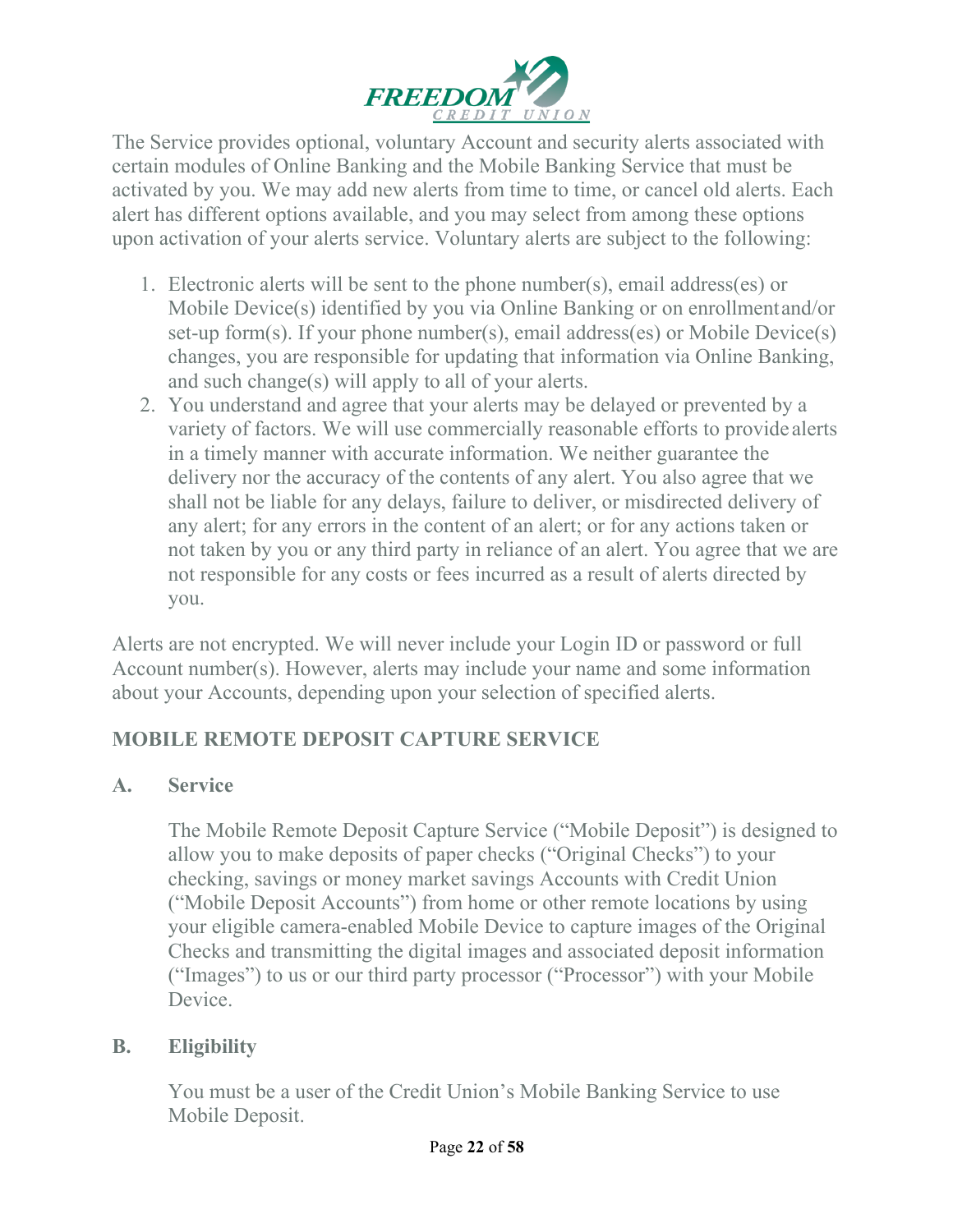

The Service provides optional, voluntary Account and security alerts associated with certain modules of Online Banking and the Mobile Banking Service that must be activated by you. We may add new alerts from time to time, or cancel old alerts. Each alert has different options available, and you may select from among these options upon activation of your alerts service. Voluntary alerts are subject to the following:

- 1. Electronic alerts will be sent to the phone number(s), email address(es) or Mobile Device(s) identified by you via Online Banking or on enrollmentand/or set-up form(s). If your phone number(s), email address(es) or Mobile Device(s) changes, you are responsible for updating that information via Online Banking, and such change(s) will apply to all of your alerts.
- 2. You understand and agree that your alerts may be delayed or prevented by a variety of factors. We will use commercially reasonable efforts to provide alerts in a timely manner with accurate information. We neither guarantee the delivery nor the accuracy of the contents of any alert. You also agree that we shall not be liable for any delays, failure to deliver, or misdirected delivery of any alert; for any errors in the content of an alert; or for any actions taken or not taken by you or any third party in reliance of an alert. You agree that we are not responsible for any costs or fees incurred as a result of alerts directed by you.

Alerts are not encrypted. We will never include your Login ID or password or full Account number(s). However, alerts may include your name and some information about your Accounts, depending upon your selection of specified alerts.

# **MOBILE REMOTE DEPOSIT CAPTURE SERVICE**

#### **A. Service**

The Mobile Remote Deposit Capture Service ("Mobile Deposit") is designed to allow you to make deposits of paper checks ("Original Checks") to your checking, savings or money market savings Accounts with Credit Union ("Mobile Deposit Accounts") from home or other remote locations by using your eligible camera-enabled Mobile Device to capture images of the Original Checks and transmitting the digital images and associated deposit information ("Images") to us or our third party processor ("Processor") with your Mobile Device.

#### **B. Eligibility**

You must be a user of the Credit Union's Mobile Banking Service to use Mobile Deposit.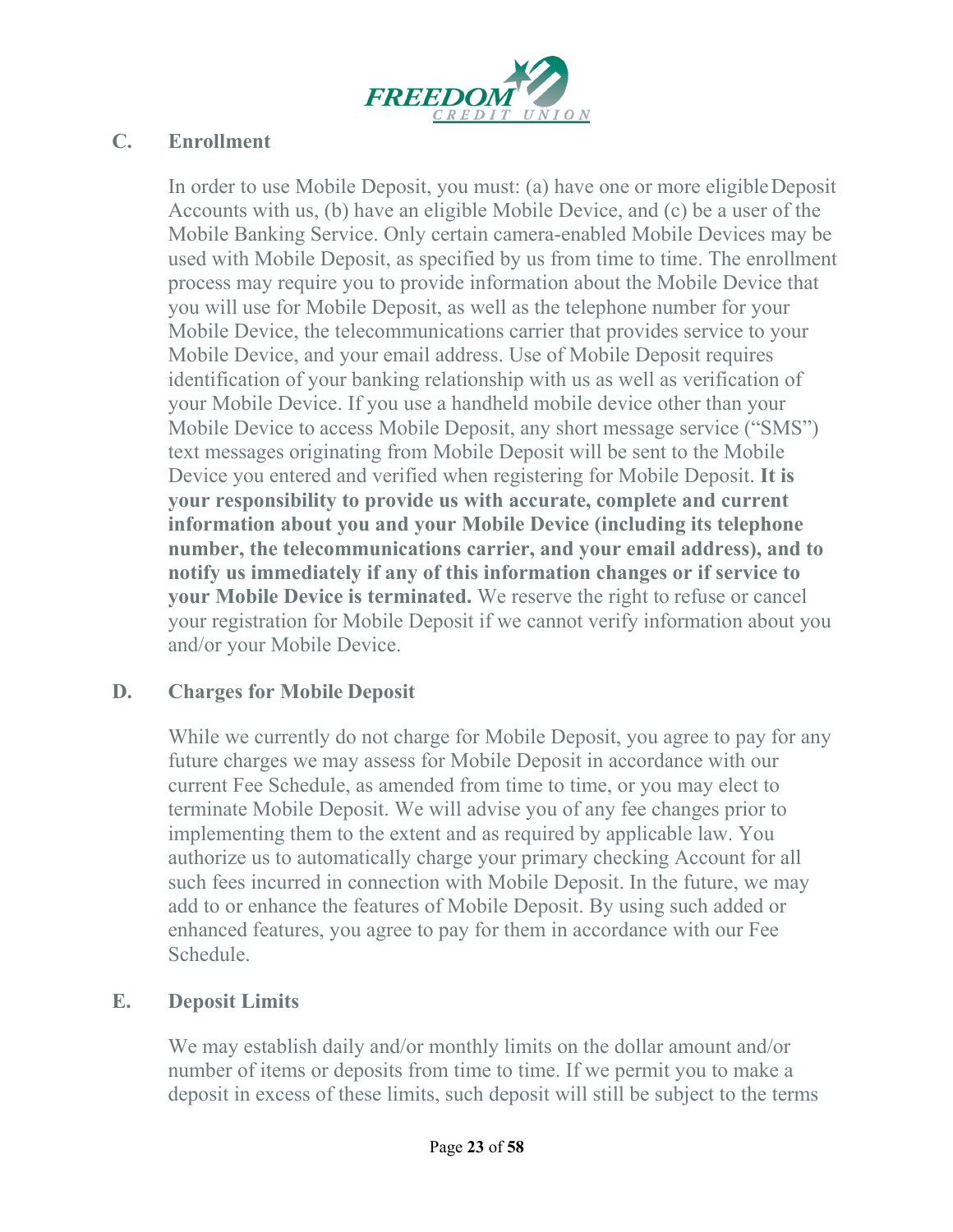

#### **C. Enrollment**

In order to use Mobile Deposit, you must: (a) have one or more eligibleDeposit Accounts with us, (b) have an eligible Mobile Device, and (c) be a user of the Mobile Banking Service. Only certain camera-enabled Mobile Devices may be used with Mobile Deposit, as specified by us from time to time. The enrollment process may require you to provide information about the Mobile Device that you will use for Mobile Deposit, as well as the telephone number for your Mobile Device, the telecommunications carrier that provides service to your Mobile Device, and your email address. Use of Mobile Deposit requires identification of your banking relationship with us as well as verification of your Mobile Device. If you use a handheld mobile device other than your Mobile Device to access Mobile Deposit, any short message service ("SMS") text messages originating from Mobile Deposit will be sent to the Mobile Device you entered and verified when registering for Mobile Deposit. **It is your responsibility to provide us with accurate, complete and current information about you and your Mobile Device (including its telephone number, the telecommunications carrier, and your email address), and to notify us immediately if any of this information changes or if service to your Mobile Device is terminated.** We reserve the right to refuse or cancel your registration for Mobile Deposit if we cannot verify information about you and/or your Mobile Device.

#### **D. Charges for Mobile Deposit**

While we currently do not charge for Mobile Deposit, you agree to pay for any future charges we may assess for Mobile Deposit in accordance with our current Fee Schedule, as amended from time to time, or you may elect to terminate Mobile Deposit. We will advise you of any fee changes prior to implementing them to the extent and as required by applicable law. You authorize us to automatically charge your primary checking Account for all such fees incurred in connection with Mobile Deposit. In the future, we may add to or enhance the features of Mobile Deposit. By using such added or enhanced features, you agree to pay for them in accordance with our Fee Schedule.

#### **E. Deposit Limits**

We may establish daily and/or monthly limits on the dollar amount and/or number of items or deposits from time to time. If we permit you to make a deposit in excess of these limits, such deposit will still be subject to the terms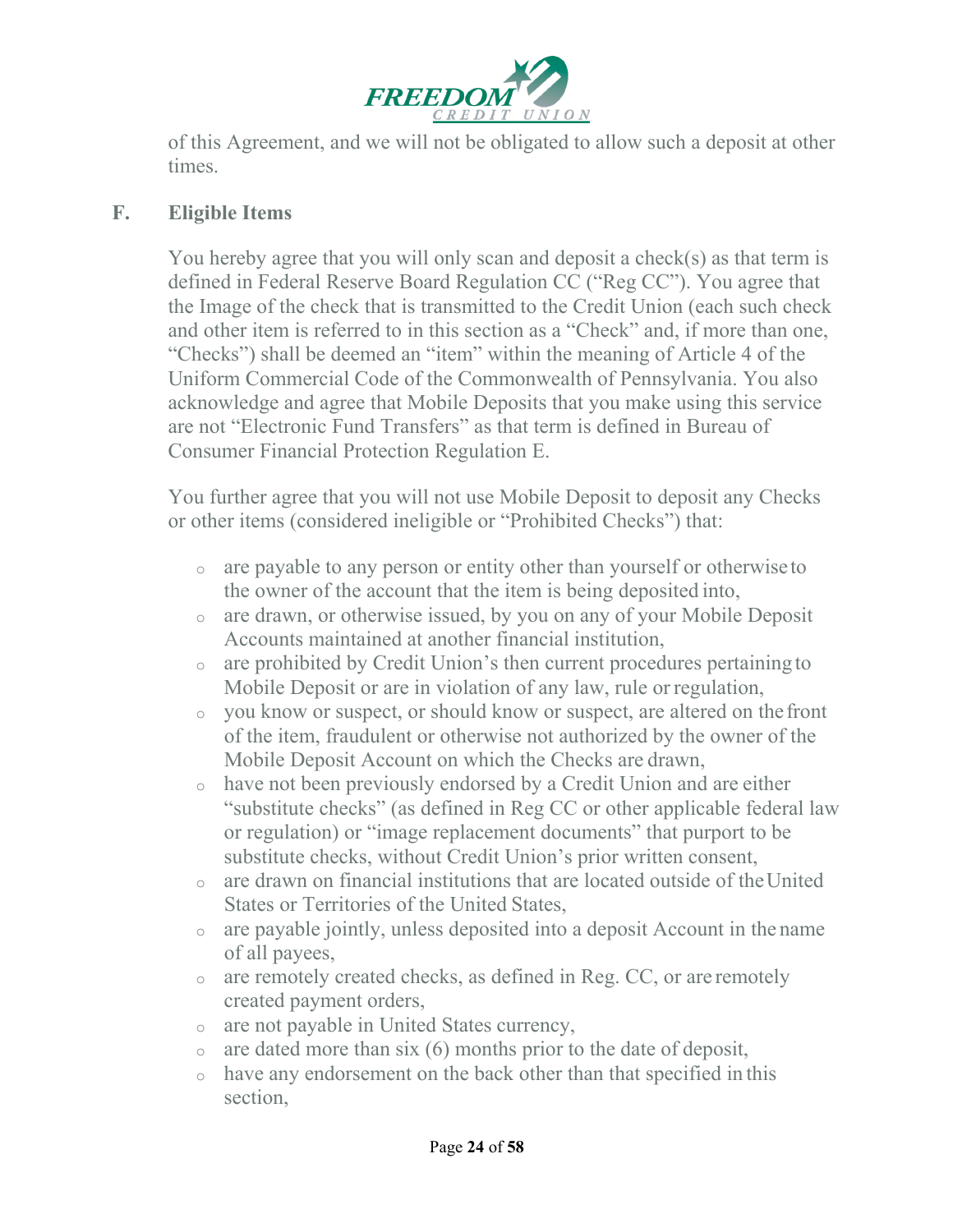

of this Agreement, and we will not be obligated to allow such a deposit at other times.

#### **F. Eligible Items**

You hereby agree that you will only scan and deposit a check(s) as that term is defined in Federal Reserve Board Regulation CC ("Reg CC"). You agree that the Image of the check that is transmitted to the Credit Union (each such check and other item is referred to in this section as a "Check" and, if more than one, "Checks") shall be deemed an "item" within the meaning of Article 4 of the Uniform Commercial Code of the Commonwealth of Pennsylvania. You also acknowledge and agree that Mobile Deposits that you make using this service are not "Electronic Fund Transfers" as that term is defined in Bureau of Consumer Financial Protection Regulation E.

You further agree that you will not use Mobile Deposit to deposit any Checks or other items (considered ineligible or "Prohibited Checks") that:

- <sup>o</sup> are payable to any person or entity other than yourself or otherwiseto the owner of the account that the item is being deposited into,
- <sup>o</sup> are drawn, or otherwise issued, by you on any of your Mobile Deposit Accounts maintained at another financial institution,
- <sup>o</sup> are prohibited by Credit Union's then current procedures pertaining to Mobile Deposit or are in violation of any law, rule or regulation,
- <sup>o</sup> you know or suspect, or should know or suspect, are altered on thefront of the item, fraudulent or otherwise not authorized by the owner of the Mobile Deposit Account on which the Checks are drawn,
- <sup>o</sup> have not been previously endorsed by a Credit Union and are either "substitute checks" (as defined in Reg CC or other applicable federal law or regulation) or "image replacement documents" that purport to be substitute checks, without Credit Union's prior written consent,
- $\circ$  are drawn on financial institutions that are located outside of the United States or Territories of the United States,
- <sup>o</sup> are payable jointly, unless deposited into a deposit Account in the name of all payees,
- <sup>o</sup> are remotely created checks, as defined in Reg. CC, or are remotely created payment orders,
- <sup>o</sup> are not payable in United States currency,
- $\circ$  are dated more than six (6) months prior to the date of deposit,
- <sup>o</sup> have any endorsement on the back other than that specified in this section,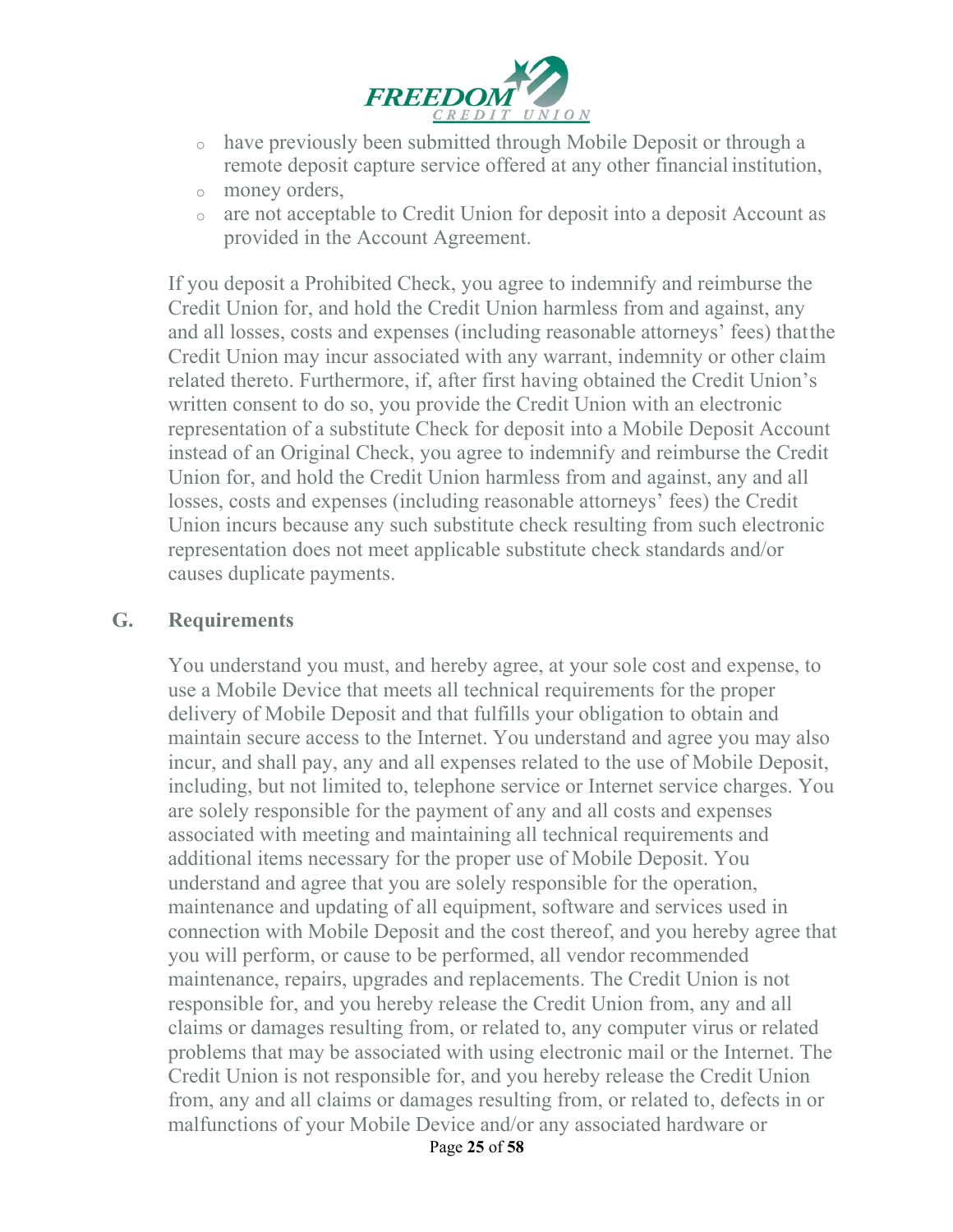

- <sup>o</sup> have previously been submitted through Mobile Deposit or through a remote deposit capture service offered at any other financial institution,
- <sup>o</sup> money orders,
- <sup>o</sup> are not acceptable to Credit Union for deposit into a deposit Account as provided in the Account Agreement.

If you deposit a Prohibited Check, you agree to indemnify and reimburse the Credit Union for, and hold the Credit Union harmless from and against, any and all losses, costs and expenses (including reasonable attorneys' fees) thatthe Credit Union may incur associated with any warrant, indemnity or other claim related thereto. Furthermore, if, after first having obtained the Credit Union's written consent to do so, you provide the Credit Union with an electronic representation of a substitute Check for deposit into a Mobile Deposit Account instead of an Original Check, you agree to indemnify and reimburse the Credit Union for, and hold the Credit Union harmless from and against, any and all losses, costs and expenses (including reasonable attorneys' fees) the Credit Union incurs because any such substitute check resulting from such electronic representation does not meet applicable substitute check standards and/or causes duplicate payments.

#### **G. Requirements**

You understand you must, and hereby agree, at your sole cost and expense, to use a Mobile Device that meets all technical requirements for the proper delivery of Mobile Deposit and that fulfills your obligation to obtain and maintain secure access to the Internet. You understand and agree you may also incur, and shall pay, any and all expenses related to the use of Mobile Deposit, including, but not limited to, telephone service or Internet service charges. You are solely responsible for the payment of any and all costs and expenses associated with meeting and maintaining all technical requirements and additional items necessary for the proper use of Mobile Deposit. You understand and agree that you are solely responsible for the operation, maintenance and updating of all equipment, software and services used in connection with Mobile Deposit and the cost thereof, and you hereby agree that you will perform, or cause to be performed, all vendor recommended maintenance, repairs, upgrades and replacements. The Credit Union is not responsible for, and you hereby release the Credit Union from, any and all claims or damages resulting from, or related to, any computer virus or related problems that may be associated with using electronic mail or the Internet. The Credit Union is not responsible for, and you hereby release the Credit Union from, any and all claims or damages resulting from, or related to, defects in or malfunctions of your Mobile Device and/or any associated hardware or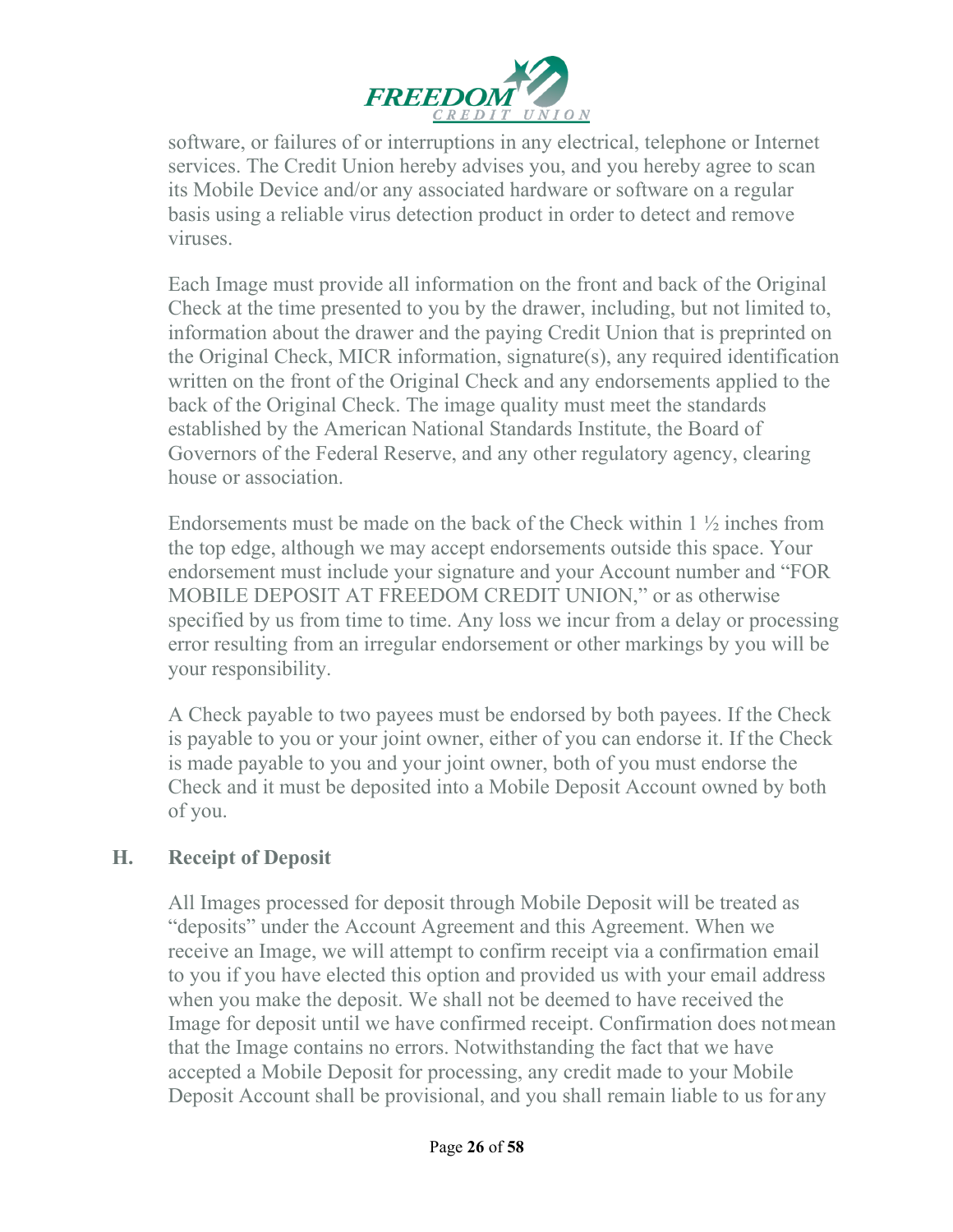

software, or failures of or interruptions in any electrical, telephone or Internet services. The Credit Union hereby advises you, and you hereby agree to scan its Mobile Device and/or any associated hardware or software on a regular basis using a reliable virus detection product in order to detect and remove viruses.

Each Image must provide all information on the front and back of the Original Check at the time presented to you by the drawer, including, but not limited to, information about the drawer and the paying Credit Union that is preprinted on the Original Check, MICR information, signature(s), any required identification written on the front of the Original Check and any endorsements applied to the back of the Original Check. The image quality must meet the standards established by the American National Standards Institute, the Board of Governors of the Federal Reserve, and any other regulatory agency, clearing house or association.

Endorsements must be made on the back of the Check within  $1 \frac{1}{2}$  inches from the top edge, although we may accept endorsements outside this space. Your endorsement must include your signature and your Account number and "FOR MOBILE DEPOSIT AT FREEDOM CREDIT UNION," or as otherwise specified by us from time to time. Any loss we incur from a delay or processing error resulting from an irregular endorsement or other markings by you will be your responsibility.

A Check payable to two payees must be endorsed by both payees. If the Check is payable to you or your joint owner, either of you can endorse it. If the Check is made payable to you and your joint owner, both of you must endorse the Check and it must be deposited into a Mobile Deposit Account owned by both of you.

#### **H. Receipt of Deposit**

All Images processed for deposit through Mobile Deposit will be treated as "deposits" under the Account Agreement and this Agreement. When we receive an Image, we will attempt to confirm receipt via a confirmation email to you if you have elected this option and provided us with your email address when you make the deposit. We shall not be deemed to have received the Image for deposit until we have confirmed receipt. Confirmation does notmean that the Image contains no errors. Notwithstanding the fact that we have accepted a Mobile Deposit for processing, any credit made to your Mobile Deposit Account shall be provisional, and you shall remain liable to us for any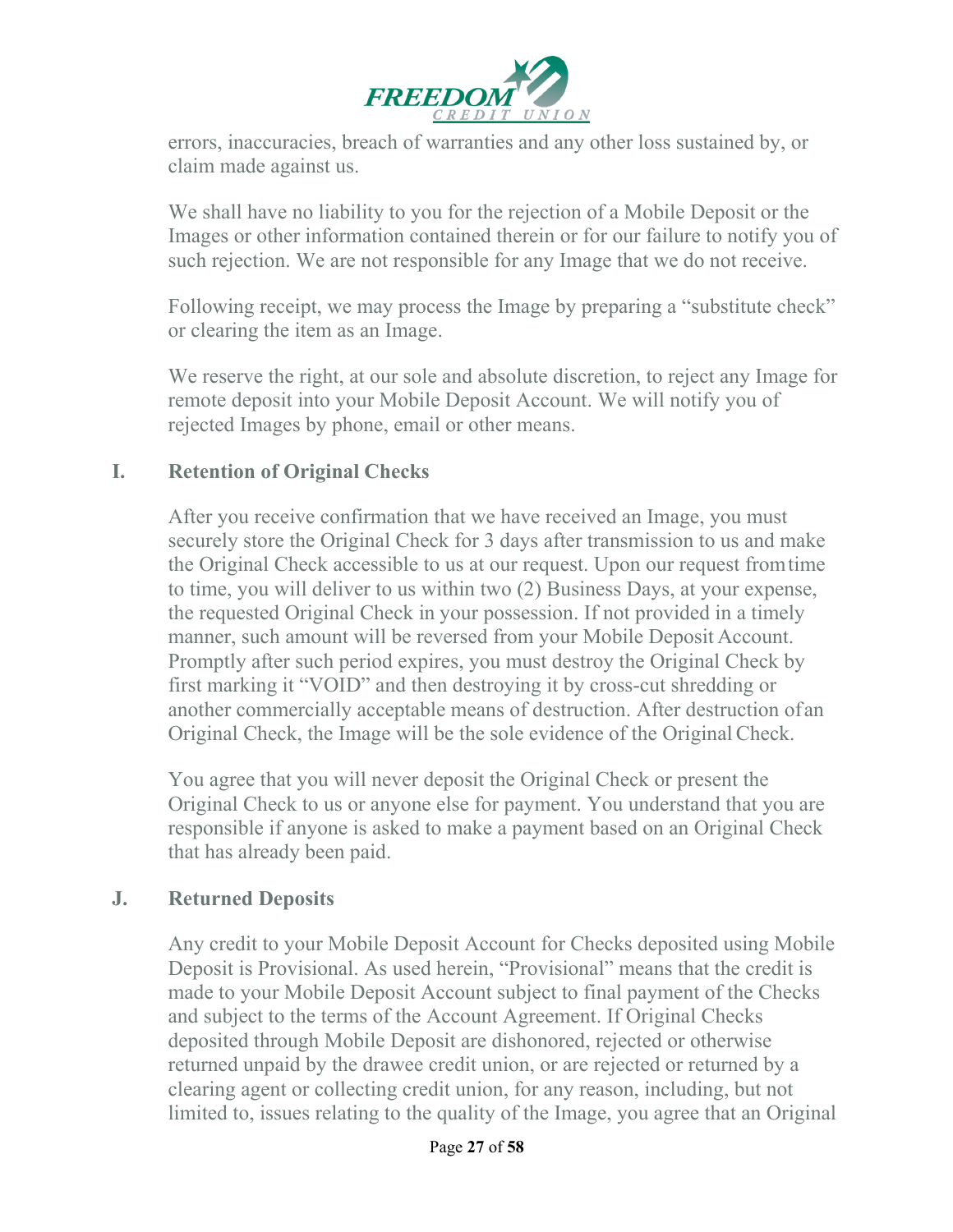

errors, inaccuracies, breach of warranties and any other loss sustained by, or claim made against us.

We shall have no liability to you for the rejection of a Mobile Deposit or the Images or other information contained therein or for our failure to notify you of such rejection. We are not responsible for any Image that we do not receive.

Following receipt, we may process the Image by preparing a "substitute check" or clearing the item as an Image.

We reserve the right, at our sole and absolute discretion, to reject any Image for remote deposit into your Mobile Deposit Account. We will notify you of rejected Images by phone, email or other means.

#### **I. Retention of Original Checks**

After you receive confirmation that we have received an Image, you must securely store the Original Check for 3 days after transmission to us and make the Original Check accessible to us at our request. Upon our request fromtime to time, you will deliver to us within two (2) Business Days, at your expense, the requested Original Check in your possession. If not provided in a timely manner, such amount will be reversed from your Mobile Deposit Account. Promptly after such period expires, you must destroy the Original Check by first marking it "VOID" and then destroying it by cross-cut shredding or another commercially acceptable means of destruction. After destruction ofan Original Check, the Image will be the sole evidence of the OriginalCheck.

You agree that you will never deposit the Original Check or present the Original Check to us or anyone else for payment. You understand that you are responsible if anyone is asked to make a payment based on an Original Check that has already been paid.

#### **J. Returned Deposits**

Any credit to your Mobile Deposit Account for Checks deposited using Mobile Deposit is Provisional. As used herein, "Provisional" means that the credit is made to your Mobile Deposit Account subject to final payment of the Checks and subject to the terms of the Account Agreement. If Original Checks deposited through Mobile Deposit are dishonored, rejected or otherwise returned unpaid by the drawee credit union, or are rejected or returned by a clearing agent or collecting credit union, for any reason, including, but not limited to, issues relating to the quality of the Image, you agree that an Original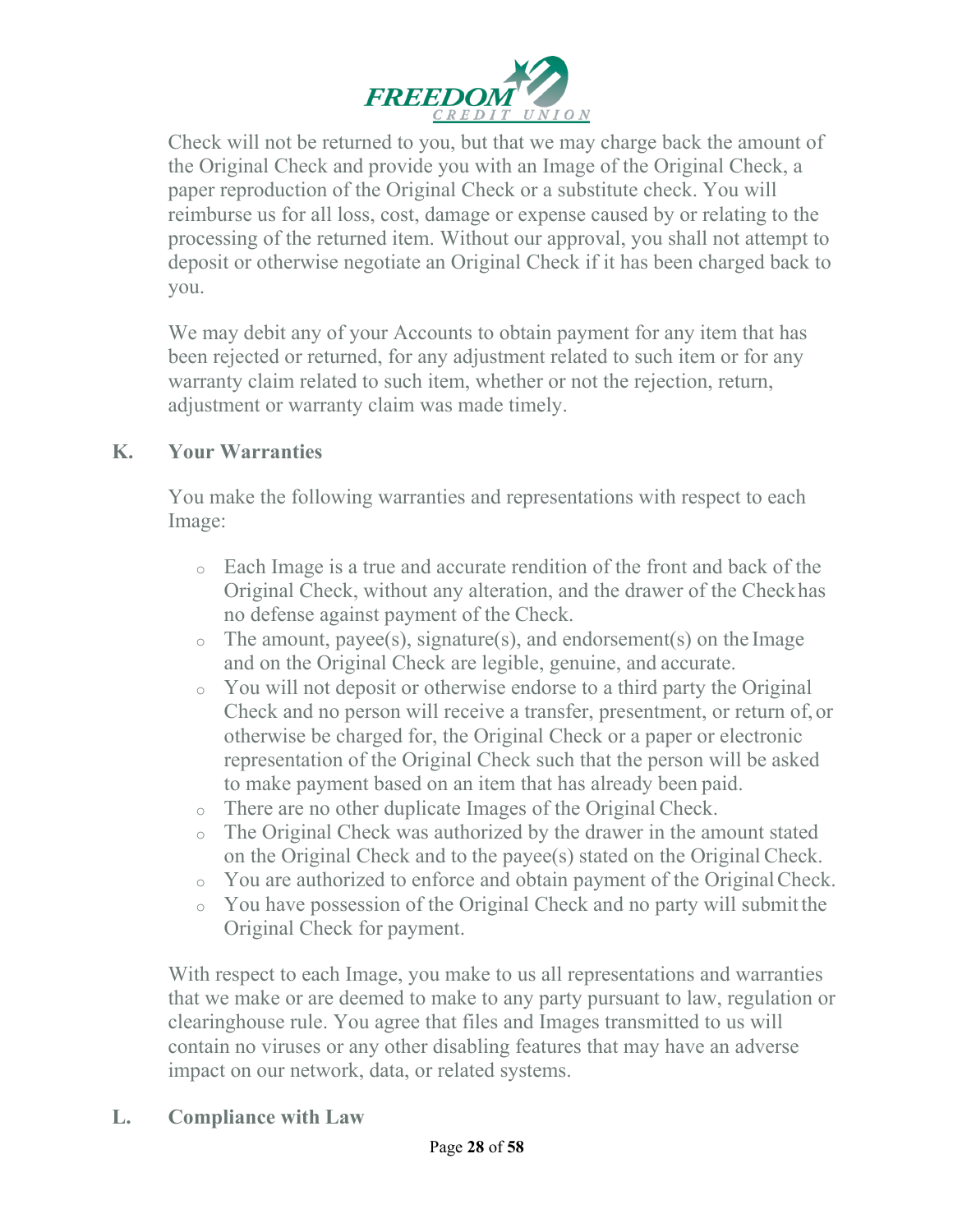

Check will not be returned to you, but that we may charge back the amount of the Original Check and provide you with an Image of the Original Check, a paper reproduction of the Original Check or a substitute check. You will reimburse us for all loss, cost, damage or expense caused by or relating to the processing of the returned item. Without our approval, you shall not attempt to deposit or otherwise negotiate an Original Check if it has been charged back to you.

We may debit any of your Accounts to obtain payment for any item that has been rejected or returned, for any adjustment related to such item or for any warranty claim related to such item, whether or not the rejection, return, adjustment or warranty claim was made timely.

#### **K. Your Warranties**

You make the following warranties and representations with respect to each Image:

- <sup>o</sup> Each Image is a true and accurate rendition of the front and back of the Original Check, without any alteration, and the drawer of the Checkhas no defense against payment of the Check.
- $\circ$  The amount, payee(s), signature(s), and endorsement(s) on the Image and on the Original Check are legible, genuine, and accurate.
- <sup>o</sup> You will not deposit or otherwise endorse to a third party the Original Check and no person will receive a transfer, presentment, or return of, or otherwise be charged for, the Original Check or a paper or electronic representation of the Original Check such that the person will be asked to make payment based on an item that has already been paid.
- <sup>o</sup> There are no other duplicate Images of the Original Check.
- <sup>o</sup> The Original Check was authorized by the drawer in the amount stated on the Original Check and to the payee(s) stated on the Original Check.
- <sup>o</sup> You are authorized to enforce and obtain payment of the OriginalCheck.
- <sup>o</sup> You have possession of the Original Check and no party will submitthe Original Check for payment.

With respect to each Image, you make to us all representations and warranties that we make or are deemed to make to any party pursuant to law, regulation or clearinghouse rule. You agree that files and Images transmitted to us will contain no viruses or any other disabling features that may have an adverse impact on our network, data, or related systems.

**L. Compliance with Law**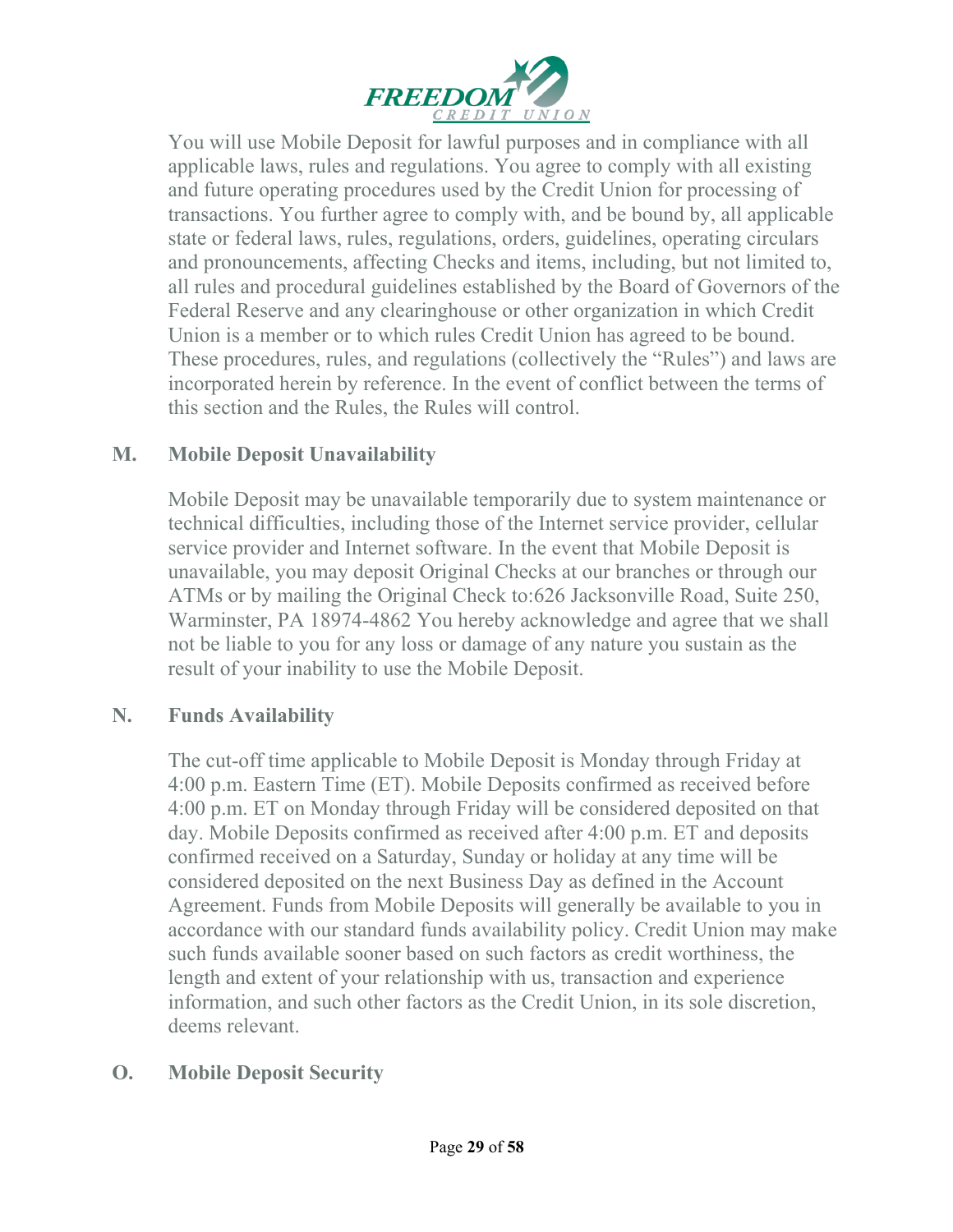

You will use Mobile Deposit for lawful purposes and in compliance with all applicable laws, rules and regulations. You agree to comply with all existing and future operating procedures used by the Credit Union for processing of transactions. You further agree to comply with, and be bound by, all applicable state or federal laws, rules, regulations, orders, guidelines, operating circulars and pronouncements, affecting Checks and items, including, but not limited to, all rules and procedural guidelines established by the Board of Governors of the Federal Reserve and any clearinghouse or other organization in which Credit Union is a member or to which rules Credit Union has agreed to be bound. These procedures, rules, and regulations (collectively the "Rules") and laws are incorporated herein by reference. In the event of conflict between the terms of this section and the Rules, the Rules will control.

### **M. Mobile Deposit Unavailability**

Mobile Deposit may be unavailable temporarily due to system maintenance or technical difficulties, including those of the Internet service provider, cellular service provider and Internet software. In the event that Mobile Deposit is unavailable, you may deposit Original Checks at our branches or through our ATMs or by mailing the Original Check to:626 Jacksonville Road, Suite 250, Warminster, PA 18974-4862 You hereby acknowledge and agree that we shall not be liable to you for any loss or damage of any nature you sustain as the result of your inability to use the Mobile Deposit.

#### **N. Funds Availability**

The cut-off time applicable to Mobile Deposit is Monday through Friday at 4:00 p.m. Eastern Time (ET). Mobile Deposits confirmed as received before 4:00 p.m. ET on Monday through Friday will be considered deposited on that day. Mobile Deposits confirmed as received after 4:00 p.m. ET and deposits confirmed received on a Saturday, Sunday or holiday at any time will be considered deposited on the next Business Day as defined in the Account Agreement. Funds from Mobile Deposits will generally be available to you in accordance with our standard funds availability policy. Credit Union may make such funds available sooner based on such factors as credit worthiness, the length and extent of your relationship with us, transaction and experience information, and such other factors as the Credit Union, in its sole discretion, deems relevant.

# **O. Mobile Deposit Security**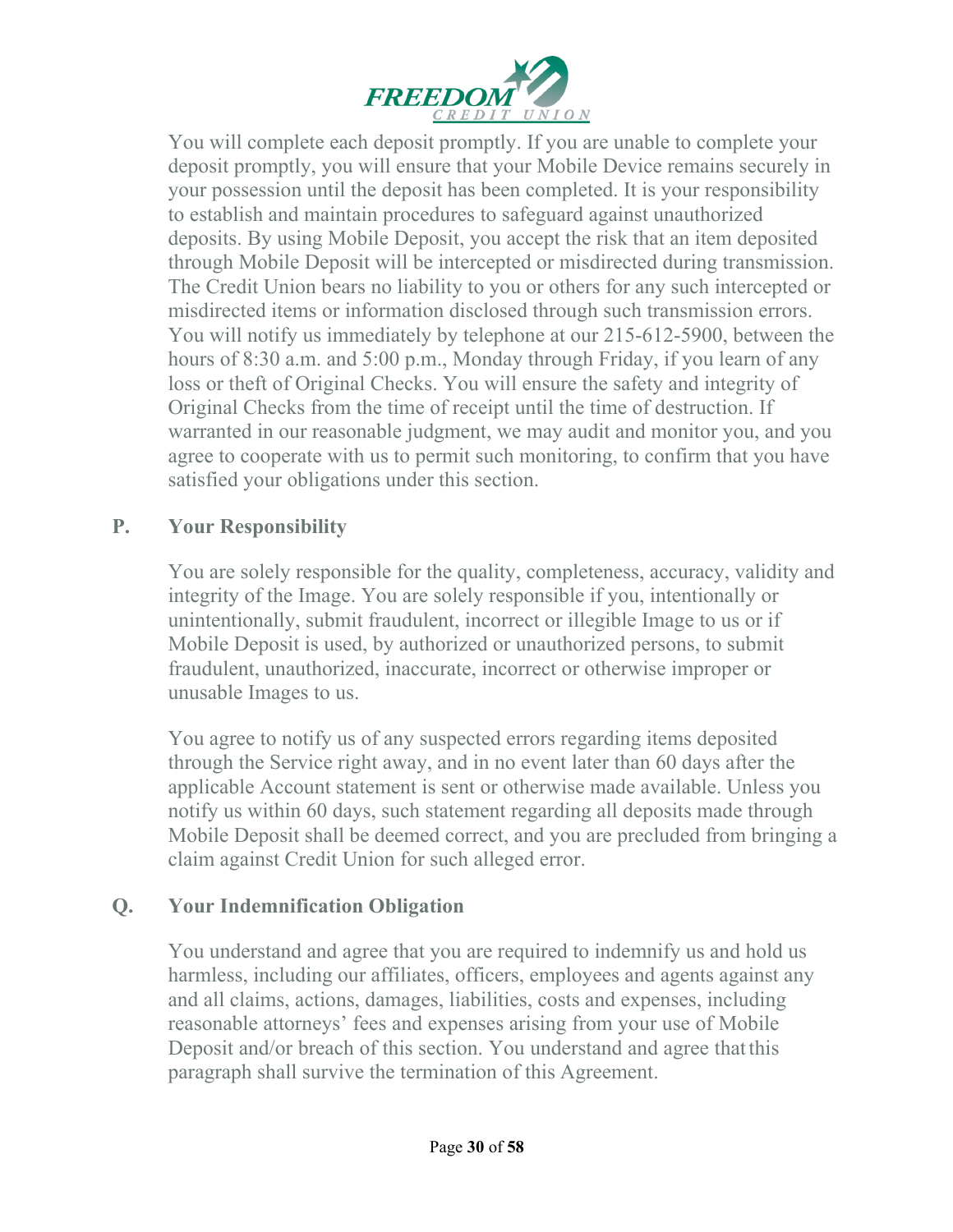

You will complete each deposit promptly. If you are unable to complete your deposit promptly, you will ensure that your Mobile Device remains securely in your possession until the deposit has been completed. It is your responsibility to establish and maintain procedures to safeguard against unauthorized deposits. By using Mobile Deposit, you accept the risk that an item deposited through Mobile Deposit will be intercepted or misdirected during transmission. The Credit Union bears no liability to you or others for any such intercepted or misdirected items or information disclosed through such transmission errors. You will notify us immediately by telephone at our 215-612-5900, between the hours of 8:30 a.m. and 5:00 p.m., Monday through Friday, if you learn of any loss or theft of Original Checks. You will ensure the safety and integrity of Original Checks from the time of receipt until the time of destruction. If warranted in our reasonable judgment, we may audit and monitor you, and you agree to cooperate with us to permit such monitoring, to confirm that you have satisfied your obligations under this section.

### **P. Your Responsibility**

You are solely responsible for the quality, completeness, accuracy, validity and integrity of the Image. You are solely responsible if you, intentionally or unintentionally, submit fraudulent, incorrect or illegible Image to us or if Mobile Deposit is used, by authorized or unauthorized persons, to submit fraudulent, unauthorized, inaccurate, incorrect or otherwise improper or unusable Images to us.

You agree to notify us of any suspected errors regarding items deposited through the Service right away, and in no event later than 60 days after the applicable Account statement is sent or otherwise made available. Unless you notify us within 60 days, such statement regarding all deposits made through Mobile Deposit shall be deemed correct, and you are precluded from bringing a claim against Credit Union for such alleged error.

#### **Q. Your Indemnification Obligation**

You understand and agree that you are required to indemnify us and hold us harmless, including our affiliates, officers, employees and agents against any and all claims, actions, damages, liabilities, costs and expenses, including reasonable attorneys' fees and expenses arising from your use of Mobile Deposit and/or breach of this section. You understand and agree thatthis paragraph shall survive the termination of this Agreement.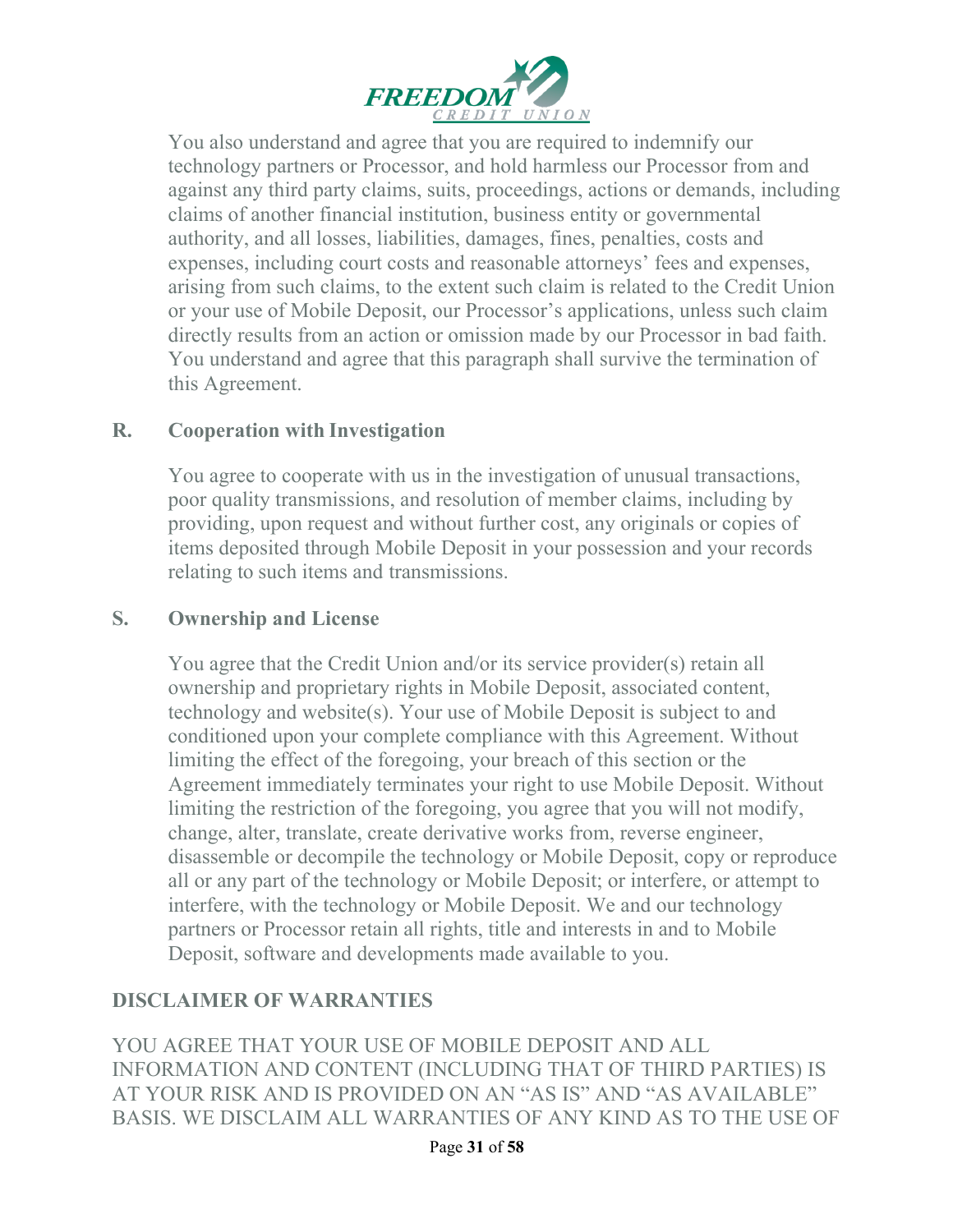

You also understand and agree that you are required to indemnify our technology partners or Processor, and hold harmless our Processor from and against any third party claims, suits, proceedings, actions or demands, including claims of another financial institution, business entity or governmental authority, and all losses, liabilities, damages, fines, penalties, costs and expenses, including court costs and reasonable attorneys' fees and expenses, arising from such claims, to the extent such claim is related to the Credit Union or your use of Mobile Deposit, our Processor's applications, unless such claim directly results from an action or omission made by our Processor in bad faith. You understand and agree that this paragraph shall survive the termination of this Agreement.

#### **R. Cooperation with Investigation**

You agree to cooperate with us in the investigation of unusual transactions, poor quality transmissions, and resolution of member claims, including by providing, upon request and without further cost, any originals or copies of items deposited through Mobile Deposit in your possession and your records relating to such items and transmissions.

#### **S. Ownership and License**

You agree that the Credit Union and/or its service provider(s) retain all ownership and proprietary rights in Mobile Deposit, associated content, technology and website(s). Your use of Mobile Deposit is subject to and conditioned upon your complete compliance with this Agreement. Without limiting the effect of the foregoing, your breach of this section or the Agreement immediately terminates your right to use Mobile Deposit. Without limiting the restriction of the foregoing, you agree that you will not modify, change, alter, translate, create derivative works from, reverse engineer, disassemble or decompile the technology or Mobile Deposit, copy or reproduce all or any part of the technology or Mobile Deposit; or interfere, or attempt to interfere, with the technology or Mobile Deposit. We and our technology partners or Processor retain all rights, title and interests in and to Mobile Deposit, software and developments made available to you.

#### **DISCLAIMER OF WARRANTIES**

YOU AGREE THAT YOUR USE OF MOBILE DEPOSIT AND ALL INFORMATION AND CONTENT (INCLUDING THAT OF THIRD PARTIES) IS AT YOUR RISK AND IS PROVIDED ON AN "AS IS" AND "AS AVAILABLE" BASIS. WE DISCLAIM ALL WARRANTIES OF ANY KIND AS TO THE USE OF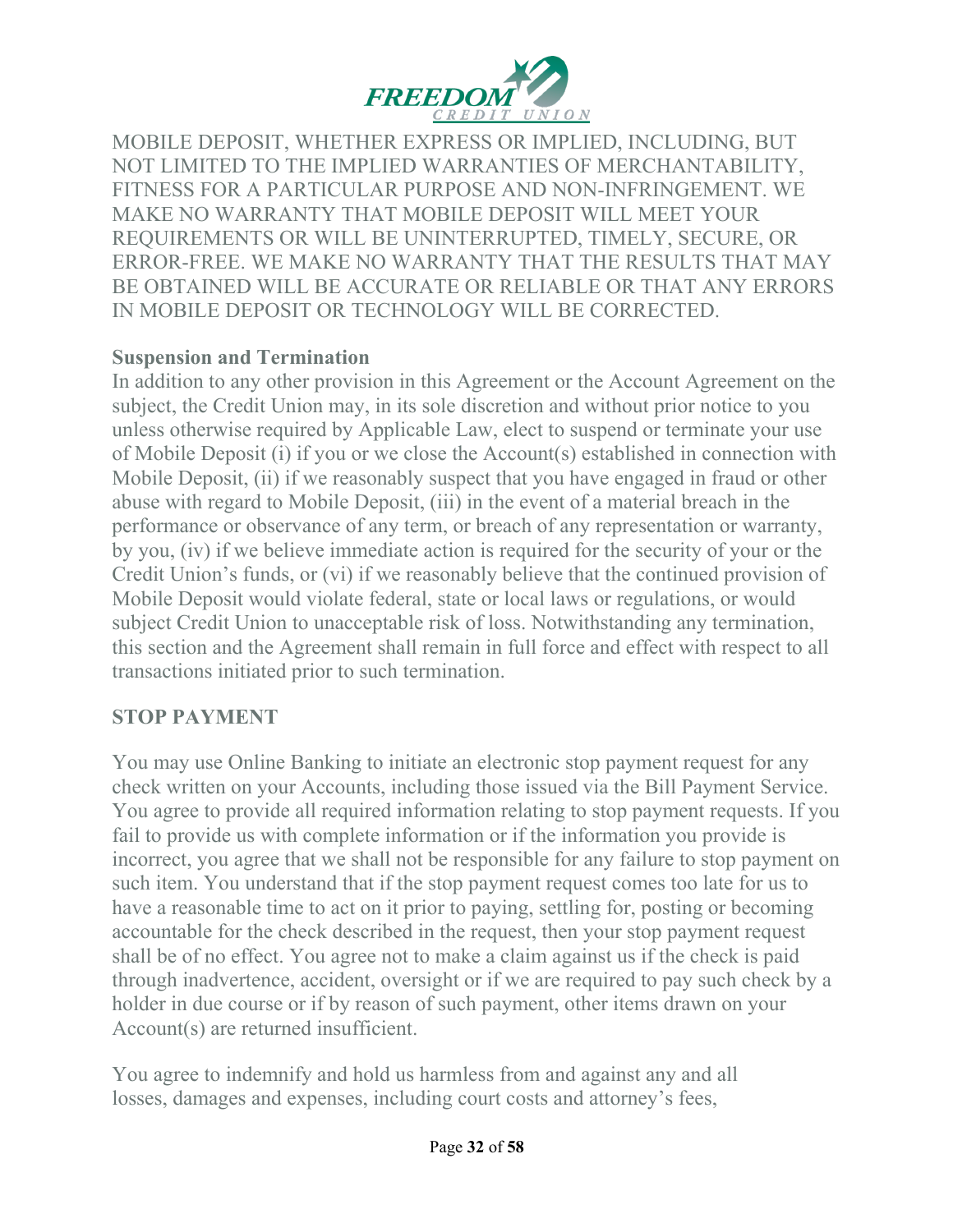

MOBILE DEPOSIT, WHETHER EXPRESS OR IMPLIED, INCLUDING, BUT NOT LIMITED TO THE IMPLIED WARRANTIES OF MERCHANTABILITY, FITNESS FOR A PARTICULAR PURPOSE AND NON-INFRINGEMENT. WE MAKE NO WARRANTY THAT MOBILE DEPOSIT WILL MEET YOUR REQUIREMENTS OR WILL BE UNINTERRUPTED, TIMELY, SECURE, OR ERROR-FREE. WE MAKE NO WARRANTY THAT THE RESULTS THAT MAY BE OBTAINED WILL BE ACCURATE OR RELIABLE OR THAT ANY ERRORS IN MOBILE DEPOSIT OR TECHNOLOGY WILL BE CORRECTED.

#### **Suspension and Termination**

In addition to any other provision in this Agreement or the Account Agreement on the subject, the Credit Union may, in its sole discretion and without prior notice to you unless otherwise required by Applicable Law, elect to suspend or terminate your use of Mobile Deposit (i) if you or we close the Account(s) established in connection with Mobile Deposit, (ii) if we reasonably suspect that you have engaged in fraud or other abuse with regard to Mobile Deposit, (iii) in the event of a material breach in the performance or observance of any term, or breach of any representation or warranty, by you, (iv) if we believe immediate action is required for the security of your or the Credit Union's funds, or (vi) if we reasonably believe that the continued provision of Mobile Deposit would violate federal, state or local laws or regulations, or would subject Credit Union to unacceptable risk of loss. Notwithstanding any termination, this section and the Agreement shall remain in full force and effect with respect to all transactions initiated prior to such termination.

#### **STOP PAYMENT**

You may use Online Banking to initiate an electronic stop payment request for any check written on your Accounts, including those issued via the Bill Payment Service. You agree to provide all required information relating to stop payment requests. If you fail to provide us with complete information or if the information you provide is incorrect, you agree that we shall not be responsible for any failure to stop payment on such item. You understand that if the stop payment request comes too late for us to have a reasonable time to act on it prior to paying, settling for, posting or becoming accountable for the check described in the request, then your stop payment request shall be of no effect. You agree not to make a claim against us if the check is paid through inadvertence, accident, oversight or if we are required to pay such check by a holder in due course or if by reason of such payment, other items drawn on your Account(s) are returned insufficient.

You agree to indemnify and hold us harmless from and against any and all losses, damages and expenses, including court costs and attorney's fees,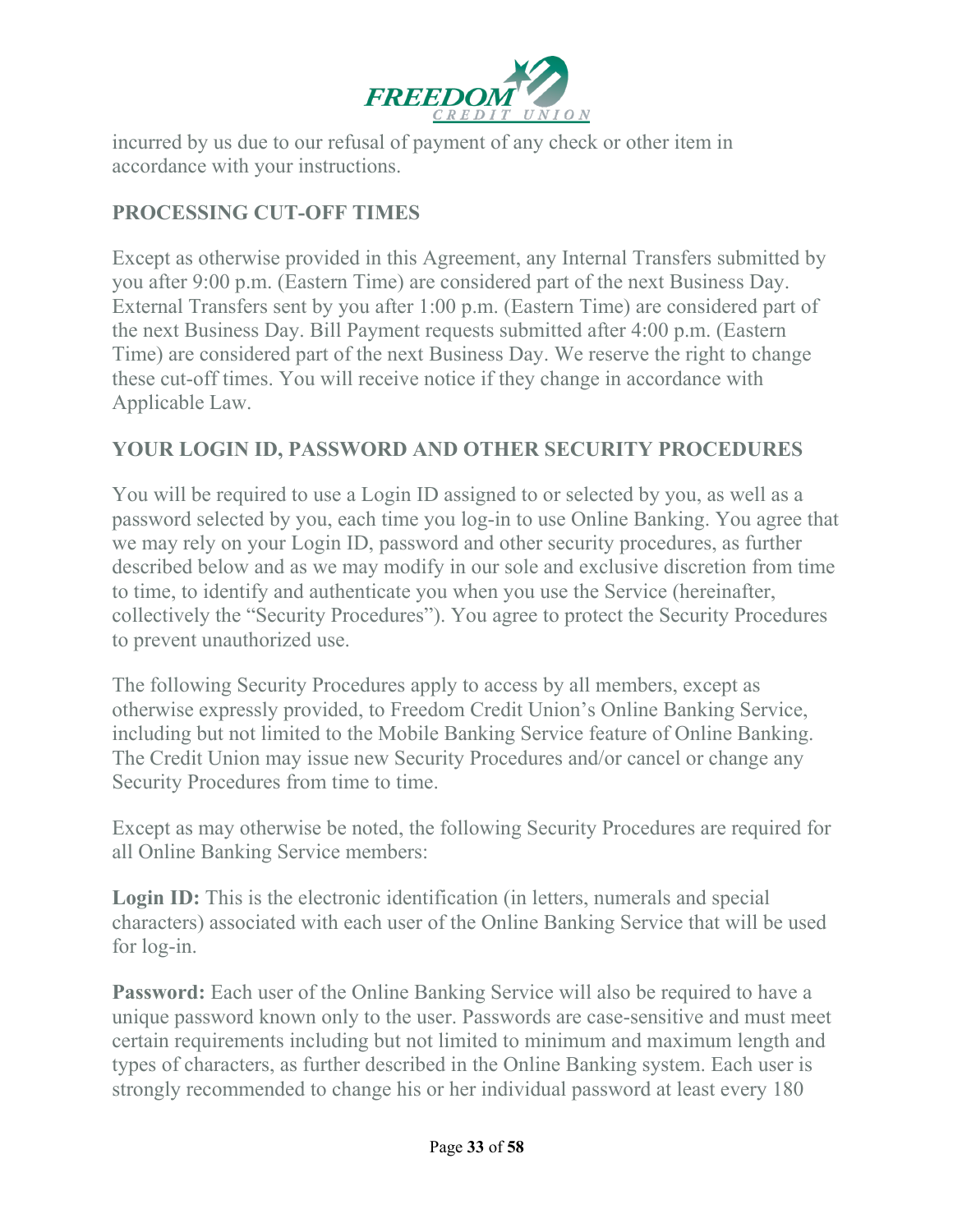

incurred by us due to our refusal of payment of any check or other item in accordance with your instructions.

# **PROCESSING CUT-OFF TIMES**

Except as otherwise provided in this Agreement, any Internal Transfers submitted by you after 9:00 p.m. (Eastern Time) are considered part of the next Business Day. External Transfers sent by you after 1:00 p.m. (Eastern Time) are considered part of the next Business Day. Bill Payment requests submitted after 4:00 p.m. (Eastern Time) are considered part of the next Business Day. We reserve the right to change these cut-off times. You will receive notice if they change in accordance with Applicable Law.

#### **YOUR LOGIN ID, PASSWORD AND OTHER SECURITY PROCEDURES**

You will be required to use a Login ID assigned to or selected by you, as well as a password selected by you, each time you log-in to use Online Banking. You agree that we may rely on your Login ID, password and other security procedures, as further described below and as we may modify in our sole and exclusive discretion from time to time, to identify and authenticate you when you use the Service (hereinafter, collectively the "Security Procedures"). You agree to protect the Security Procedures to prevent unauthorized use.

The following Security Procedures apply to access by all members, except as otherwise expressly provided, to Freedom Credit Union's Online Banking Service, including but not limited to the Mobile Banking Service feature of Online Banking. The Credit Union may issue new Security Procedures and/or cancel or change any Security Procedures from time to time.

Except as may otherwise be noted, the following Security Procedures are required for all Online Banking Service members:

Login ID: This is the electronic identification (in letters, numerals and special characters) associated with each user of the Online Banking Service that will be used for log-in.

**Password:** Each user of the Online Banking Service will also be required to have a unique password known only to the user. Passwords are case-sensitive and must meet certain requirements including but not limited to minimum and maximum length and types of characters, as further described in the Online Banking system. Each user is strongly recommended to change his or her individual password at least every 180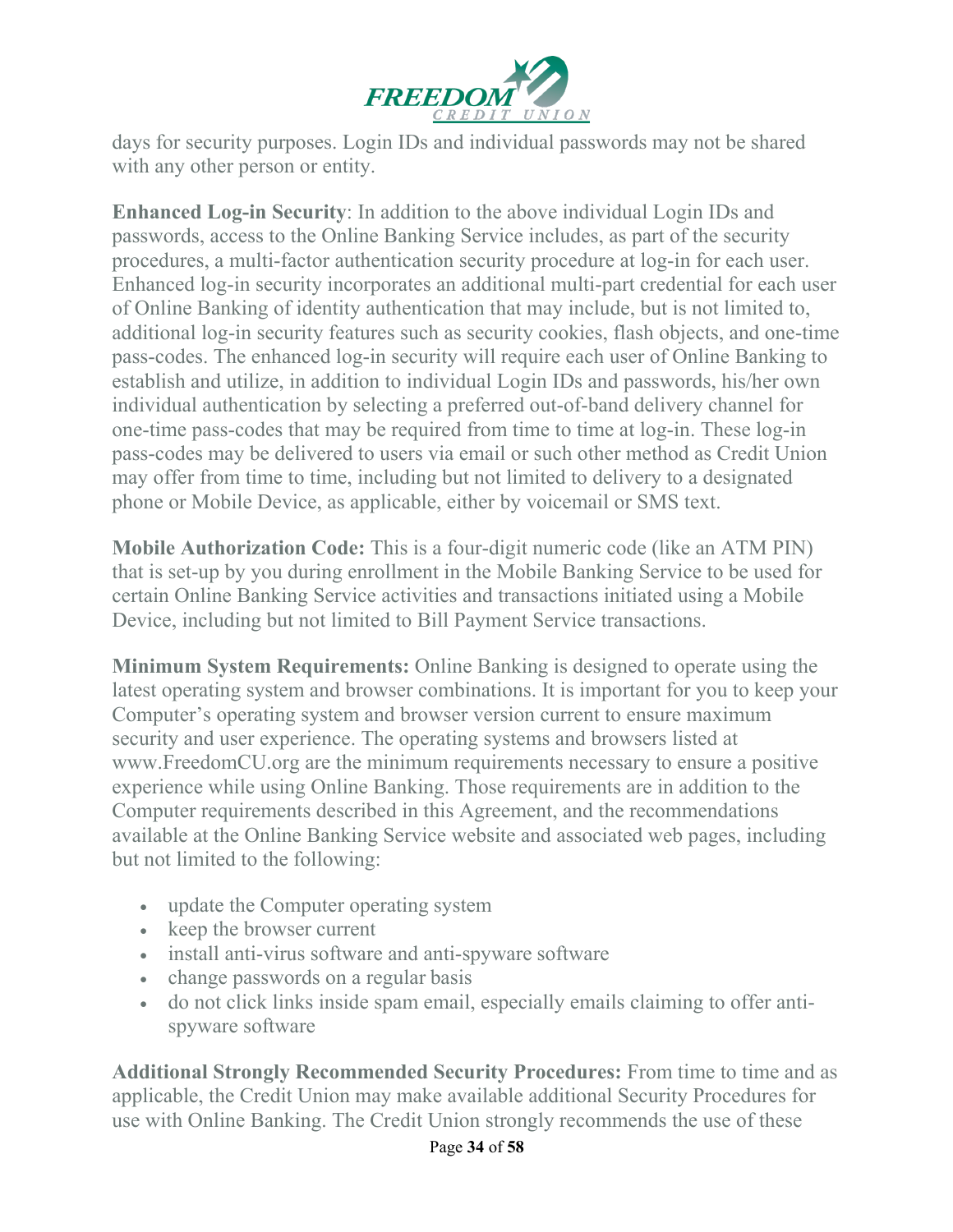

days for security purposes. Login IDs and individual passwords may not be shared with any other person or entity.

**Enhanced Log-in Security**: In addition to the above individual Login IDs and passwords, access to the Online Banking Service includes, as part of the security procedures, a multi-factor authentication security procedure at log-in for each user. Enhanced log-in security incorporates an additional multi-part credential for each user of Online Banking of identity authentication that may include, but is not limited to, additional log-in security features such as security cookies, flash objects, and one-time pass-codes. The enhanced log-in security will require each user of Online Banking to establish and utilize, in addition to individual Login IDs and passwords, his/her own individual authentication by selecting a preferred out-of-band delivery channel for one-time pass-codes that may be required from time to time at log-in. These log-in pass-codes may be delivered to users via email or such other method as Credit Union may offer from time to time, including but not limited to delivery to a designated phone or Mobile Device, as applicable, either by voicemail or SMS text.

**Mobile Authorization Code:** This is a four-digit numeric code (like an ATM PIN) that is set-up by you during enrollment in the Mobile Banking Service to be used for certain Online Banking Service activities and transactions initiated using a Mobile Device, including but not limited to Bill Payment Service transactions.

**Minimum System Requirements:** Online Banking is designed to operate using the latest operating system and browser combinations. It is important for you to keep your Computer's operating system and browser version current to ensure maximum security and user experience. The operating systems and browsers listed at [www.FreedomCU.org a](http://www.freedomcu.org/)re the minimum requirements necessary to ensure a positive experience while using Online Banking. Those requirements are in addition to the Computer requirements described in this Agreement, and the recommendations available at the Online Banking Service website and associated web pages, including but not limited to the following:

- update the Computer operating system
- keep the browser current
- install anti-virus software and anti-spyware software
- change passwords on a regular basis
- do not click links inside spam email, especially emails claiming to offer antispyware software

**Additional Strongly Recommended Security Procedures:** From time to time and as applicable, the Credit Union may make available additional Security Procedures for use with Online Banking. The Credit Union strongly recommends the use of these

#### Page **34** of **58**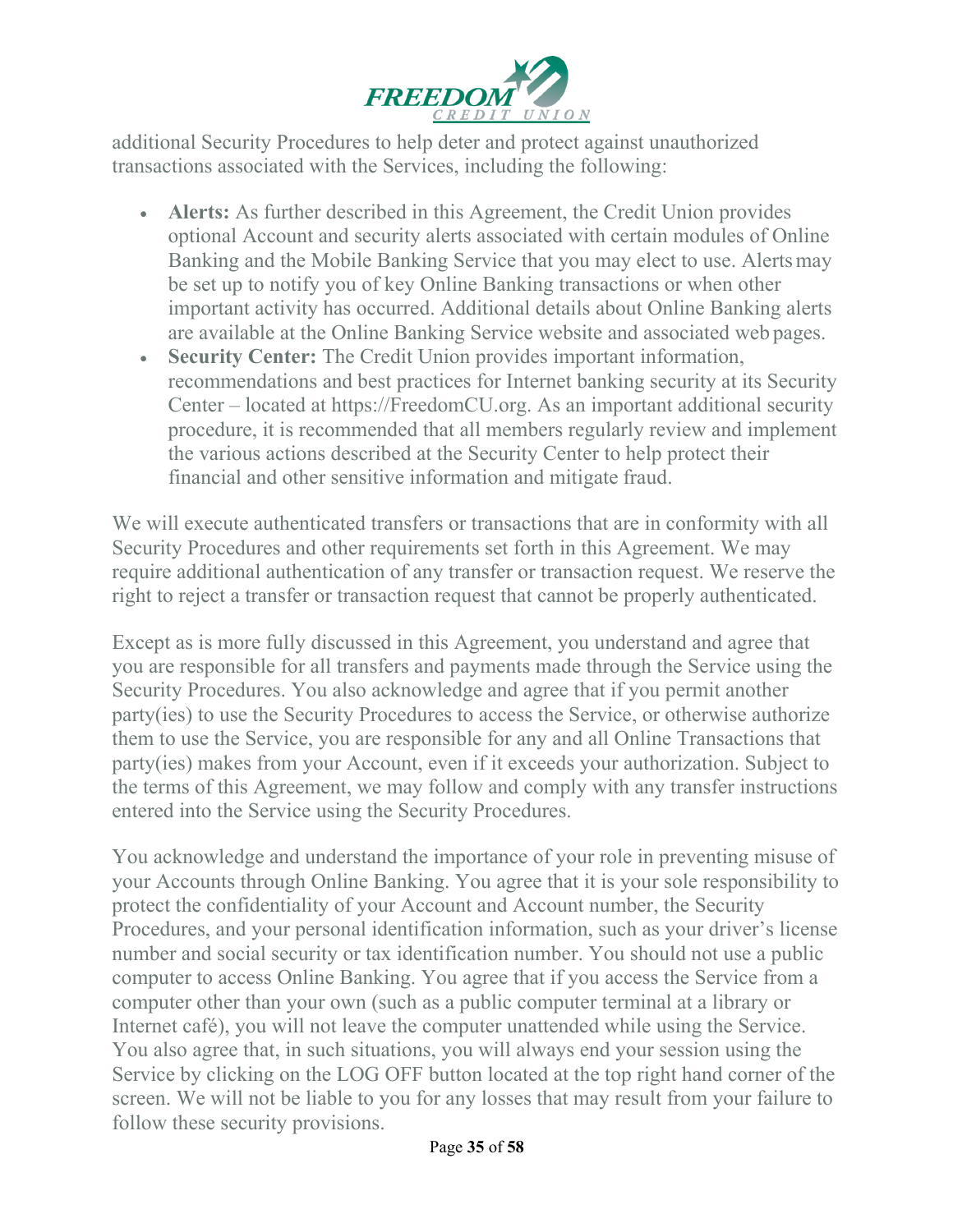

additional Security Procedures to help deter and protect against unauthorized transactions associated with the Services, including the following:

- **Alerts:** As further described in this Agreement, the Credit Union provides optional Account and security alerts associated with certain modules of Online Banking and the Mobile Banking Service that you may elect to use. Alertsmay be set up to notify you of key Online Banking transactions or when other important activity has occurred. Additional details about Online Banking alerts are available at the Online Banking Service website and associated web pages.
- **Security Center:** The Credit Union provides important information, recommendations and best practices for Internet banking security at its Security Center – located at https://FreedomCU.org. As an important additional security procedure, it is recommended that all members regularly review and implement the various actions described at the Security Center to help protect their financial and other sensitive information and mitigate fraud.

We will execute authenticated transfers or transactions that are in conformity with all Security Procedures and other requirements set forth in this Agreement. We may require additional authentication of any transfer or transaction request. We reserve the right to reject a transfer or transaction request that cannot be properly authenticated.

Except as is more fully discussed in this Agreement, you understand and agree that you are responsible for all transfers and payments made through the Service using the Security Procedures. You also acknowledge and agree that if you permit another party(ies) to use the Security Procedures to access the Service, or otherwise authorize them to use the Service, you are responsible for any and all Online Transactions that party(ies) makes from your Account, even if it exceeds your authorization. Subject to the terms of this Agreement, we may follow and comply with any transfer instructions entered into the Service using the Security Procedures.

You acknowledge and understand the importance of your role in preventing misuse of your Accounts through Online Banking. You agree that it is your sole responsibility to protect the confidentiality of your Account and Account number, the Security Procedures, and your personal identification information, such as your driver's license number and social security or tax identification number. You should not use a public computer to access Online Banking. You agree that if you access the Service from a computer other than your own (such as a public computer terminal at a library or Internet café), you will not leave the computer unattended while using the Service. You also agree that, in such situations, you will always end your session using the Service by clicking on the LOG OFF button located at the top right hand corner of the screen. We will not be liable to you for any losses that may result from your failure to follow these security provisions.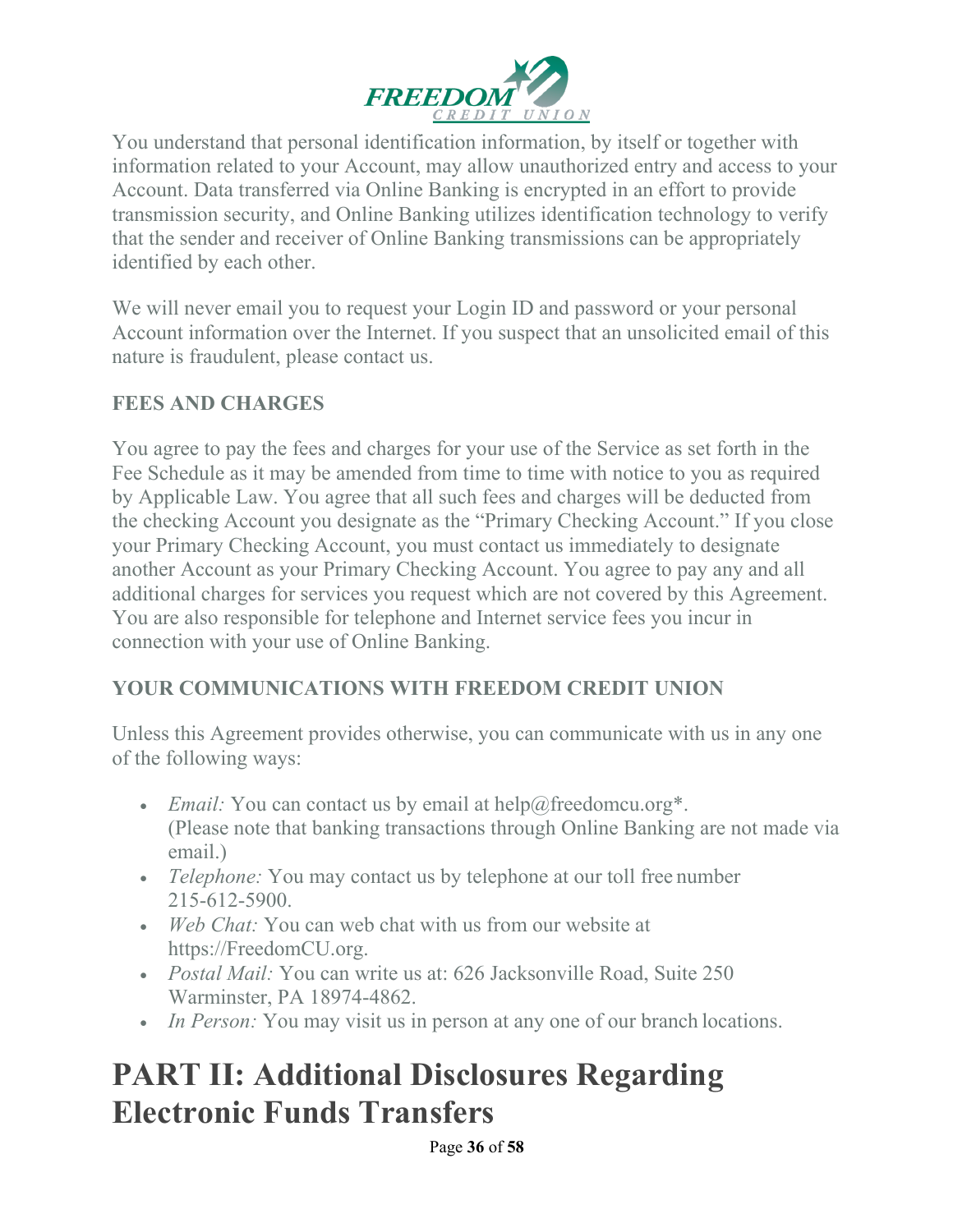

You understand that personal identification information, by itself or together with information related to your Account, may allow unauthorized entry and access to your Account. Data transferred via Online Banking is encrypted in an effort to provide transmission security, and Online Banking utilizes identification technology to verify that the sender and receiver of Online Banking transmissions can be appropriately identified by each other.

We will never email you to request your Login ID and password or your personal Account information over the Internet. If you suspect that an unsolicited email of this nature is fraudulent, please contact us.

# **FEES AND CHARGES**

You agree to pay the fees and charges for your use of the Service as set forth in the Fee Schedule as it may be amended from time to time with notice to you as required by Applicable Law. You agree that all such fees and charges will be deducted from the checking Account you designate as the "Primary Checking Account." If you close your Primary Checking Account, you must contact us immediately to designate another Account as your Primary Checking Account. You agree to pay any and all additional charges for services you request which are not covered by this Agreement. You are also responsible for telephone and Internet service fees you incur in connection with your use of Online Banking.

# **YOUR COMMUNICATIONS WITH FREEDOM CREDIT UNION**

Unless this Agreement provides otherwise, you can communicate with us in any one of the following ways:

- *Email:* You can contact us by email at [help@freedomcu.org\\*](mailto:help@freedomcu.org). (Please note that banking transactions through Online Banking are not made via email.)
- *Telephone:* You may contact us by telephone at our toll free number 215-612-5900.
- *Web Chat:* You can web chat with us from our website at https://FreedomCU.org.
- *Postal Mail:* You can write us at: 626 Jacksonville Road, Suite 250 Warminster, PA 18974-4862.
- *In Person:* You may visit us in person at any one of our branch locations.

# **PART II: Additional Disclosures Regarding Electronic Funds Transfers**

Page **36** of **58**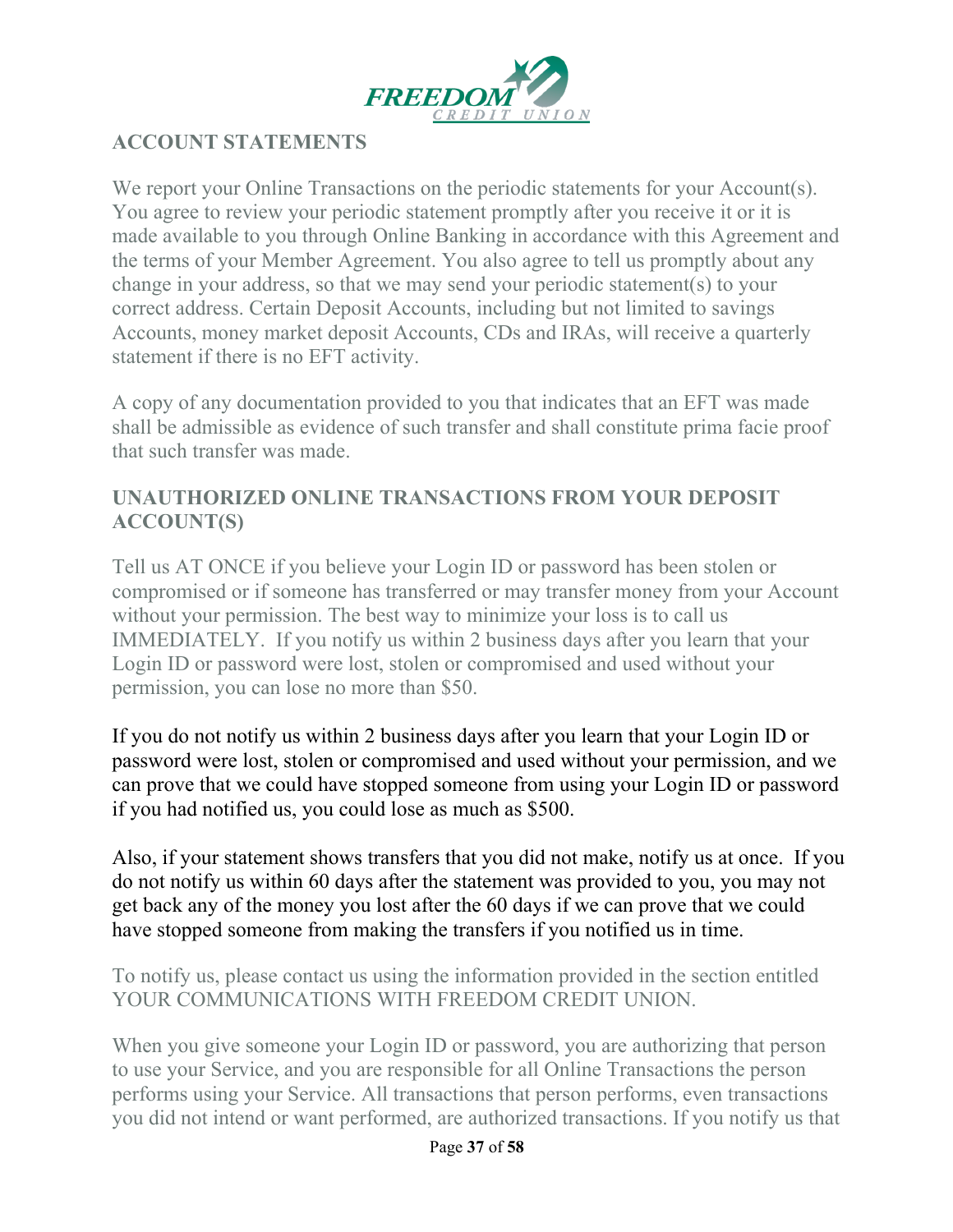

# **ACCOUNT STATEMENTS**

We report your Online Transactions on the periodic statements for your Account(s). You agree to review your periodic statement promptly after you receive it or it is made available to you through Online Banking in accordance with this Agreement and the terms of your Member Agreement. You also agree to tell us promptly about any change in your address, so that we may send your periodic statement(s) to your correct address. Certain Deposit Accounts, including but not limited to savings Accounts, money market deposit Accounts, CDs and IRAs, will receive a quarterly statement if there is no EFT activity.

A copy of any documentation provided to you that indicates that an EFT was made shall be admissible as evidence of such transfer and shall constitute prima facie proof that such transfer was made.

### **UNAUTHORIZED ONLINE TRANSACTIONS FROM YOUR DEPOSIT ACCOUNT(S)**

Tell us AT ONCE if you believe your Login ID or password has been stolen or compromised or if someone has transferred or may transfer money from your Account without your permission. The best way to minimize your loss is to call us IMMEDIATELY. If you notify us within 2 business days after you learn that your Login ID or password were lost, stolen or compromised and used without your permission, you can lose no more than \$50.

If you do not notify us within 2 business days after you learn that your Login ID or password were lost, stolen or compromised and used without your permission, and we can prove that we could have stopped someone from using your Login ID or password if you had notified us, you could lose as much as \$500.

Also, if your statement shows transfers that you did not make, notify us at once. If you do not notify us within 60 days after the statement was provided to you, you may not get back any of the money you lost after the 60 days if we can prove that we could have stopped someone from making the transfers if you notified us in time.

### To notify us, please contact us using the information provided in the section entitled YOUR COMMUNICATIONS WITH FREEDOM CREDIT UNION.

When you give someone your Login ID or password, you are authorizing that person to use your Service, and you are responsible for all Online Transactions the person performs using your Service. All transactions that person performs, even transactions you did not intend or want performed, are authorized transactions. If you notify us that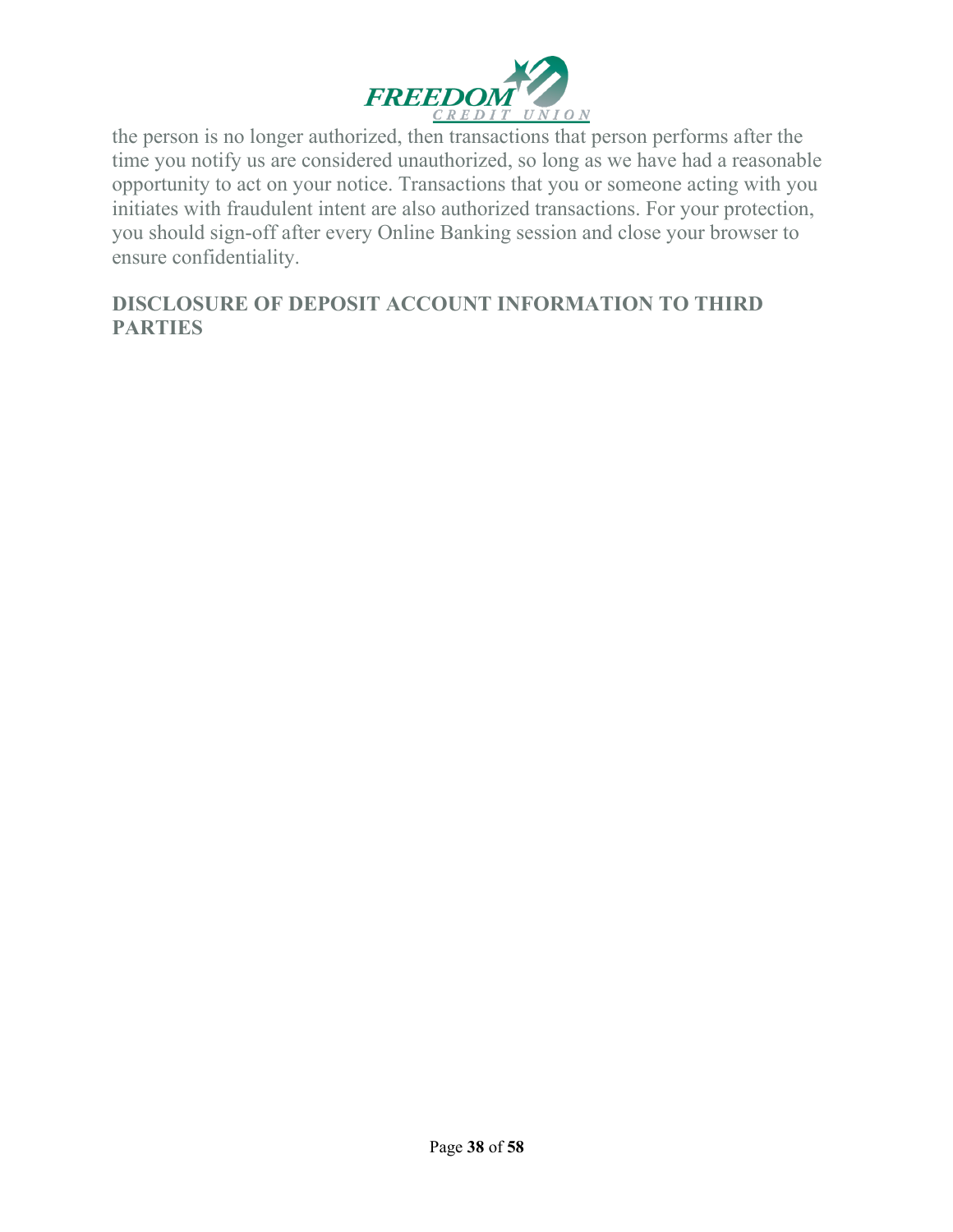

the person is no longer authorized, then transactions that person performs after the time you notify us are considered unauthorized, so long as we have had a reasonable opportunity to act on your notice. Transactions that you or someone acting with you initiates with fraudulent intent are also authorized transactions. For your protection, you should sign-off after every Online Banking session and close your browser to ensure confidentiality.

### **DISCLOSURE OF DEPOSIT ACCOUNT INFORMATION TO THIRD PARTIES**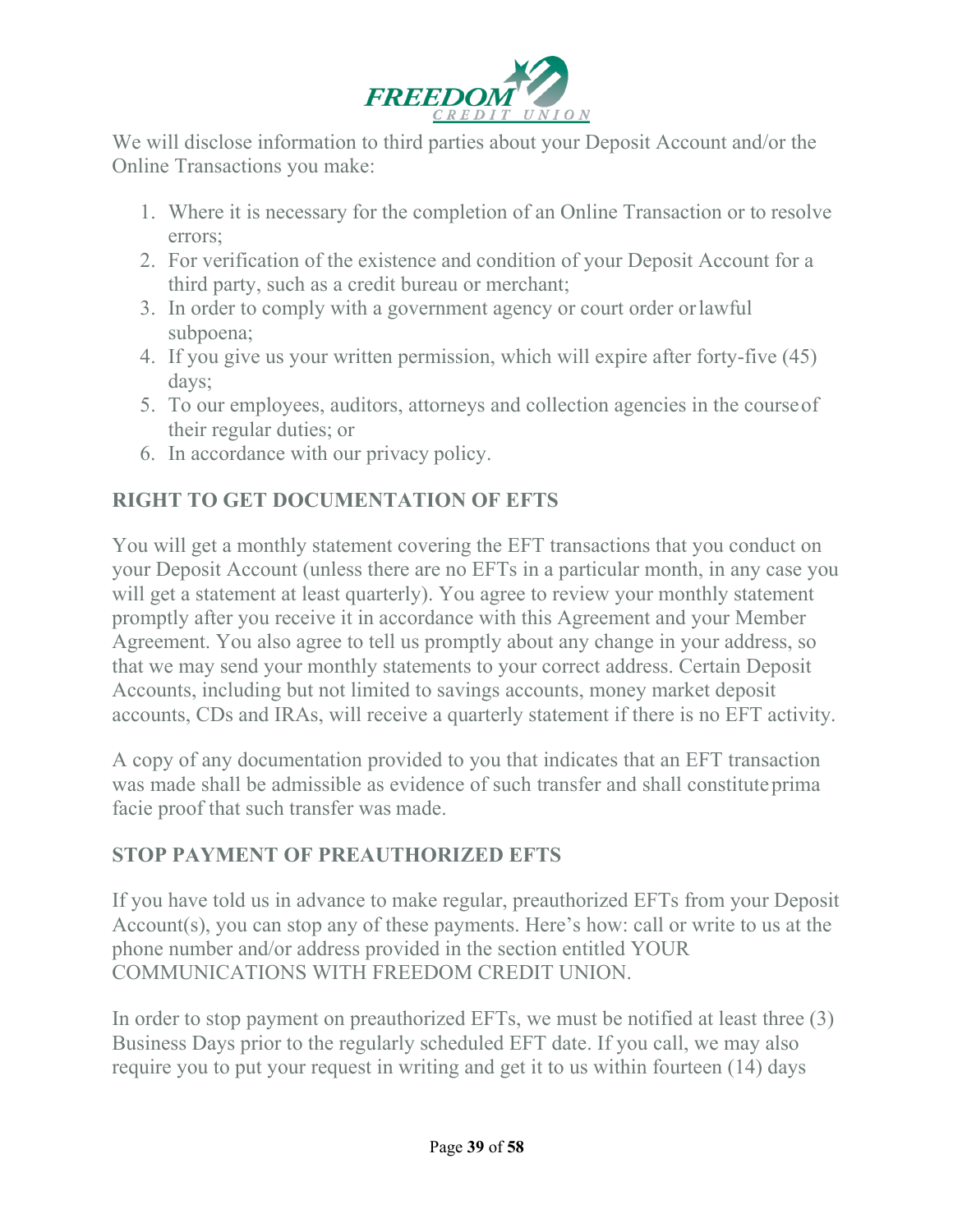

We will disclose information to third parties about your Deposit Account and/or the Online Transactions you make:

- 1. Where it is necessary for the completion of an Online Transaction or to resolve errors;
- 2. For verification of the existence and condition of your Deposit Account for a third party, such as a credit bureau or merchant;
- 3. In order to comply with a government agency or court order orlawful subpoena;
- 4. If you give us your written permission, which will expire after forty-five (45) days;
- 5. To our employees, auditors, attorneys and collection agencies in the courseof their regular duties; or
- 6. In accordance with our privacy policy.

# **RIGHT TO GET DOCUMENTATION OF EFTS**

You will get a monthly statement covering the EFT transactions that you conduct on your Deposit Account (unless there are no EFTs in a particular month, in any case you will get a statement at least quarterly). You agree to review your monthly statement promptly after you receive it in accordance with this Agreement and your Member Agreement. You also agree to tell us promptly about any change in your address, so that we may send your monthly statements to your correct address. Certain Deposit Accounts, including but not limited to savings accounts, money market deposit accounts, CDs and IRAs, will receive a quarterly statement if there is no EFT activity.

A copy of any documentation provided to you that indicates that an EFT transaction was made shall be admissible as evidence of such transfer and shall constituteprima facie proof that such transfer was made.

# **STOP PAYMENT OF PREAUTHORIZED EFTS**

If you have told us in advance to make regular, preauthorized EFTs from your Deposit Account(s), you can stop any of these payments. Here's how: call or write to us at the phone number and/or address provided in the section entitled YOUR COMMUNICATIONS WITH FREEDOM CREDIT UNION.

In order to stop payment on preauthorized EFTs, we must be notified at least three (3) Business Days prior to the regularly scheduled EFT date. If you call, we may also require you to put your request in writing and get it to us within fourteen (14) days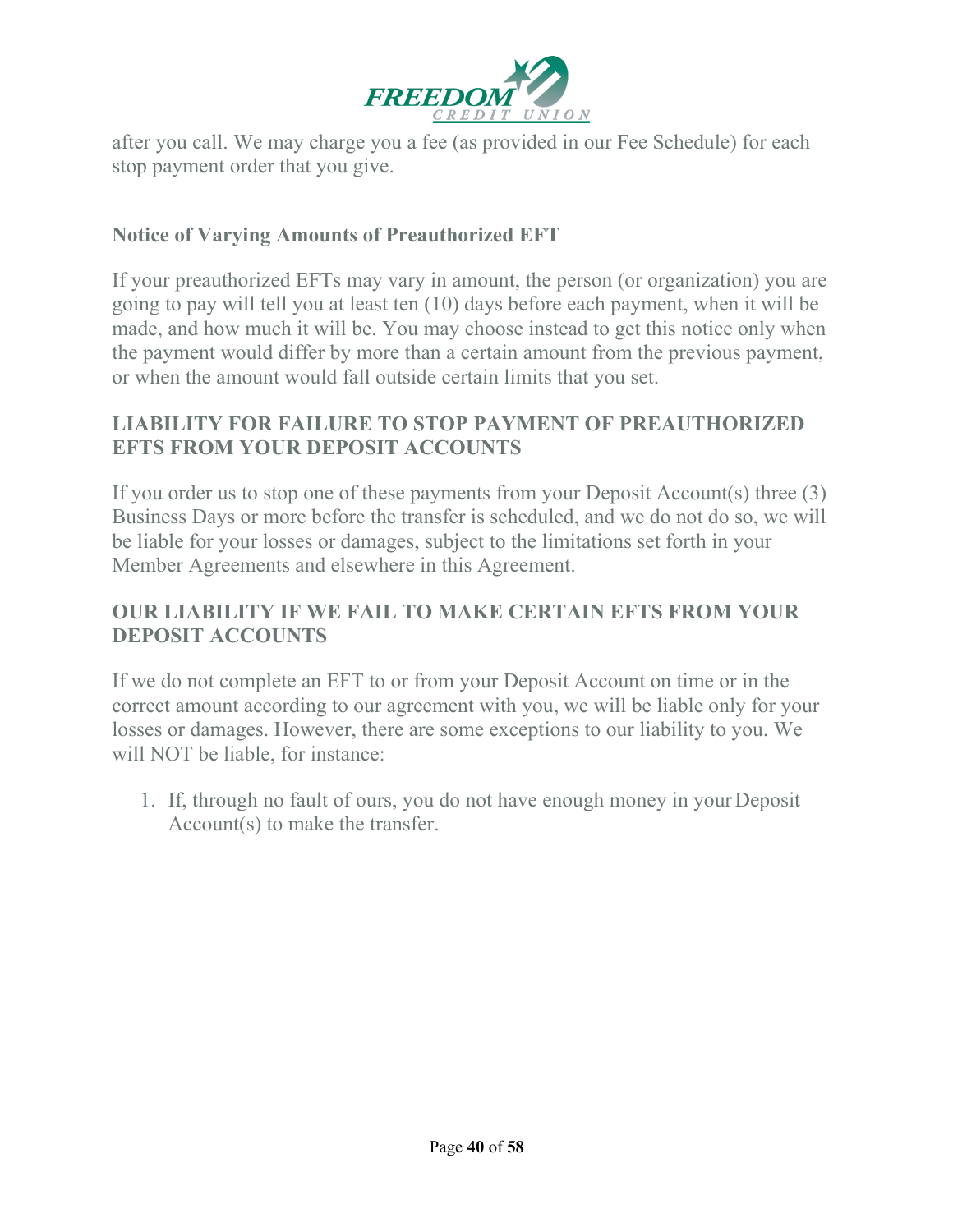

after you call. We may charge you a fee (as provided in our Fee Schedule) for each stop payment order that you give.

### **Notice of Varying Amounts of Preauthorized EFT**

If your preauthorized EFTs may vary in amount, the person (or organization) you are going to pay will tell you at least ten (10) days before each payment, when it will be made, and how much it will be. You may choose instead to get this notice only when the payment would differ by more than a certain amount from the previous payment, or when the amount would fall outside certain limits that you set.

### **LIABILITY FOR FAILURE TO STOP PAYMENT OF PREAUTHORIZED EFTS FROM YOUR DEPOSIT ACCOUNTS**

If you order us to stop one of these payments from your Deposit Account(s) three (3) Business Days or more before the transfer is scheduled, and we do not do so, we will be liable for your losses or damages, subject to the limitations set forth in your Member Agreements and elsewhere in this Agreement.

### **OUR LIABILITY IF WE FAIL TO MAKE CERTAIN EFTS FROM YOUR DEPOSIT ACCOUNTS**

If we do not complete an EFT to or from your Deposit Account on time or in the correct amount according to our agreement with you, we will be liable only for your losses or damages. However, there are some exceptions to our liability to you. We will NOT be liable, for instance:

1. If, through no fault of ours, you do not have enough money in yourDeposit Account(s) to make the transfer.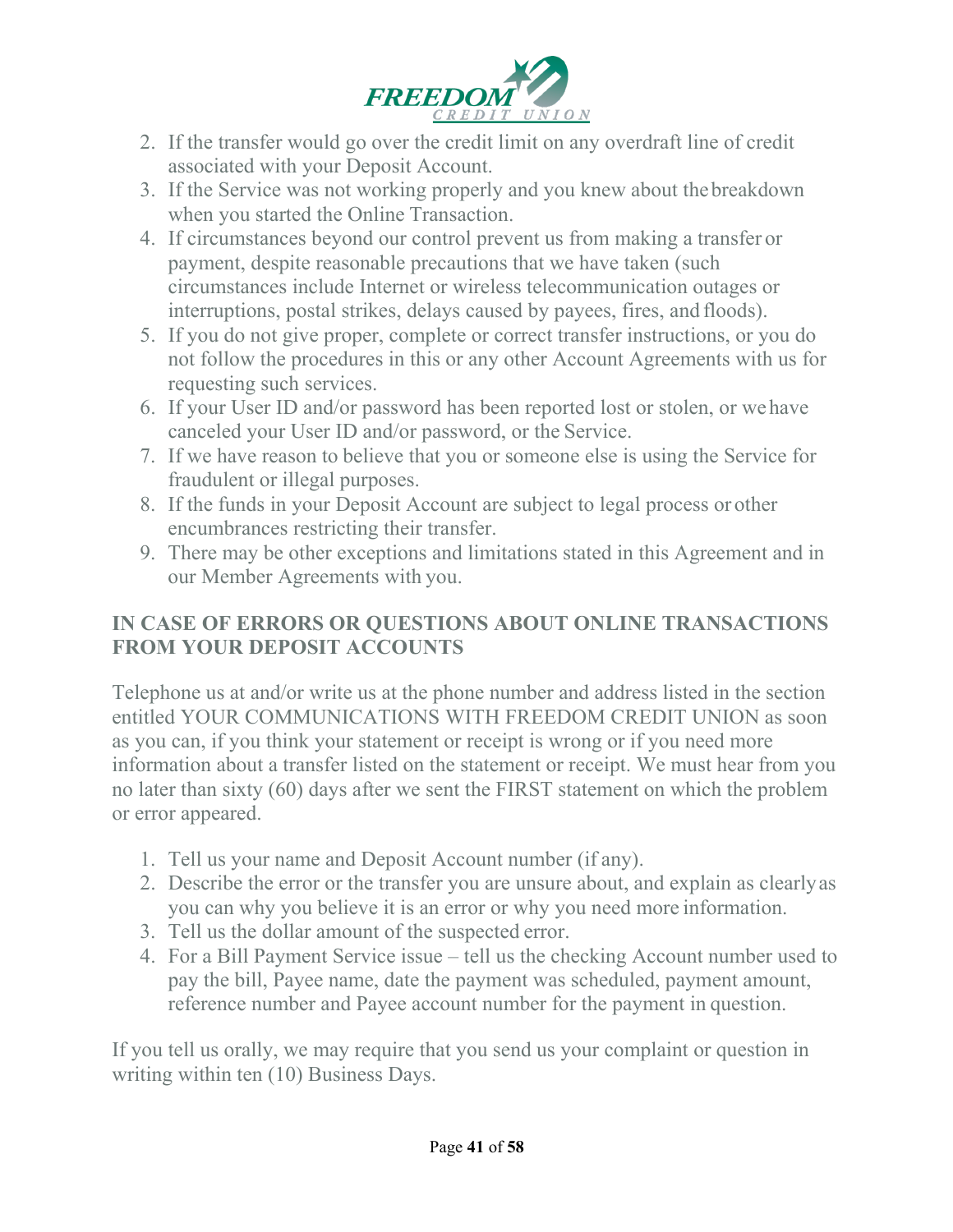

- 2. If the transfer would go over the credit limit on any overdraft line of credit associated with your Deposit Account.
- 3. If the Service was not working properly and you knew about thebreakdown when you started the Online Transaction.
- 4. If circumstances beyond our control prevent us from making a transfer or payment, despite reasonable precautions that we have taken (such circumstances include Internet or wireless telecommunication outages or interruptions, postal strikes, delays caused by payees, fires, and floods).
- 5. If you do not give proper, complete or correct transfer instructions, or you do not follow the procedures in this or any other Account Agreements with us for requesting such services.
- 6. If your User ID and/or password has been reported lost or stolen, or wehave canceled your User ID and/or password, or the Service.
- 7. If we have reason to believe that you or someone else is using the Service for fraudulent or illegal purposes.
- 8. If the funds in your Deposit Account are subject to legal process or other encumbrances restricting their transfer.
- 9. There may be other exceptions and limitations stated in this Agreement and in our Member Agreements with you.

# **IN CASE OF ERRORS OR QUESTIONS ABOUT ONLINE TRANSACTIONS FROM YOUR DEPOSIT ACCOUNTS**

Telephone us at and/or write us at the phone number and address listed in the section entitled YOUR COMMUNICATIONS WITH FREEDOM CREDIT UNION as soon as you can, if you think your statement or receipt is wrong or if you need more information about a transfer listed on the statement or receipt. We must hear from you no later than sixty (60) days after we sent the FIRST statement on which the problem or error appeared.

- 1. Tell us your name and Deposit Account number (if any).
- 2. Describe the error or the transfer you are unsure about, and explain as clearlyas you can why you believe it is an error or why you need more information.
- 3. Tell us the dollar amount of the suspected error.
- 4. For a Bill Payment Service issue tell us the checking Account number used to pay the bill, Payee name, date the payment was scheduled, payment amount, reference number and Payee account number for the payment in question.

If you tell us orally, we may require that you send us your complaint or question in writing within ten (10) Business Days.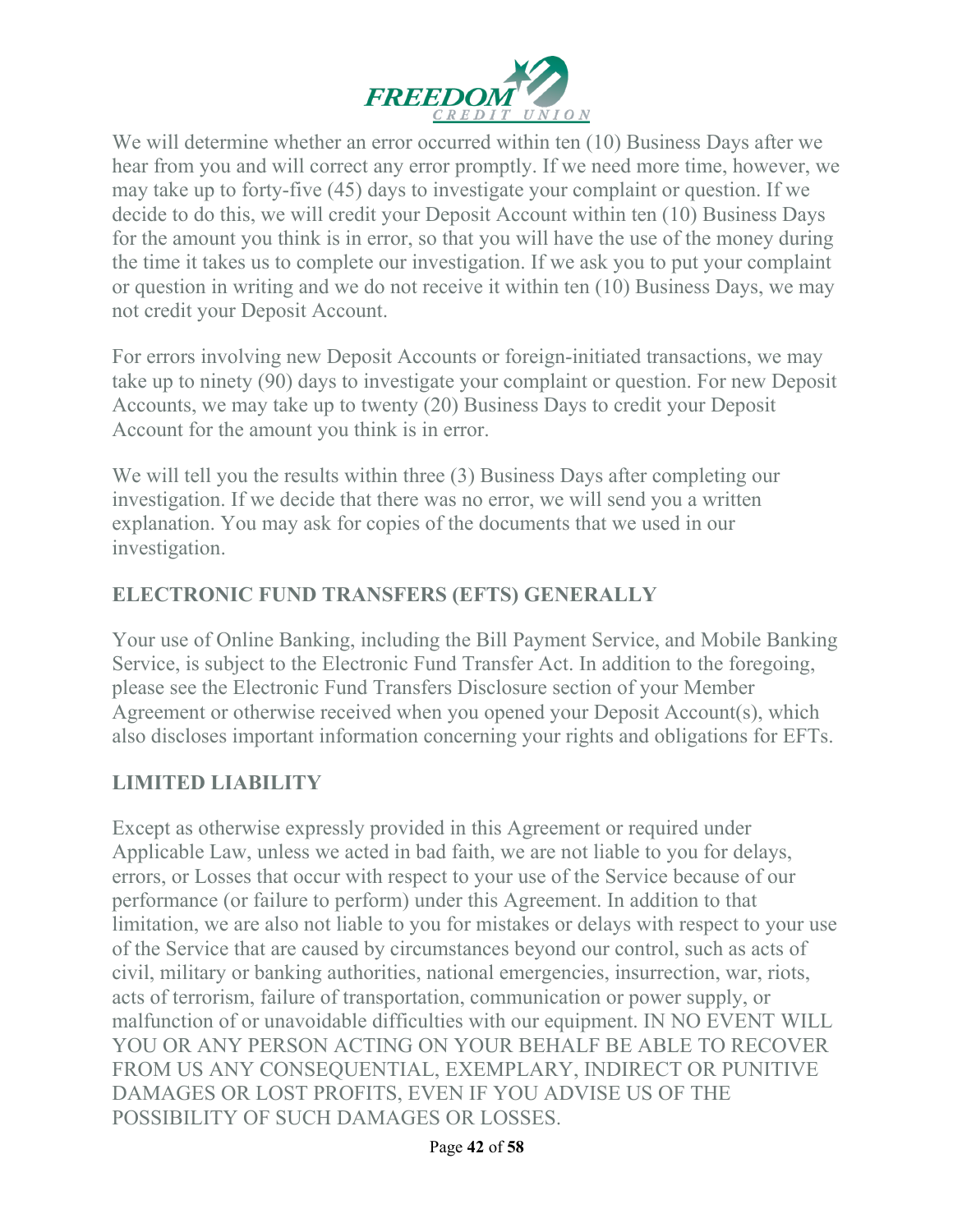

We will determine whether an error occurred within ten (10) Business Days after we hear from you and will correct any error promptly. If we need more time, however, we may take up to forty-five (45) days to investigate your complaint or question. If we decide to do this, we will credit your Deposit Account within ten (10) Business Days for the amount you think is in error, so that you will have the use of the money during the time it takes us to complete our investigation. If we ask you to put your complaint or question in writing and we do not receive it within ten (10) Business Days, we may not credit your Deposit Account.

For errors involving new Deposit Accounts or foreign-initiated transactions, we may take up to ninety (90) days to investigate your complaint or question. For new Deposit Accounts, we may take up to twenty (20) Business Days to credit your Deposit Account for the amount you think is in error.

We will tell you the results within three (3) Business Days after completing our investigation. If we decide that there was no error, we will send you a written explanation. You may ask for copies of the documents that we used in our investigation.

# **ELECTRONIC FUND TRANSFERS (EFTS) GENERALLY**

Your use of Online Banking, including the Bill Payment Service, and Mobile Banking Service, is subject to the Electronic Fund Transfer Act. In addition to the foregoing, please see the Electronic Fund Transfers Disclosure section of your Member Agreement or otherwise received when you opened your Deposit Account(s), which also discloses important information concerning your rights and obligations for EFTs.

# **LIMITED LIABILITY**

Except as otherwise expressly provided in this Agreement or required under Applicable Law, unless we acted in bad faith, we are not liable to you for delays, errors, or Losses that occur with respect to your use of the Service because of our performance (or failure to perform) under this Agreement. In addition to that limitation, we are also not liable to you for mistakes or delays with respect to your use of the Service that are caused by circumstances beyond our control, such as acts of civil, military or banking authorities, national emergencies, insurrection, war, riots, acts of terrorism, failure of transportation, communication or power supply, or malfunction of or unavoidable difficulties with our equipment. IN NO EVENT WILL YOU OR ANY PERSON ACTING ON YOUR BEHALF BE ABLE TO RECOVER FROM US ANY CONSEQUENTIAL, EXEMPLARY, INDIRECT OR PUNITIVE DAMAGES OR LOST PROFITS, EVEN IF YOU ADVISE US OF THE POSSIBILITY OF SUCH DAMAGES OR LOSSES.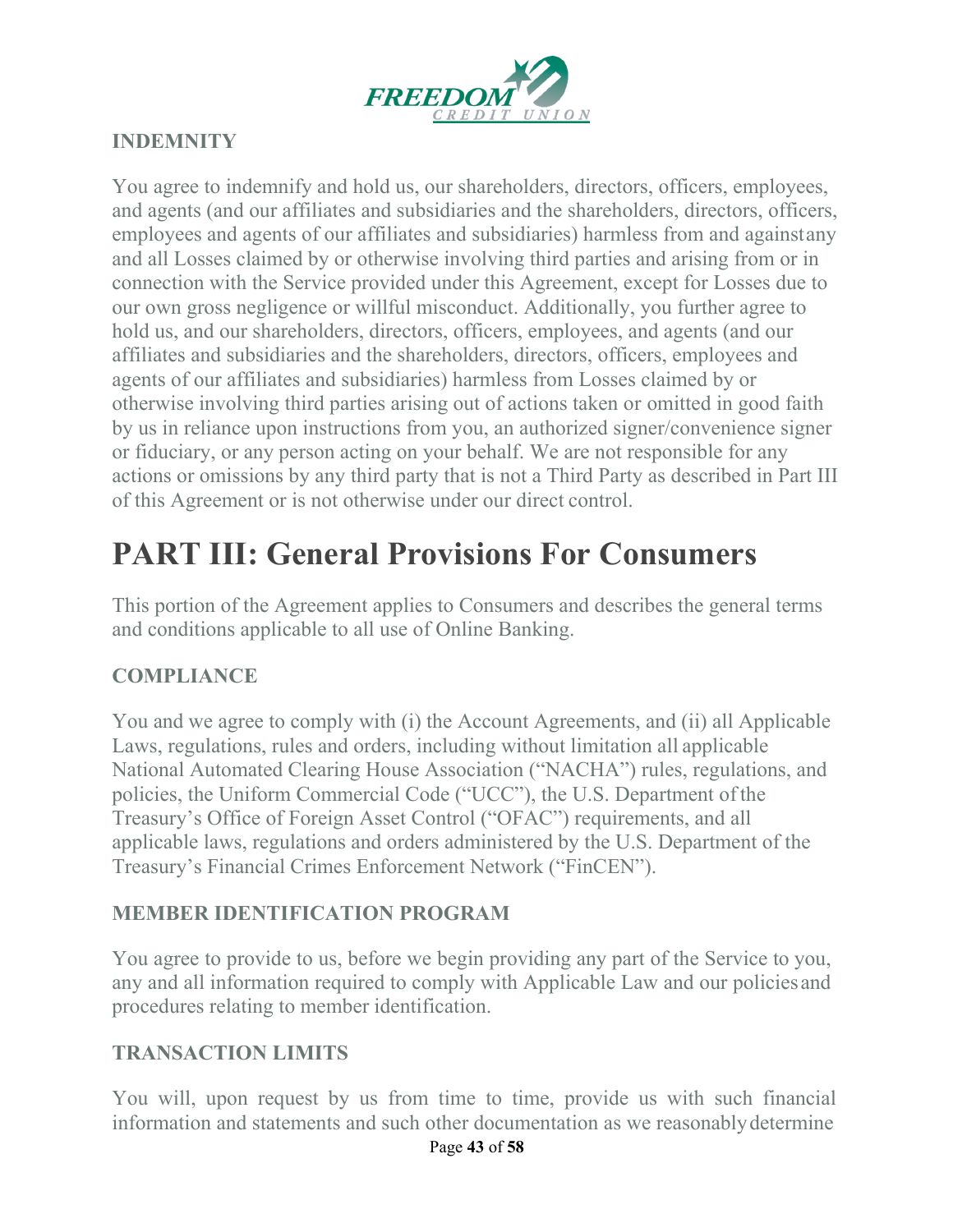

# **INDEMNITY**

You agree to indemnify and hold us, our shareholders, directors, officers, employees, and agents (and our affiliates and subsidiaries and the shareholders, directors, officers, employees and agents of our affiliates and subsidiaries) harmless from and againstany and all Losses claimed by or otherwise involving third parties and arising from or in connection with the Service provided under this Agreement, except for Losses due to our own gross negligence or willful misconduct. Additionally, you further agree to hold us, and our shareholders, directors, officers, employees, and agents (and our affiliates and subsidiaries and the shareholders, directors, officers, employees and agents of our affiliates and subsidiaries) harmless from Losses claimed by or otherwise involving third parties arising out of actions taken or omitted in good faith by us in reliance upon instructions from you, an authorized signer/convenience signer or fiduciary, or any person acting on your behalf. We are not responsible for any actions or omissions by any third party that is not a Third Party as described in Part III of this Agreement or is not otherwise under our direct control.

# **PART III: General Provisions For Consumers**

This portion of the Agreement applies to Consumers and describes the general terms and conditions applicable to all use of Online Banking.

# **COMPLIANCE**

You and we agree to comply with (i) the Account Agreements, and (ii) all Applicable Laws, regulations, rules and orders, including without limitation all applicable National Automated Clearing House Association ("NACHA") rules, regulations, and policies, the Uniform Commercial Code ("UCC"), the U.S. Department ofthe Treasury's Office of Foreign Asset Control ("OFAC") requirements, and all applicable laws, regulations and orders administered by the U.S. Department of the Treasury's Financial Crimes Enforcement Network ("FinCEN").

#### **MEMBER IDENTIFICATION PROGRAM**

You agree to provide to us, before we begin providing any part of the Service to you, any and all information required to comply with Applicable Law and our policiesand procedures relating to member identification.

#### **TRANSACTION LIMITS**

You will, upon request by us from time to time, provide us with such financial information and statements and such other documentation as we reasonablydetermine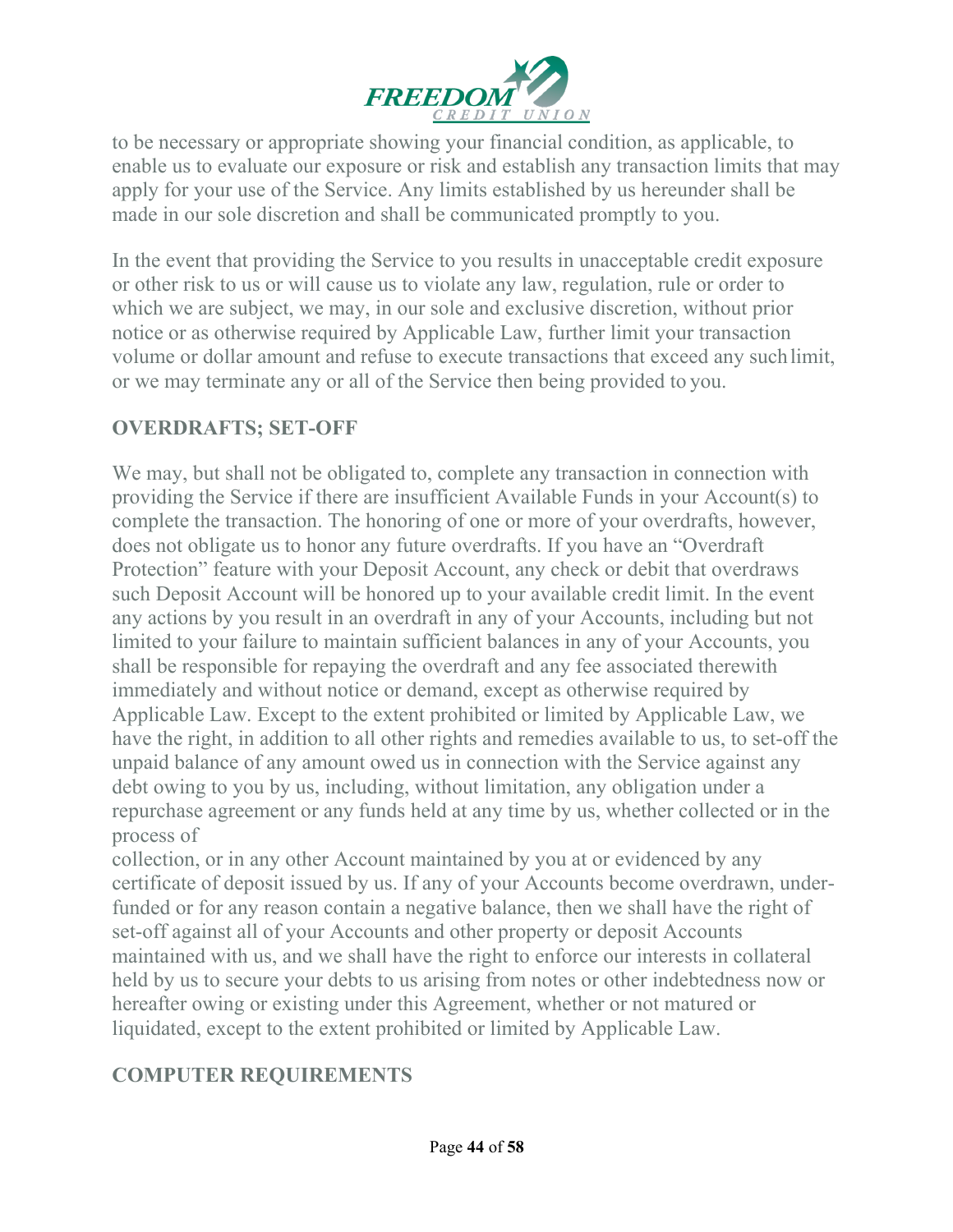

to be necessary or appropriate showing your financial condition, as applicable, to enable us to evaluate our exposure or risk and establish any transaction limits that may apply for your use of the Service. Any limits established by us hereunder shall be made in our sole discretion and shall be communicated promptly to you.

In the event that providing the Service to you results in unacceptable credit exposure or other risk to us or will cause us to violate any law, regulation, rule or order to which we are subject, we may, in our sole and exclusive discretion, without prior notice or as otherwise required by Applicable Law, further limit your transaction volume or dollar amount and refuse to execute transactions that exceed any suchlimit, or we may terminate any or all of the Service then being provided to you.

# **OVERDRAFTS; SET-OFF**

We may, but shall not be obligated to, complete any transaction in connection with providing the Service if there are insufficient Available Funds in your Account(s) to complete the transaction. The honoring of one or more of your overdrafts, however, does not obligate us to honor any future overdrafts. If you have an "Overdraft Protection" feature with your Deposit Account, any check or debit that overdraws such Deposit Account will be honored up to your available credit limit. In the event any actions by you result in an overdraft in any of your Accounts, including but not limited to your failure to maintain sufficient balances in any of your Accounts, you shall be responsible for repaying the overdraft and any fee associated therewith immediately and without notice or demand, except as otherwise required by Applicable Law. Except to the extent prohibited or limited by Applicable Law, we have the right, in addition to all other rights and remedies available to us, to set-off the unpaid balance of any amount owed us in connection with the Service against any debt owing to you by us, including, without limitation, any obligation under a repurchase agreement or any funds held at any time by us, whether collected or in the process of

collection, or in any other Account maintained by you at or evidenced by any certificate of deposit issued by us. If any of your Accounts become overdrawn, underfunded or for any reason contain a negative balance, then we shall have the right of set-off against all of your Accounts and other property or deposit Accounts maintained with us, and we shall have the right to enforce our interests in collateral held by us to secure your debts to us arising from notes or other indebtedness now or hereafter owing or existing under this Agreement, whether or not matured or liquidated, except to the extent prohibited or limited by Applicable Law.

# **COMPUTER REQUIREMENTS**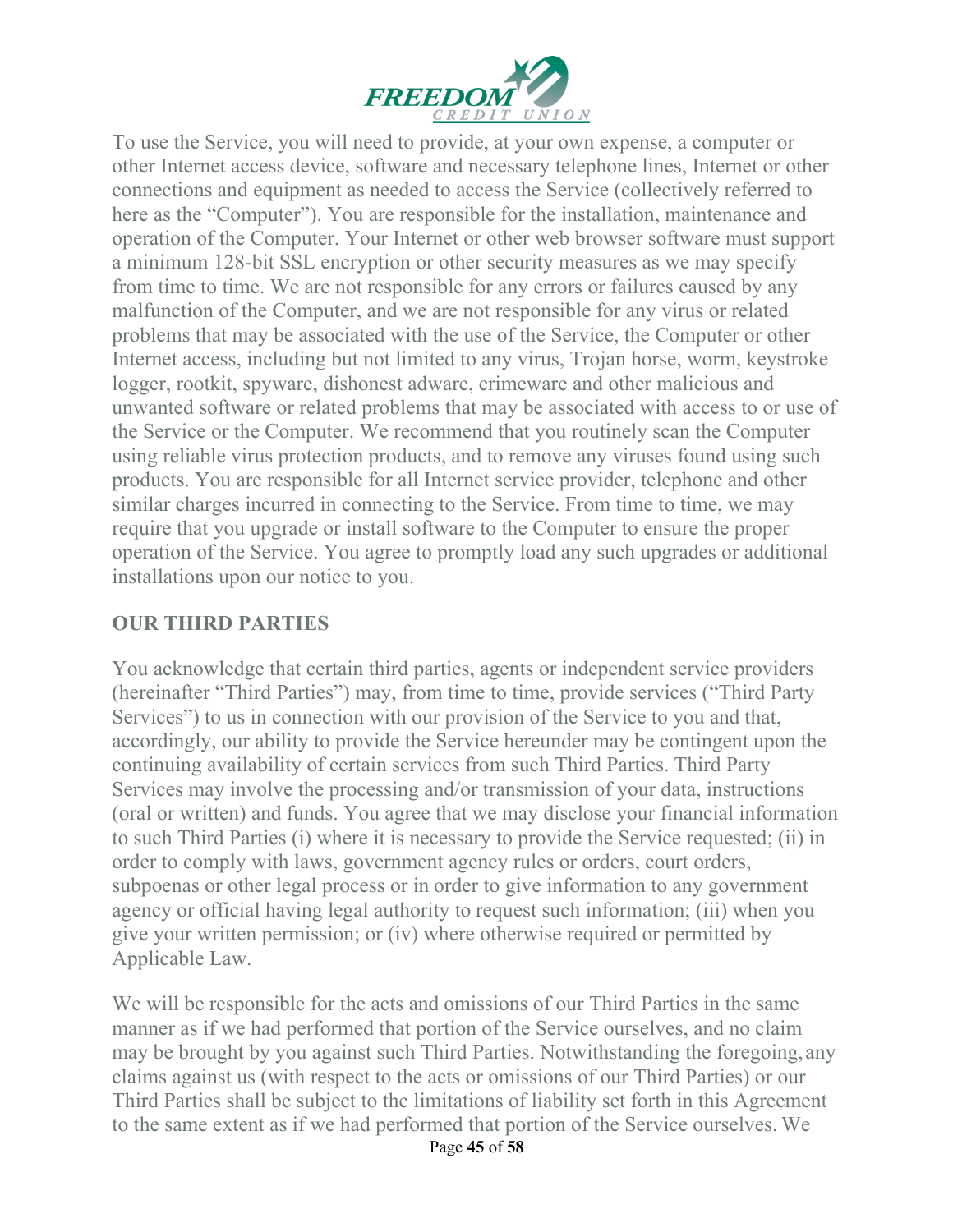

To use the Service, you will need to provide, at your own expense, a computer or other Internet access device, software and necessary telephone lines, Internet or other connections and equipment as needed to access the Service (collectively referred to here as the "Computer"). You are responsible for the installation, maintenance and operation of the Computer. Your Internet or other web browser software must support a minimum 128-bit SSL encryption or other security measures as we may specify from time to time. We are not responsible for any errors or failures caused by any malfunction of the Computer, and we are not responsible for any virus or related problems that may be associated with the use of the Service, the Computer or other Internet access, including but not limited to any virus, Trojan horse, worm, keystroke logger, rootkit, spyware, dishonest adware, crimeware and other malicious and unwanted software or related problems that may be associated with access to or use of the Service or the Computer. We recommend that you routinely scan the Computer using reliable virus protection products, and to remove any viruses found using such products. You are responsible for all Internet service provider, telephone and other similar charges incurred in connecting to the Service. From time to time, we may require that you upgrade or install software to the Computer to ensure the proper operation of the Service. You agree to promptly load any such upgrades or additional installations upon our notice to you.

### **OUR THIRD PARTIES**

You acknowledge that certain third parties, agents or independent service providers (hereinafter "Third Parties") may, from time to time, provide services ("Third Party Services") to us in connection with our provision of the Service to you and that, accordingly, our ability to provide the Service hereunder may be contingent upon the continuing availability of certain services from such Third Parties. Third Party Services may involve the processing and/or transmission of your data, instructions (oral or written) and funds. You agree that we may disclose your financial information to such Third Parties (i) where it is necessary to provide the Service requested; (ii) in order to comply with laws, government agency rules or orders, court orders, subpoenas or other legal process or in order to give information to any government agency or official having legal authority to request such information; (iii) when you give your written permission; or (iv) where otherwise required or permitted by Applicable Law.

We will be responsible for the acts and omissions of our Third Parties in the same manner as if we had performed that portion of the Service ourselves, and no claim may be brought by you against such Third Parties. Notwithstanding the foregoing,any claims against us (with respect to the acts or omissions of our Third Parties) or our Third Parties shall be subject to the limitations of liability set forth in this Agreement to the same extent as if we had performed that portion of the Service ourselves. We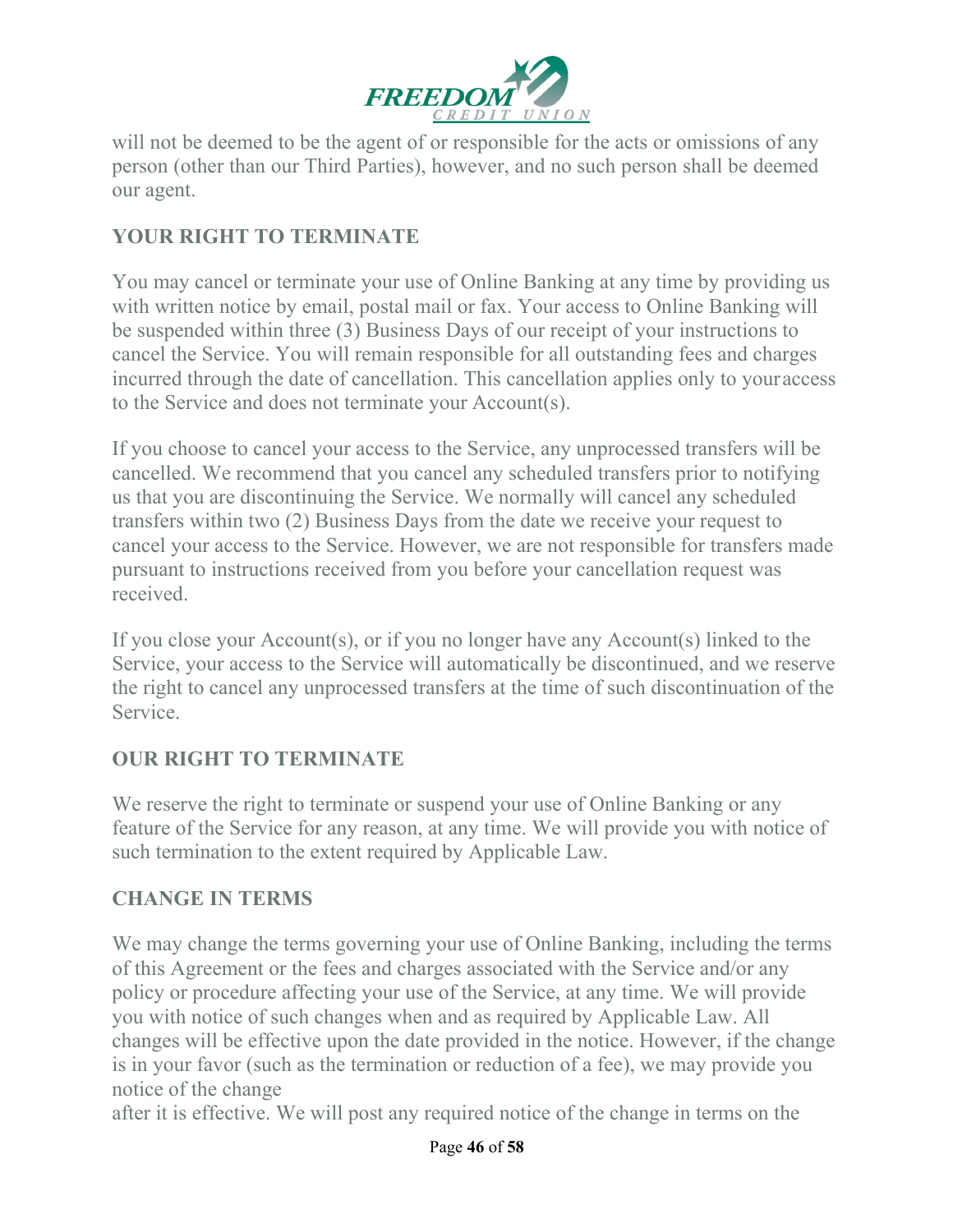

will not be deemed to be the agent of or responsible for the acts or omissions of any person (other than our Third Parties), however, and no such person shall be deemed our agent.

### **YOUR RIGHT TO TERMINATE**

You may cancel or terminate your use of Online Banking at any time by providing us with written notice by email, postal mail or fax. Your access to Online Banking will be suspended within three (3) Business Days of our receipt of your instructions to cancel the Service. You will remain responsible for all outstanding fees and charges incurred through the date of cancellation. This cancellation applies only to youraccess to the Service and does not terminate your Account(s).

If you choose to cancel your access to the Service, any unprocessed transfers will be cancelled. We recommend that you cancel any scheduled transfers prior to notifying us that you are discontinuing the Service. We normally will cancel any scheduled transfers within two (2) Business Days from the date we receive your request to cancel your access to the Service. However, we are not responsible for transfers made pursuant to instructions received from you before your cancellation request was received.

If you close your Account(s), or if you no longer have any Account(s) linked to the Service, your access to the Service will automatically be discontinued, and we reserve the right to cancel any unprocessed transfers at the time of such discontinuation of the Service.

#### **OUR RIGHT TO TERMINATE**

We reserve the right to terminate or suspend your use of Online Banking or any feature of the Service for any reason, at any time. We will provide you with notice of such termination to the extent required by Applicable Law.

#### **CHANGE IN TERMS**

We may change the terms governing your use of Online Banking, including the terms of this Agreement or the fees and charges associated with the Service and/or any policy or procedure affecting your use of the Service, at any time. We will provide you with notice of such changes when and as required by Applicable Law. All changes will be effective upon the date provided in the notice. However, if the change is in your favor (such as the termination or reduction of a fee), we may provide you notice of the change

after it is effective. We will post any required notice of the change in terms on the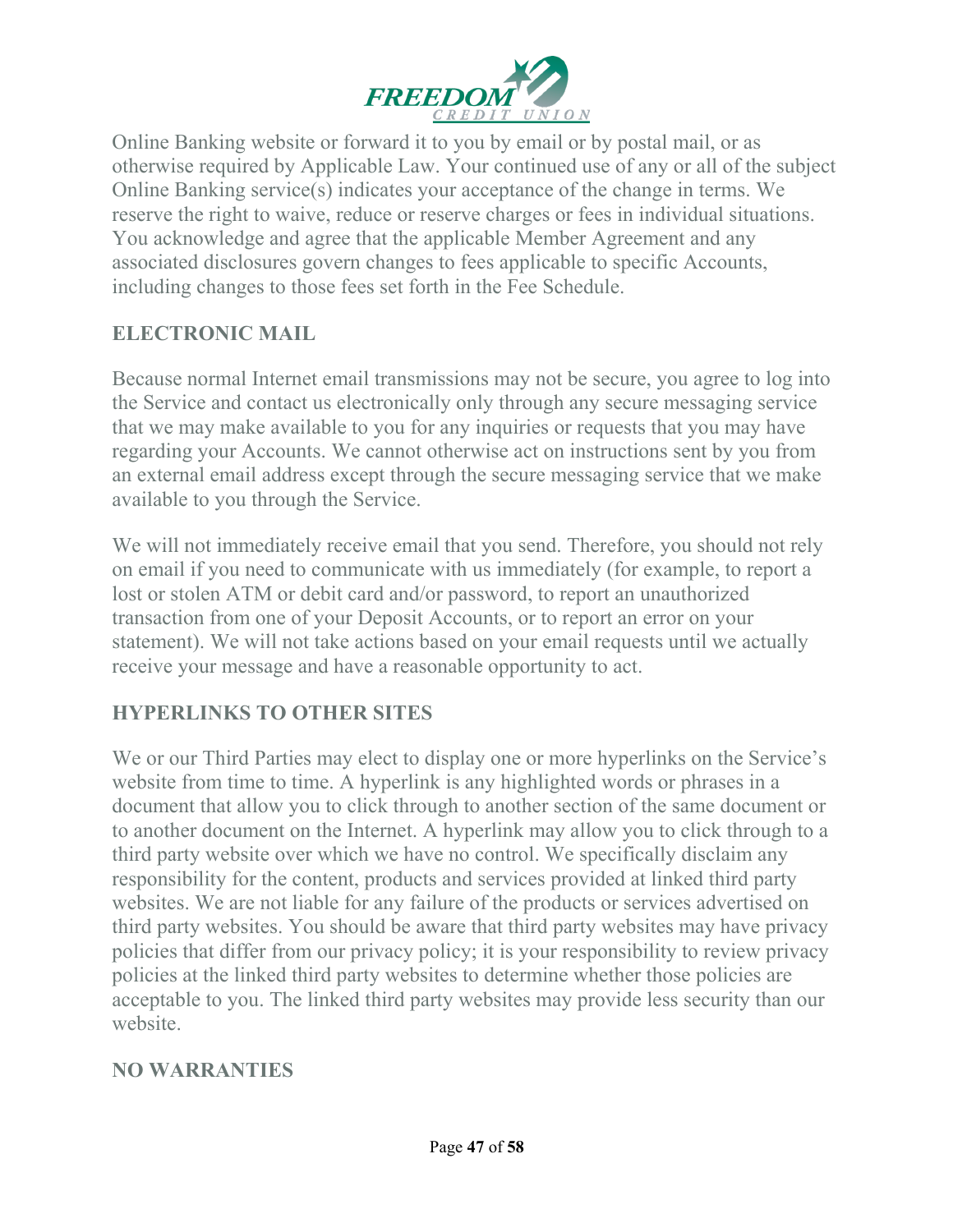

Online Banking website or forward it to you by email or by postal mail, or as otherwise required by Applicable Law. Your continued use of any or all of the subject Online Banking service(s) indicates your acceptance of the change in terms. We reserve the right to waive, reduce or reserve charges or fees in individual situations. You acknowledge and agree that the applicable Member Agreement and any associated disclosures govern changes to fees applicable to specific Accounts, including changes to those fees set forth in the Fee Schedule.

### **ELECTRONIC MAIL**

Because normal Internet email transmissions may not be secure, you agree to log into the Service and contact us electronically only through any secure messaging service that we may make available to you for any inquiries or requests that you may have regarding your Accounts. We cannot otherwise act on instructions sent by you from an external email address except through the secure messaging service that we make available to you through the Service.

We will not immediately receive email that you send. Therefore, you should not rely on email if you need to communicate with us immediately (for example, to report a lost or stolen ATM or debit card and/or password, to report an unauthorized transaction from one of your Deposit Accounts, or to report an error on your statement). We will not take actions based on your email requests until we actually receive your message and have a reasonable opportunity to act.

# **HYPERLINKS TO OTHER SITES**

We or our Third Parties may elect to display one or more hyperlinks on the Service's website from time to time. A hyperlink is any highlighted words or phrases in a document that allow you to click through to another section of the same document or to another document on the Internet. A hyperlink may allow you to click through to a third party website over which we have no control. We specifically disclaim any responsibility for the content, products and services provided at linked third party websites. We are not liable for any failure of the products or services advertised on third party websites. You should be aware that third party websites may have privacy policies that differ from our privacy policy; it is your responsibility to review privacy policies at the linked third party websites to determine whether those policies are acceptable to you. The linked third party websites may provide less security than our website.

#### **NO WARRANTIES**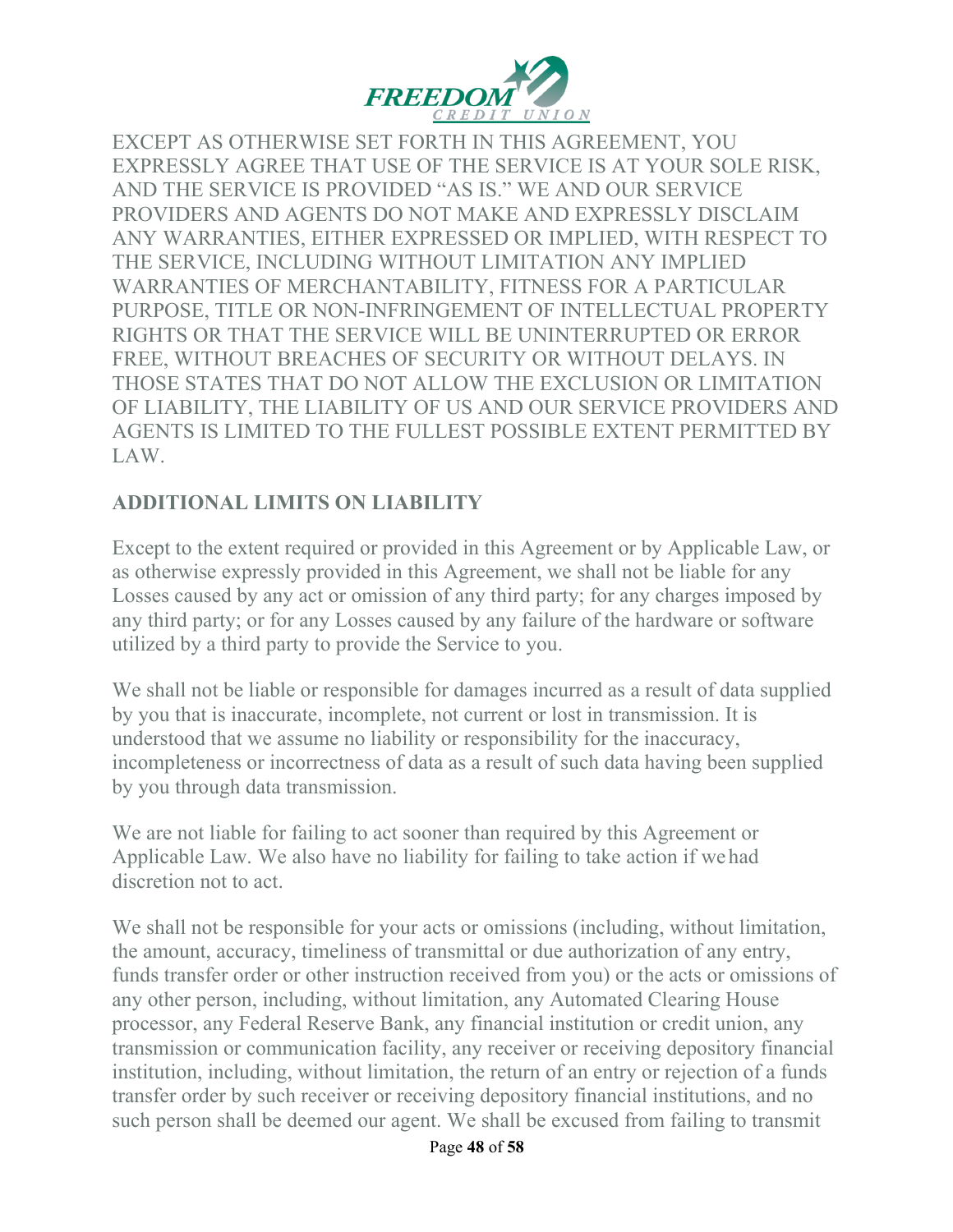

EXCEPT AS OTHERWISE SET FORTH IN THIS AGREEMENT, YOU EXPRESSLY AGREE THAT USE OF THE SERVICE IS AT YOUR SOLE RISK, AND THE SERVICE IS PROVIDED "AS IS." WE AND OUR SERVICE PROVIDERS AND AGENTS DO NOT MAKE AND EXPRESSLY DISCLAIM ANY WARRANTIES, EITHER EXPRESSED OR IMPLIED, WITH RESPECT TO THE SERVICE, INCLUDING WITHOUT LIMITATION ANY IMPLIED WARRANTIES OF MERCHANTABILITY, FITNESS FOR A PARTICULAR PURPOSE, TITLE OR NON-INFRINGEMENT OF INTELLECTUAL PROPERTY RIGHTS OR THAT THE SERVICE WILL BE UNINTERRUPTED OR ERROR FREE, WITHOUT BREACHES OF SECURITY OR WITHOUT DELAYS. IN THOSE STATES THAT DO NOT ALLOW THE EXCLUSION OR LIMITATION OF LIABILITY, THE LIABILITY OF US AND OUR SERVICE PROVIDERS AND AGENTS IS LIMITED TO THE FULLEST POSSIBLE EXTENT PERMITTED BY LAW.

# **ADDITIONAL LIMITS ON LIABILITY**

Except to the extent required or provided in this Agreement or by Applicable Law, or as otherwise expressly provided in this Agreement, we shall not be liable for any Losses caused by any act or omission of any third party; for any charges imposed by any third party; or for any Losses caused by any failure of the hardware or software utilized by a third party to provide the Service to you.

We shall not be liable or responsible for damages incurred as a result of data supplied by you that is inaccurate, incomplete, not current or lost in transmission. It is understood that we assume no liability or responsibility for the inaccuracy, incompleteness or incorrectness of data as a result of such data having been supplied by you through data transmission.

We are not liable for failing to act sooner than required by this Agreement or Applicable Law. We also have no liability for failing to take action if we had discretion not to act.

We shall not be responsible for your acts or omissions (including, without limitation, the amount, accuracy, timeliness of transmittal or due authorization of any entry, funds transfer order or other instruction received from you) or the acts or omissions of any other person, including, without limitation, any Automated Clearing House processor, any Federal Reserve Bank, any financial institution or credit union, any transmission or communication facility, any receiver or receiving depository financial institution, including, without limitation, the return of an entry or rejection of a funds transfer order by such receiver or receiving depository financial institutions, and no such person shall be deemed our agent. We shall be excused from failing to transmit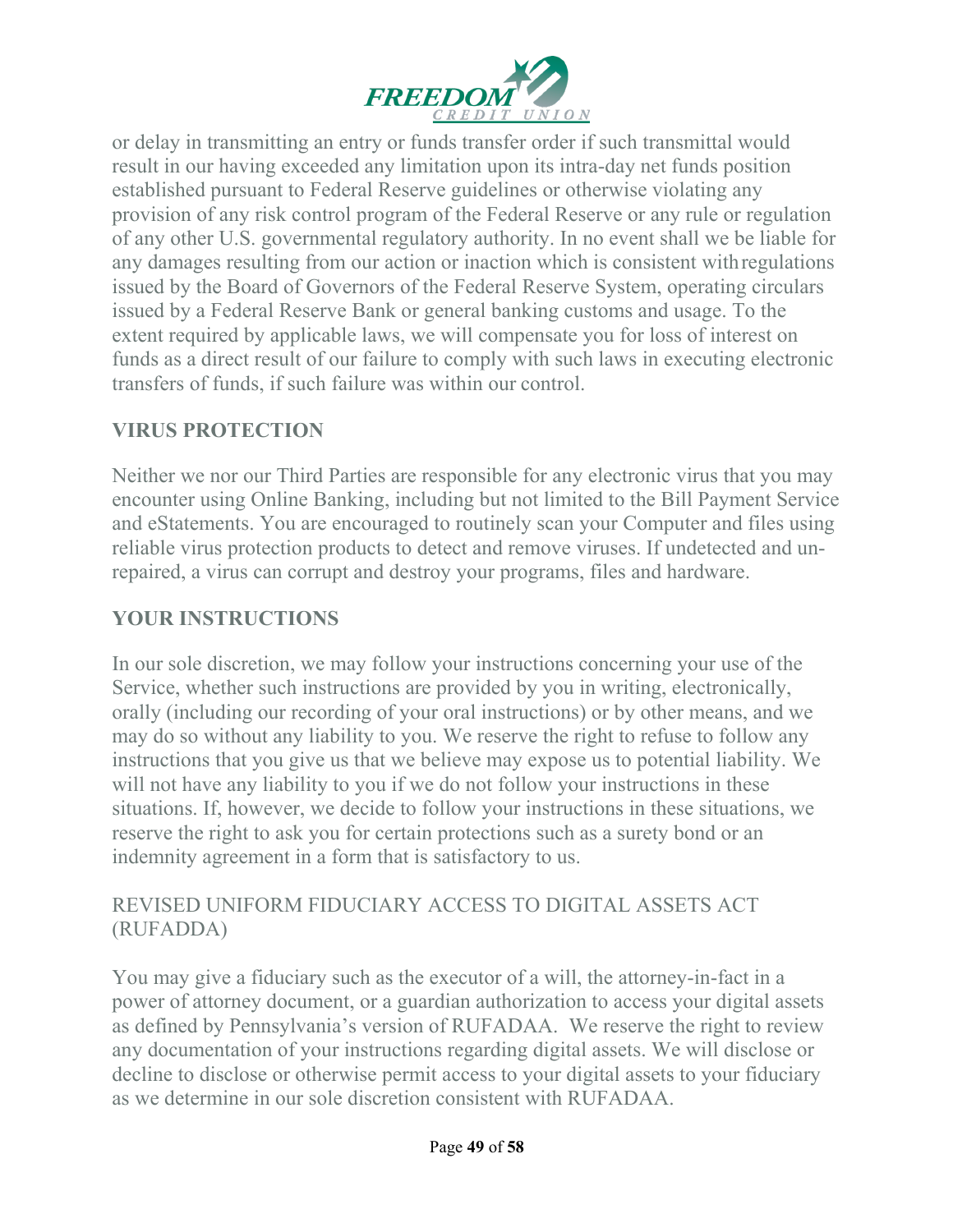

or delay in transmitting an entry or funds transfer order if such transmittal would result in our having exceeded any limitation upon its intra-day net funds position established pursuant to Federal Reserve guidelines or otherwise violating any provision of any risk control program of the Federal Reserve or any rule or regulation of any other U.S. governmental regulatory authority. In no event shall we be liable for any damages resulting from our action or inaction which is consistent withregulations issued by the Board of Governors of the Federal Reserve System, operating circulars issued by a Federal Reserve Bank or general banking customs and usage. To the extent required by applicable laws, we will compensate you for loss of interest on funds as a direct result of our failure to comply with such laws in executing electronic transfers of funds, if such failure was within our control.

### **VIRUS PROTECTION**

Neither we nor our Third Parties are responsible for any electronic virus that you may encounter using Online Banking, including but not limited to the Bill Payment Service and eStatements. You are encouraged to routinely scan your Computer and files using reliable virus protection products to detect and remove viruses. If undetected and unrepaired, a virus can corrupt and destroy your programs, files and hardware.

### **YOUR INSTRUCTIONS**

In our sole discretion, we may follow your instructions concerning your use of the Service, whether such instructions are provided by you in writing, electronically, orally (including our recording of your oral instructions) or by other means, and we may do so without any liability to you. We reserve the right to refuse to follow any instructions that you give us that we believe may expose us to potential liability. We will not have any liability to you if we do not follow your instructions in these situations. If, however, we decide to follow your instructions in these situations, we reserve the right to ask you for certain protections such as a surety bond or an indemnity agreement in a form that is satisfactory to us.

#### REVISED UNIFORM FIDUCIARY ACCESS TO DIGITAL ASSETS ACT (RUFADDA)

You may give a fiduciary such as the executor of a will, the attorney-in-fact in a power of attorney document, or a guardian authorization to access your digital assets as defined by Pennsylvania's version of RUFADAA. We reserve the right to review any documentation of your instructions regarding digital assets. We will disclose or decline to disclose or otherwise permit access to your digital assets to your fiduciary as we determine in our sole discretion consistent with RUFADAA.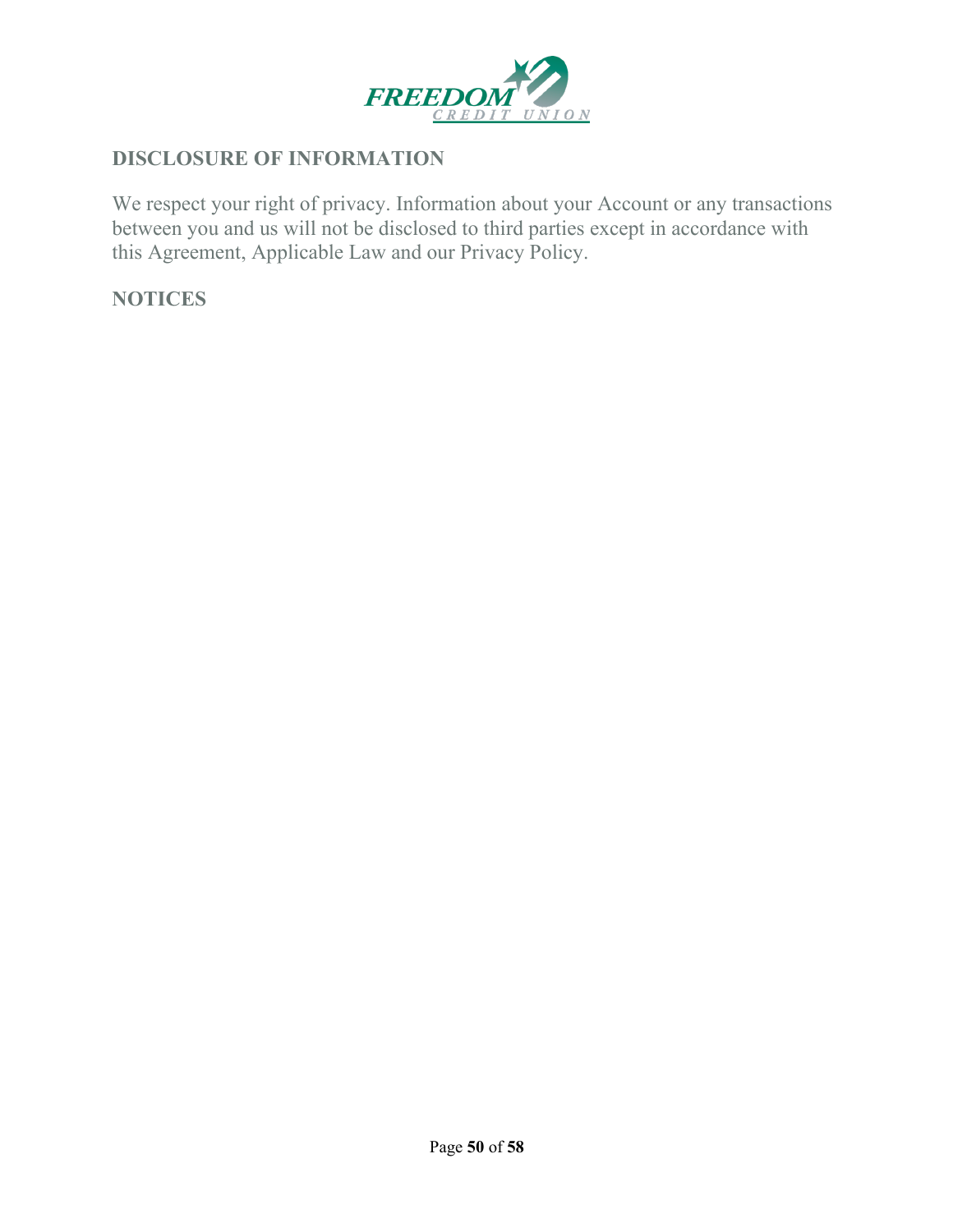

#### **DISCLOSURE OF INFORMATION**

We respect your right of privacy. Information about your Account or any transactions between you and us will not be disclosed to third parties except in accordance with this Agreement, Applicable Law and our Privacy Policy.

#### **NOTICES**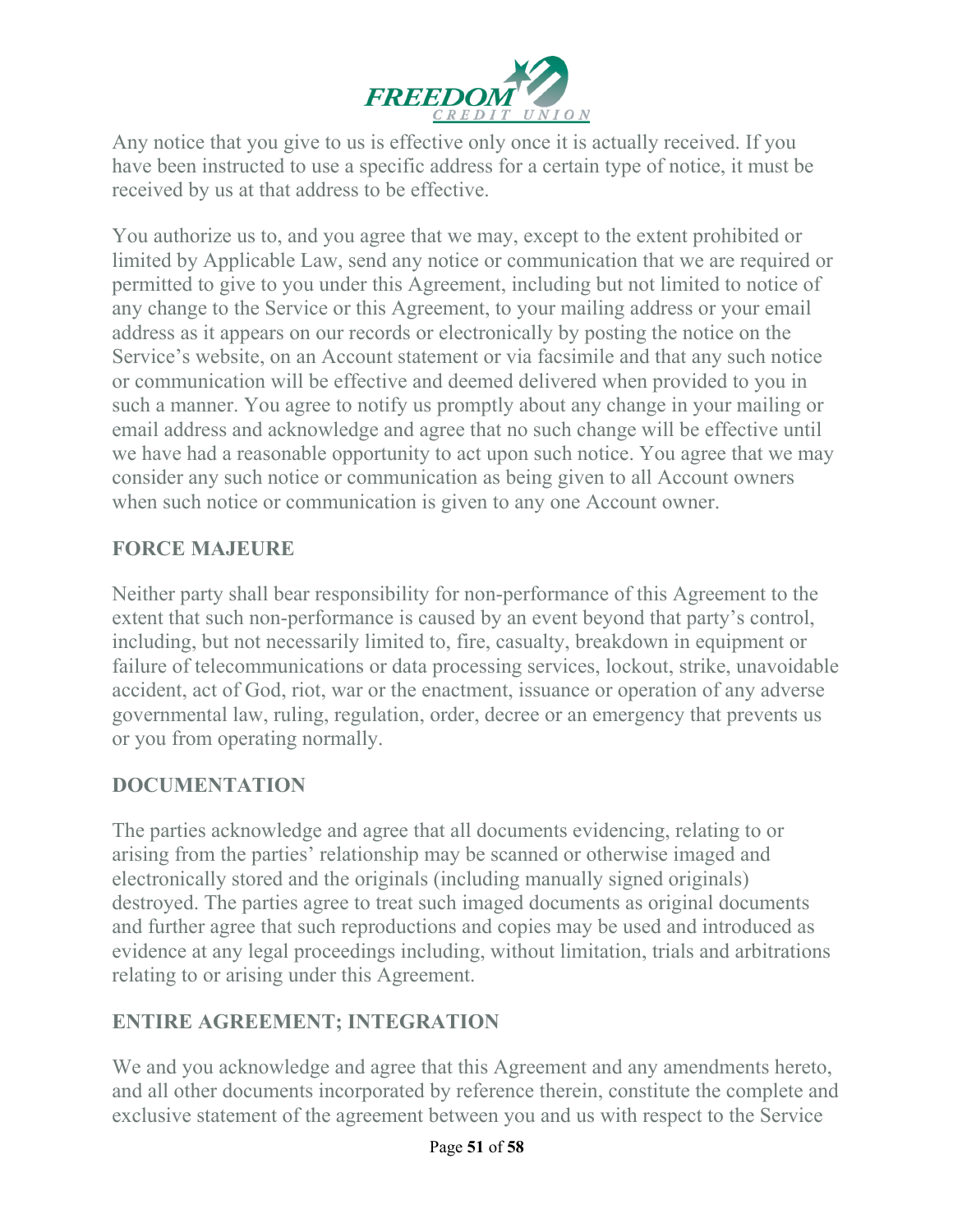

Any notice that you give to us is effective only once it is actually received. If you have been instructed to use a specific address for a certain type of notice, it must be received by us at that address to be effective.

You authorize us to, and you agree that we may, except to the extent prohibited or limited by Applicable Law, send any notice or communication that we are required or permitted to give to you under this Agreement, including but not limited to notice of any change to the Service or this Agreement, to your mailing address or your email address as it appears on our records or electronically by posting the notice on the Service's website, on an Account statement or via facsimile and that any such notice or communication will be effective and deemed delivered when provided to you in such a manner. You agree to notify us promptly about any change in your mailing or email address and acknowledge and agree that no such change will be effective until we have had a reasonable opportunity to act upon such notice. You agree that we may consider any such notice or communication as being given to all Account owners when such notice or communication is given to any one Account owner.

### **FORCE MAJEURE**

Neither party shall bear responsibility for non-performance of this Agreement to the extent that such non-performance is caused by an event beyond that party's control, including, but not necessarily limited to, fire, casualty, breakdown in equipment or failure of telecommunications or data processing services, lockout, strike, unavoidable accident, act of God, riot, war or the enactment, issuance or operation of any adverse governmental law, ruling, regulation, order, decree or an emergency that prevents us or you from operating normally.

#### **DOCUMENTATION**

The parties acknowledge and agree that all documents evidencing, relating to or arising from the parties' relationship may be scanned or otherwise imaged and electronically stored and the originals (including manually signed originals) destroyed. The parties agree to treat such imaged documents as original documents and further agree that such reproductions and copies may be used and introduced as evidence at any legal proceedings including, without limitation, trials and arbitrations relating to or arising under this Agreement.

# **ENTIRE AGREEMENT; INTEGRATION**

We and you acknowledge and agree that this Agreement and any amendments hereto, and all other documents incorporated by reference therein, constitute the complete and exclusive statement of the agreement between you and us with respect to the Service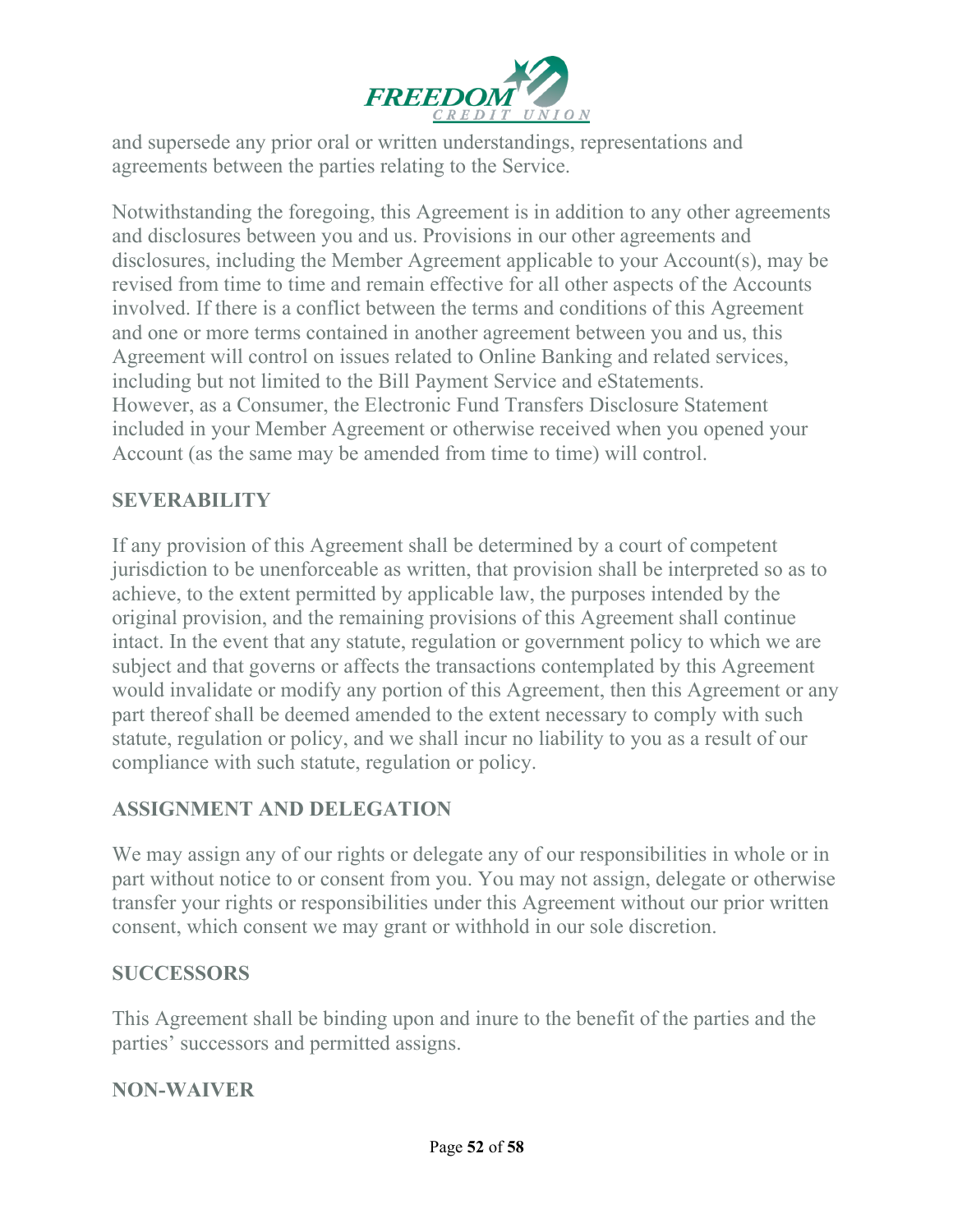

and supersede any prior oral or written understandings, representations and agreements between the parties relating to the Service.

Notwithstanding the foregoing, this Agreement is in addition to any other agreements and disclosures between you and us. Provisions in our other agreements and disclosures, including the Member Agreement applicable to your Account(s), may be revised from time to time and remain effective for all other aspects of the Accounts involved. If there is a conflict between the terms and conditions of this Agreement and one or more terms contained in another agreement between you and us, this Agreement will control on issues related to Online Banking and related services, including but not limited to the Bill Payment Service and eStatements. However, as a Consumer, the Electronic Fund Transfers Disclosure Statement included in your Member Agreement or otherwise received when you opened your Account (as the same may be amended from time to time) will control.

#### **SEVERABILITY**

If any provision of this Agreement shall be determined by a court of competent jurisdiction to be unenforceable as written, that provision shall be interpreted so as to achieve, to the extent permitted by applicable law, the purposes intended by the original provision, and the remaining provisions of this Agreement shall continue intact. In the event that any statute, regulation or government policy to which we are subject and that governs or affects the transactions contemplated by this Agreement would invalidate or modify any portion of this Agreement, then this Agreement or any part thereof shall be deemed amended to the extent necessary to comply with such statute, regulation or policy, and we shall incur no liability to you as a result of our compliance with such statute, regulation or policy.

#### **ASSIGNMENT AND DELEGATION**

We may assign any of our rights or delegate any of our responsibilities in whole or in part without notice to or consent from you. You may not assign, delegate or otherwise transfer your rights or responsibilities under this Agreement without our prior written consent, which consent we may grant or withhold in our sole discretion.

#### **SUCCESSORS**

This Agreement shall be binding upon and inure to the benefit of the parties and the parties' successors and permitted assigns.

#### **NON-WAIVER**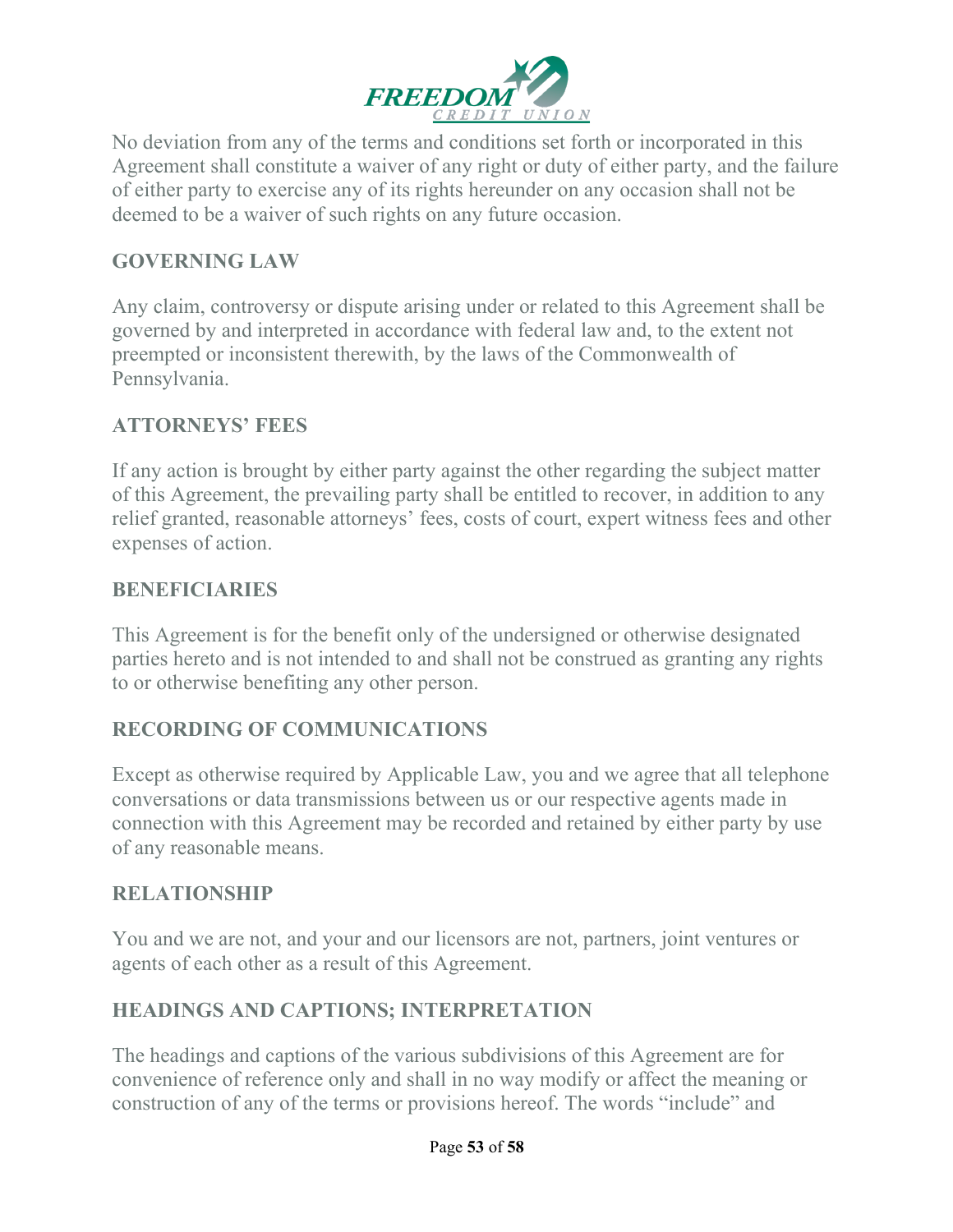

No deviation from any of the terms and conditions set forth or incorporated in this Agreement shall constitute a waiver of any right or duty of either party, and the failure of either party to exercise any of its rights hereunder on any occasion shall not be deemed to be a waiver of such rights on any future occasion.

#### **GOVERNING LAW**

Any claim, controversy or dispute arising under or related to this Agreement shall be governed by and interpreted in accordance with federal law and, to the extent not preempted or inconsistent therewith, by the laws of the Commonwealth of Pennsylvania.

### **ATTORNEYS' FEES**

If any action is brought by either party against the other regarding the subject matter of this Agreement, the prevailing party shall be entitled to recover, in addition to any relief granted, reasonable attorneys' fees, costs of court, expert witness fees and other expenses of action.

#### **BENEFICIARIES**

This Agreement is for the benefit only of the undersigned or otherwise designated parties hereto and is not intended to and shall not be construed as granting any rights to or otherwise benefiting any other person.

#### **RECORDING OF COMMUNICATIONS**

Except as otherwise required by Applicable Law, you and we agree that all telephone conversations or data transmissions between us or our respective agents made in connection with this Agreement may be recorded and retained by either party by use of any reasonable means.

#### **RELATIONSHIP**

You and we are not, and your and our licensors are not, partners, joint ventures or agents of each other as a result of this Agreement.

#### **HEADINGS AND CAPTIONS; INTERPRETATION**

The headings and captions of the various subdivisions of this Agreement are for convenience of reference only and shall in no way modify or affect the meaning or construction of any of the terms or provisions hereof. The words "include" and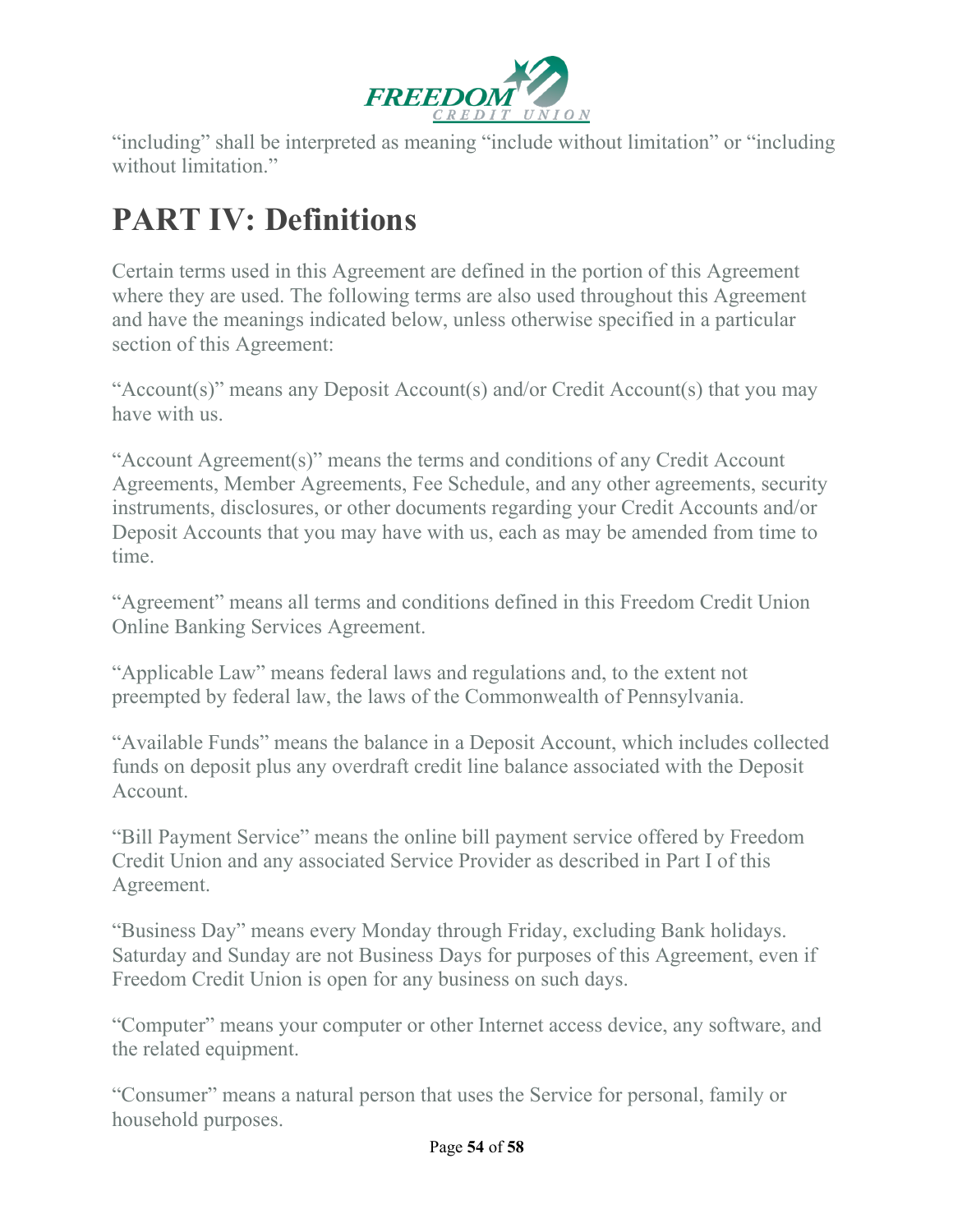

"including" shall be interpreted as meaning "include without limitation" or "including without limitation"

# **PART IV: Definitions**

Certain terms used in this Agreement are defined in the portion of this Agreement where they are used. The following terms are also used throughout this Agreement and have the meanings indicated below, unless otherwise specified in a particular section of this Agreement:

"Account(s)" means any Deposit Account(s) and/or Credit Account(s) that you may have with us.

"Account Agreement(s)" means the terms and conditions of any Credit Account Agreements, Member Agreements, Fee Schedule, and any other agreements, security instruments, disclosures, or other documents regarding your Credit Accounts and/or Deposit Accounts that you may have with us, each as may be amended from time to time.

"Agreement" means all terms and conditions defined in this Freedom Credit Union Online Banking Services Agreement.

"Applicable Law" means federal laws and regulations and, to the extent not preempted by federal law, the laws of the Commonwealth of Pennsylvania.

"Available Funds" means the balance in a Deposit Account, which includes collected funds on deposit plus any overdraft credit line balance associated with the Deposit Account.

"Bill Payment Service" means the online bill payment service offered by Freedom Credit Union and any associated Service Provider as described in Part I of this Agreement.

"Business Day" means every Monday through Friday, excluding Bank holidays. Saturday and Sunday are not Business Days for purposes of this Agreement, even if Freedom Credit Union is open for any business on such days.

"Computer" means your computer or other Internet access device, any software, and the related equipment.

"Consumer" means a natural person that uses the Service for personal, family or household purposes.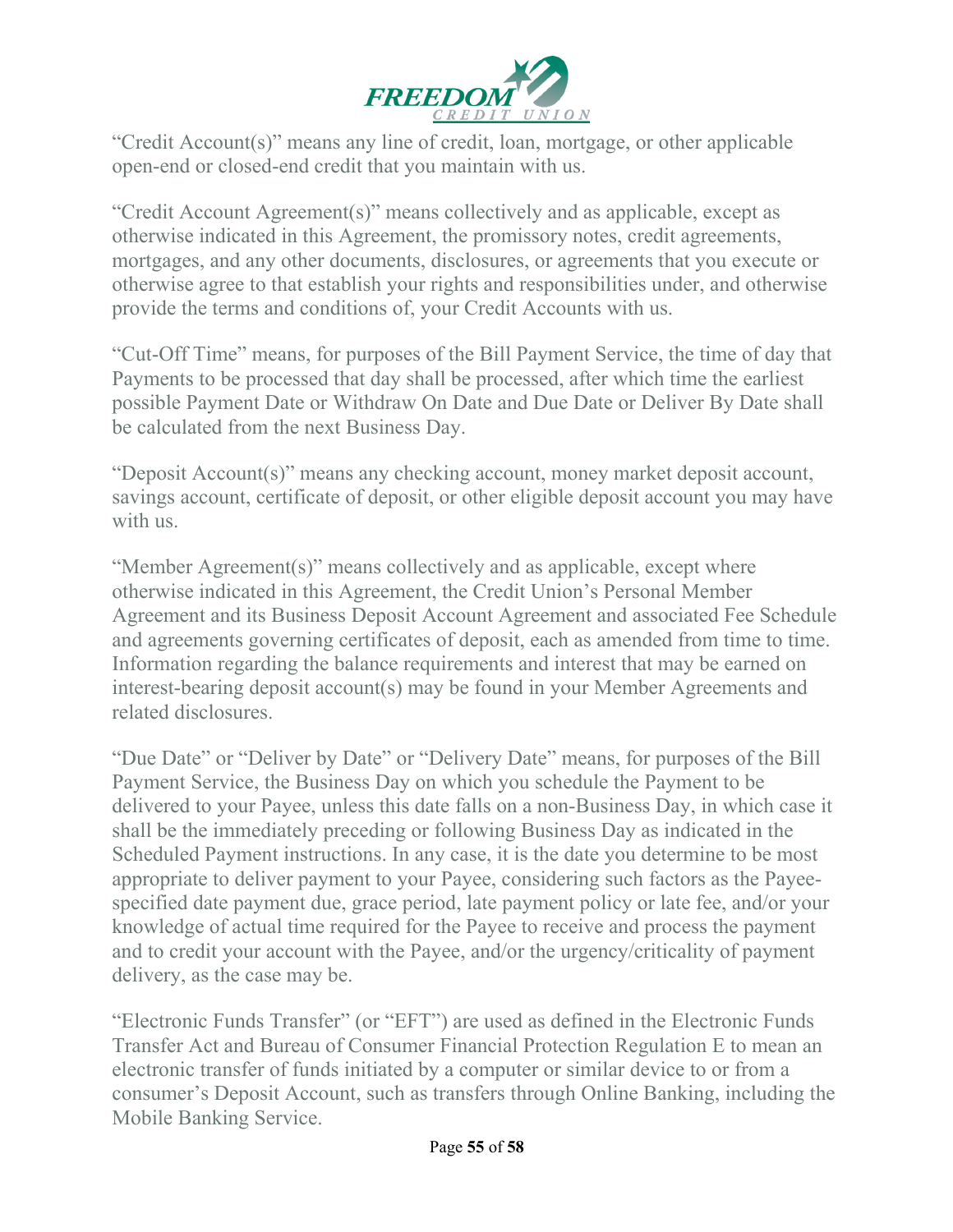

"Credit Account(s)" means any line of credit, loan, mortgage, or other applicable open-end or closed-end credit that you maintain with us.

"Credit Account Agreement(s)" means collectively and as applicable, except as otherwise indicated in this Agreement, the promissory notes, credit agreements, mortgages, and any other documents, disclosures, or agreements that you execute or otherwise agree to that establish your rights and responsibilities under, and otherwise provide the terms and conditions of, your Credit Accounts with us.

"Cut-Off Time" means, for purposes of the Bill Payment Service, the time of day that Payments to be processed that day shall be processed, after which time the earliest possible Payment Date or Withdraw On Date and Due Date or Deliver By Date shall be calculated from the next Business Day.

"Deposit Account(s)" means any checking account, money market deposit account, savings account, certificate of deposit, or other eligible deposit account you may have with us.

"Member Agreement(s)" means collectively and as applicable, except where otherwise indicated in this Agreement, the Credit Union's Personal Member Agreement and its Business Deposit Account Agreement and associated Fee Schedule and agreements governing certificates of deposit, each as amended from time to time. Information regarding the balance requirements and interest that may be earned on interest-bearing deposit account(s) may be found in your Member Agreements and related disclosures.

"Due Date" or "Deliver by Date" or "Delivery Date" means, for purposes of the Bill Payment Service, the Business Day on which you schedule the Payment to be delivered to your Payee, unless this date falls on a non-Business Day, in which case it shall be the immediately preceding or following Business Day as indicated in the Scheduled Payment instructions. In any case, it is the date you determine to be most appropriate to deliver payment to your Payee, considering such factors as the Payeespecified date payment due, grace period, late payment policy or late fee, and/or your knowledge of actual time required for the Payee to receive and process the payment and to credit your account with the Payee, and/or the urgency/criticality of payment delivery, as the case may be.

"Electronic Funds Transfer" (or "EFT") are used as defined in the Electronic Funds Transfer Act and Bureau of Consumer Financial Protection Regulation E to mean an electronic transfer of funds initiated by a computer or similar device to or from a consumer's Deposit Account, such as transfers through Online Banking, including the Mobile Banking Service.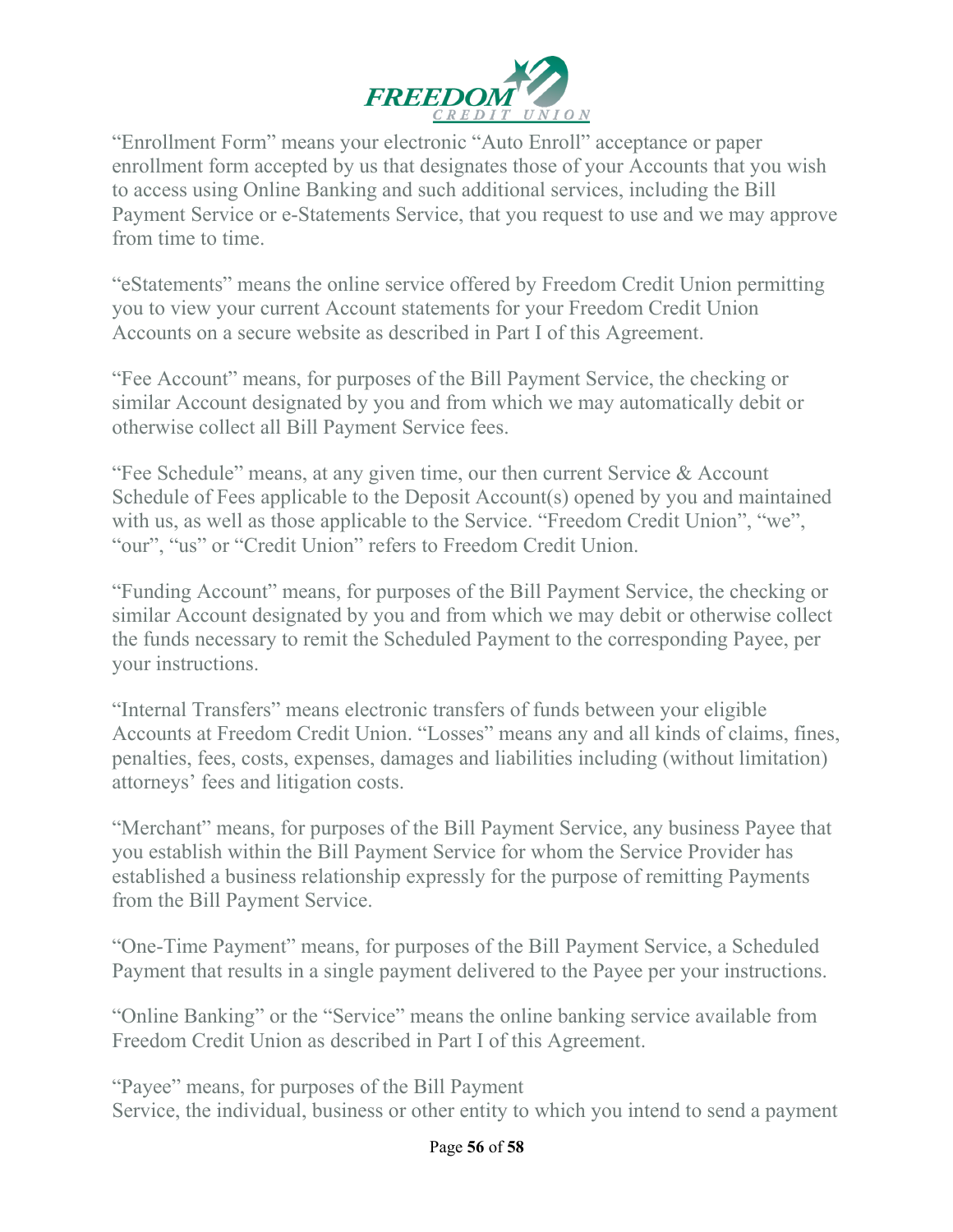

"Enrollment Form" means your electronic "Auto Enroll" acceptance or paper enrollment form accepted by us that designates those of your Accounts that you wish to access using Online Banking and such additional services, including the Bill Payment Service or e-Statements Service, that you request to use and we may approve from time to time.

"eStatements" means the online service offered by Freedom Credit Union permitting you to view your current Account statements for your Freedom Credit Union Accounts on a secure website as described in Part I of this Agreement.

"Fee Account" means, for purposes of the Bill Payment Service, the checking or similar Account designated by you and from which we may automatically debit or otherwise collect all Bill Payment Service fees.

"Fee Schedule" means, at any given time, our then current Service & Account Schedule of Fees applicable to the Deposit Account(s) opened by you and maintained with us, as well as those applicable to the Service. "Freedom Credit Union", "we", "our", "us" or "Credit Union" refers to Freedom Credit Union.

"Funding Account" means, for purposes of the Bill Payment Service, the checking or similar Account designated by you and from which we may debit or otherwise collect the funds necessary to remit the Scheduled Payment to the corresponding Payee, per your instructions.

"Internal Transfers" means electronic transfers of funds between your eligible Accounts at Freedom Credit Union. "Losses" means any and all kinds of claims, fines, penalties, fees, costs, expenses, damages and liabilities including (without limitation) attorneys' fees and litigation costs.

"Merchant" means, for purposes of the Bill Payment Service, any business Payee that you establish within the Bill Payment Service for whom the Service Provider has established a business relationship expressly for the purpose of remitting Payments from the Bill Payment Service.

"One-Time Payment" means, for purposes of the Bill Payment Service, a Scheduled Payment that results in a single payment delivered to the Payee per your instructions.

"Online Banking" or the "Service" means the online banking service available from Freedom Credit Union as described in Part I of this Agreement.

"Payee" means, for purposes of the Bill Payment Service, the individual, business or other entity to which you intend to send a payment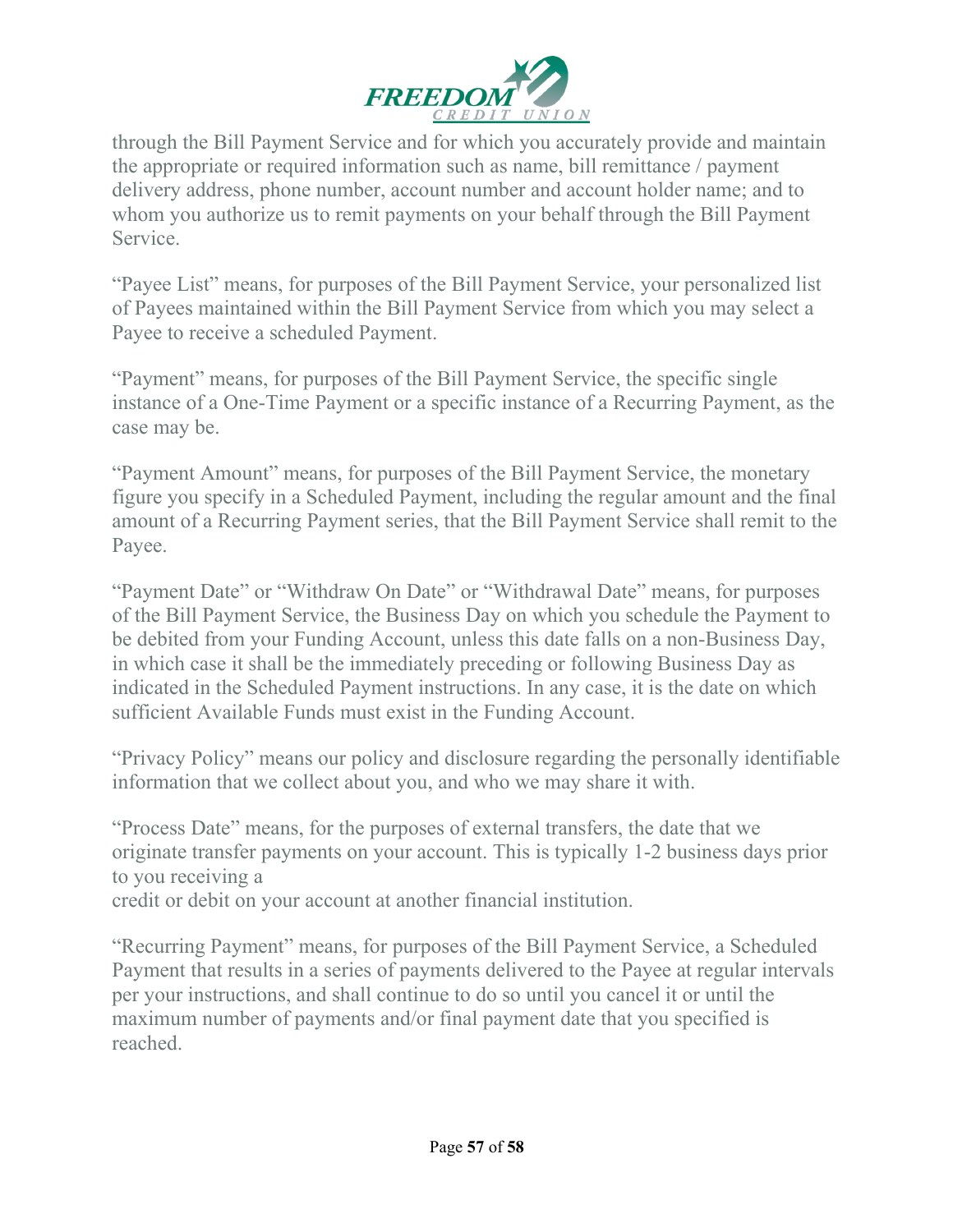

through the Bill Payment Service and for which you accurately provide and maintain the appropriate or required information such as name, bill remittance / payment delivery address, phone number, account number and account holder name; and to whom you authorize us to remit payments on your behalf through the Bill Payment Service.

"Payee List" means, for purposes of the Bill Payment Service, your personalized list of Payees maintained within the Bill Payment Service from which you may select a Payee to receive a scheduled Payment.

"Payment" means, for purposes of the Bill Payment Service, the specific single instance of a One-Time Payment or a specific instance of a Recurring Payment, as the case may be.

"Payment Amount" means, for purposes of the Bill Payment Service, the monetary figure you specify in a Scheduled Payment, including the regular amount and the final amount of a Recurring Payment series, that the Bill Payment Service shall remit to the Payee.

"Payment Date" or "Withdraw On Date" or "Withdrawal Date" means, for purposes of the Bill Payment Service, the Business Day on which you schedule the Payment to be debited from your Funding Account, unless this date falls on a non-Business Day, in which case it shall be the immediately preceding or following Business Day as indicated in the Scheduled Payment instructions. In any case, it is the date on which sufficient Available Funds must exist in the Funding Account.

"Privacy Policy" means our policy and disclosure regarding the personally identifiable information that we collect about you, and who we may share it with.

"Process Date" means, for the purposes of external transfers, the date that we originate transfer payments on your account. This is typically 1-2 business days prior to you receiving a

credit or debit on your account at another financial institution.

"Recurring Payment" means, for purposes of the Bill Payment Service, a Scheduled Payment that results in a series of payments delivered to the Payee at regular intervals per your instructions, and shall continue to do so until you cancel it or until the maximum number of payments and/or final payment date that you specified is reached.